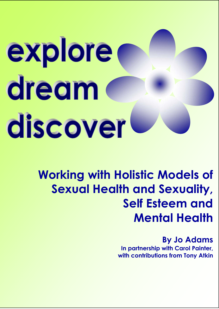# explore dream d discover

## **Working with Holistic Models of Sexual Health and Sexuality, Self Esteem and Mental Health**

**By Jo Adams In partnership with Carol Painter, with contributions from Tony Atkin**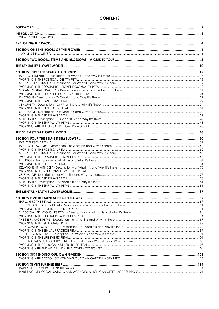#### **CONTENTS**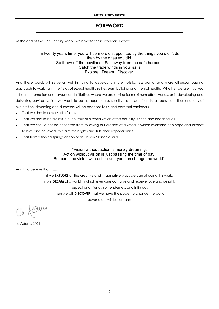#### **FOREWORD**

At the end of the 19th Century, Mark Twain wrote these wonderful words

#### In twenty years time, you will be more disappointed by the things you didn't do than by the ones you did. So throw off the bowlines. Sail away from the safe harbour. Catch the trade winds in your sails Explore. Dream. Discover.

And these words will serve us well in trying to develop a more holistic, less partial and more all-encompassing approach to working in the fields of sexual health, self-esteem building and mental health. Whether we are involved in health promotion endeavours and initiatives where we are striving for maximum effectiveness or in developing and delivering services which we want to be as appropriate, sensitive and user-friendly as possible – those notions of exploration, dreaming and discovery will be beacons to us and constant reminders:-

- That we should never settle for less.
- That we should be tireless in our pursuit of a world which offers equality, justice and health for all.
- That we should not be deflected from following our dreams of a world in which everyone can hope and expect to love and be loved, to claim their rights and fulfil their responsibilities.
- That from visioning springs action or as Nelson Mandela said

#### "Vision without action is merely dreaming. Action without vision is just passing the time of day. But combine vision with action and you can change the world".

And I do believe that …….

if we **EXPLORE** all the creative and imaginative ways we can of doing this work, if we **DREAM** of a world in which everyone can give and receive love and delight, respect and friendship, tenderness and intimacy then we will **DISCOVER** that we have the power to change the world beyond our wildest dreams

Us Asams

Jo Adams 2004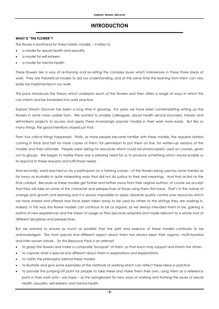#### **INTRODUCTION**

#### **WHAT IS "THE FLOWER"?**

The flower is shorthand for three holistic models, – it refers to

- a model for sexual health and sexuality
- a model for self-esteem
- a model for mental health

These flowers are a way of re-framing and re-visiting the complex issues which interweave in these three areas of work. They are theoretical models to aid our understanding, and at the same time the learning from them can very easily be implemented in our work.

This pack introduces the theory which underpins each of the flowers and then offers a range of ways in which this can inform and be translated into work practice.

Explore Dream Discover has been a long time in growing. For years we have been contemplating writing up the flowers in some more usable form. We wanted to enable colleagues, sexual health service providers, trainers and self-esteem projects to access and apply these increasingly popular models in their work more easily. But like so many things, the good intentions stayed just that.

Then two critical things happened. Firstly, as more people became familiar with these models, the requests started coming in thick and fast for more copies of them, for permission to put them on line, for written-up versions of the models and their rationale. People were asking for resources which could be photocopied, used on courses, given out to groups. We began to realise there was a pressing need for us to produce something which would enable us to respond to these requests and fulfil these needs.

And secondly, word reached us via a participant on a training course – of the flowers being used by some trainers as far away as Australia in quite misleading ways that did not do justice to their real meanings. And that acted as the final catalyst. Because as these models get further and further away from their original authors, of course we accept that they will take on some of the character and perspectives of those using them first-hand. That's in the nature of change and growth and learning and it is always impossible to apply absolute quality control over resources which we have shared and offered and have been taken away to be used by others to the settings they are working in. Indeed, in this way the flower models can continue to be as organic as we always intended them to be, gaining a patina of new experiences and the sheen of usage as they become adapted and made relevant to a whole host of different disciplines and perspectives.

But we wanted to ensure as much as possible that the spirit and essence of these models continues to be acknowledged. The most special and different aspect about them has always been their organic, multi-faceted and inter-woven nature. So this Resource Pack is an attempt

- to grasp the flowers and make a composite 'bouquet' of them, so that each may support and inform the others
- to capture what is special and different about them in explorations and explanations
- to clarify the philosophy behind these models
- to illustrate and give some examples of the methods of working which can reflect these ideas in practice
- to provide the jumping-off point for people to take these and make them their own, using them as a reference point in their work and – we hope – as the springboard for new ways of working and framing the issues of sexual health, sexuality, self-esteem and mental health.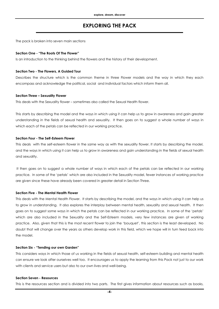#### **EXPLORING THE PACK**

The pack is broken into seven main sections

#### **Section One - "The Roots Of The Flower"**

Is an introduction to the thinking behind the flowers and the history of their development.

#### **Section Two - The Flowers, A Guided Tour**

Describes the structure which is the common theme in three Flower models and the way in which they each encompass and acknowledge the political, social and individual factors which inform them all.

#### **Section Three – Sexuality Flower**

This deals with the Sexuality flower – sometimes also called the Sexual Health flower.

This starts by describing the model and the ways in which using it can help us to grow in awareness and gain greater understanding in the fields of sexual health and sexuality. It then goes on to suggest a whole number of ways in which each of the petals can be reflected in our working practice.

#### **Section Four - The Self-Esteem Flower**

This deals with the self-esteem flower in the same way as with the sexuality flower. It starts by describing the model, and the ways in which using it can help us to grow in awareness and gain understanding in the fields of sexual health and sexuality.

 It then goes on to suggest a whole number of ways in which each of the petals can be reflected in our working practice. In some of the 'petals' which are also included in the Sexuality model, fewer instances of working practice are given since these have already been covered in greater detail in Section Three.

#### **Section Five - The Mental Health Flower**

This deals with the Mental Health Flower. It starts by describing the model, and the ways in which using it can help us to grow in understanding. It also explores the interplay between mental health, sexuality and sexual health. It then goes on to suggest some ways in which the petals can be reflected in our working practice. In some of the 'petals' which are also included in the Sexuality and the Self-Esteem models, very few instances are given of working practice. Also, given that this is the most recent flower to join the 'bouquet', this section is the least developed. No doubt that will change over the years as others develop work in this field, which we hope will in turn feed back into the model.

#### **Section Six - "Tending our own Garden"**

This considers ways in which those of us working in the fields of sexual health, self-esteem building and mental health can ensure we look after ourselves well too. It encourages us to apply the learning from this Pack not just to our work with clients and service users but also to our own lives and well-being.

#### **Section Seven - Resources**

This is the resources section and is divided into two parts. The first gives information about resources such as books,

**-4-**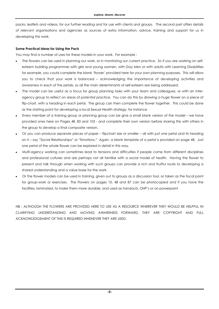packs, leaflets and videos, for our further reading and for use with clients and groups. The second part offers details of relevant organisations and agencies as sources of extra information, advice, training and support for us in developing this work.

#### **Some Practical Ideas for Using the Pack**

You may find a number of uses for these models in your work. For example :

- The flowers can be used in planning our work, or in monitoring our current practice. So if you are working on selfesteem building programmes with girls and young women, with Gay Men or with adults with Learning Disabilities for example, you could complete the blank 'flower' provided here for your own planning purposes. This will allow you to check that your work is balanced – acknowledging the importance of developing activities and awareness in each of the petals, so all the main determinants of self-esteem are being addressed.
- The model can be useful as a focus for group planning tasks with your team and colleagues, or with an interagency group to reflect on areas of potential practice. You can do this by drawing a huge flower on a piece of flip-chart, with a heading in each petal. The group can then complete the flower together. This could be done as the starting point for developing a local Sexual Health strategy, for instance.
- Every member of a training group or planning group can be give a small blank version of the model we have provided ones here on Pages 48, 83 and 103 - and complete their own version before sharing this with others in the group to develop a final composite version.
- Or you can produce separate pieces of paper flipchart size or smaller all with just one petal and its heading on it – say "Social Relationships" or "Emotions." Again, a blank template of a petal is provided on page 48. Just one petal of the whole flower can be explored in detail in this way.
- Multi-agency working can sometimes lead to tensions and difficulties if people come from different disciplines and professional cultures and are perhaps not all familiar with a social model of health. Having the flower to present and talk through when working with such groups can provide a rich and fruitful route to developing a shared understanding and a value base for the work.
- Or the flower models can be used in training, given out to groups as a discussion tool, or taken as the focal point for group-work or exercises. The Flowers on pages 10, 48 and 87 can be photocopied and if you have the facilities, laminated, to make them more durable, and used as handouts, OHP's or on powerpoint

NB : ALTHOUGH THE FLOWERS ARE PROVIDED HERE TO USE AS A RESOURCE WHEREVER THEY WOULD BE HELPFUL IN CLARIFYING UNDERSTANDING AND MOVING AWARENESS FORWARD, THEY ARE COPYRIGHT AND FULL ACKNOWLEDGEMENT OF THIS IS REQUIRED WHENEVER THEY ARE USED.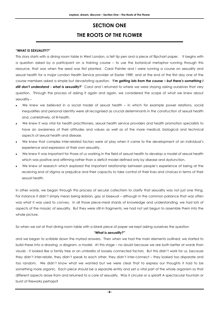#### **SECTION ONE THE ROOTS OF THE FLOWER**

#### **"WHAT IS SEXUALITY?"**

This story starts with a dining room table in West London, a felt tip pen and a piece of flipchart paper. It begins with a question asked by a participant on a training course – to use the botanical metaphor running through this resource, that was when the seed was first planted. Carol Painter and I were running a course on sexuality and sexual health for a major London Health Service provider at Easter 1989, and at the end of the first day one of the course members asked a simple but devastating question. **'***I'm getting lots from the course – but there's something I still don't understand - what is sexuality?'* Carol and I returned to where we were staying asking ourselves that very question. Through the process of asking it again and again, we considered the scope of what we knew about sexuality –

- We knew we believed in a social model of sexual health in which for example power relations, social inequalities and personal identity were all recognised as crucial determinants in the construction of sexual health and, correlatively, of ill-health.
- We knew it was vital for health practitioners, sexual health service providers and health promotion specialists to have an awareness of their attitudes and values as well as of the more medical, biological and technical aspects of sexual health and disease.
- We knew that complex inter-related factors were at play when it came to the development of an individual's experience and expression of their own sexuality.
- We knew it was important for those of us working in the field of sexual health to develop a model of sexual health which was positive and affirming rather than a deficit model defined only by disease and dysfunction.
- We knew of research which explored the important relationship between people's experience of being at the receiving end of stigma or prejudice and their capacity to take control of their lives and choices in terms of their sexual health.

In other words, we began through this process of secular catechism to clarify that sexuality was not just one thing. For instance it didn't simply mean being lesbian, gay or bisexual – although in the common parlance that was often was what it was used to convey. In all those piece-meal shards of knowledge and understanding, we had lots of aspects of the mosaic of sexuality. But they were still in fragments, we had not yet begun to assemble them into the whole picture.

So when we sat at that dining room table with a blank piece of paper we kept asking ourselves the question

#### *"What is sexuality?"*

and we began to scribble down the myriad answers. Then when we had the main elements outlined, we started to build these into a drawing, a diagram, a model. At this stage – no doubt because we are both better at words than visuals - it looked like a family tree or an umbrella of loosely connected factors. But this didn't work for us, because they didn't inter-relate, they didn't speak to each other, they didn't inter-connect – they looked too disparate and too random. We didn't know what we wanted but we were clear that to express our thoughts it had to be something more organic. Each piece should be a separate entity and yet a vital part of the whole organism so that different aspects arose from and returned to a core of sexuality. Was it circular or a spiral? A spectacular fountain or burst of fireworks perhaps?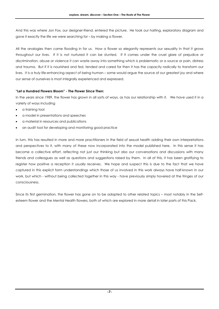And this was where Jon Fox, our designer-friend, entered the picture. He took our halting, exploratory diagram and gave it exactly the life we were searching for – by making a flower.

All the analogies then came flooding in for us. How a flower so elegantly represents our sexuality in that it grows throughout our lives. If it is not nurtured it can be stunted. If it comes under the cruel glare of prejudice or discrimination, abuse or violence it can waste away into something which is problematic or a source or pain, distress and trauma. But if it is nourished and fed, tended and cared for then it has the capacity radically to transform our lives. It is a truly life-enhancing aspect of being human – some would argue the source of our greatest joy and where our sense of ourselves is most integrally experienced and expressed.

#### **"Let a Hundred Flowers Bloom" - The Flower Since Then:**

In the years since 1989, the flower has grown in all sorts of ways, as has our relationship with it. We have used it in a variety of ways including

- a training tool
- a model in presentations and speeches
- a material in resources and publications
- an audit tool for developing and monitoring good practice

In turn, this has resulted in more and more practitioners in the field of sexual health adding their own interpretations and perspectives to it, with many of these now incorporated into the model published here. In this sense it has become a collective effort, reflecting not just our thinking but also our conversations and discussions with many friends and colleagues as well as questions and suggestions raised by them. In all of this, it has been gratifying to register how positive a reception it usually receives. We hope and suspect this is due to the fact that we have captured in this explicit form understandings which those of us involved in this work always have half-known in our work, but which - without being collected together in this way - have previously simply hovered at the fringes of our consciousness.

Since its first germination, the flower has gone on to be adapted to other related topics – most notably in the Selfesteem flower and the Mental Health flowers, both of which are explored in more detail in later parts of this Pack.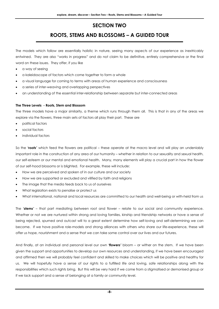#### **SECTION TWO**

#### **ROOTS, STEMS AND BLOSSOMS – A GUIDED TOUR**

The models which follow are essentially holistic in nature, seeing many aspects of our experience as inextricably entwined. They are also "works in progress" and do not claim to be definitive, entirely comprehensive or the final word on these issues. They offer, if you like

- a way of seeing
- a kaleidoscope of factors which come together to form a whole
- a visual language for coming to terms with areas of human experience and consciousness
- a series of inter-weaving and overlapping perspectives
- an understanding of the essential inter-relationship between separate but inter-connected areas

#### **The Three Levels - Roots, Stem and Blossom**

The three models have a major similarity, a theme which runs through them all. This is that in any of the areas we explore via the flowers, three main sets of factors all play their part. These are

- political factors
- social factors
- individual factors

So the *'roots'* which feed the flowers are political – these operate at the macro level and will play an undeniably important role in the construction of any area of our humanity – whether in relation to our sexuality and sexual health, our self-esteem or our mental and emotional health. Many, many elements will play a crucial part in how the flower of our self-hood blossoms or is blighted. For example, these will include:

- How we are perceived and spoken of in our culture and our society
- How we are supported or excluded and vilified by faith and religions
- The image that the media feeds back to us of ourselves
- What legislation exists to penalise or protect us
- What international, national and local resources are committed to our health and well-being or with-held from us

The *'stems'* – that part mediating between root and flower – relate to our social and community experience. Whether or not we are nurtured within strong and loving families, kinship and friendship networks or have a sense of being rejected, spurned and outcast will to a great extent determine how self-loving and self-determining we can become. If we have positive role-models and strong alliances with others who share our life-experience, these will offer us hope, nourishment and a sense that we can take some control over our lives and our futures.

And finally, at an individual and personal level our own *'flowers'* bloom – or wither on the stem. If we have been given the support and opportunities to develop our own resources and understanding, if we have been encouraged and affirmed then we will probably feel confident and skilled to make choices which will be positive and healthy for us. We will hopefully have a sense of our rights to a fulfilled life and loving, safe relationships along with the responsibilities which such rights bring. But this will be very hard if we come from a stigmatised or demonised group or if we lack support and a sense of belonging at a family or community level.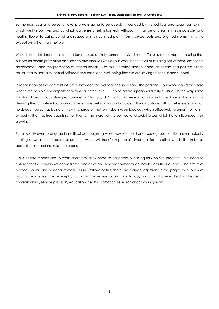So the individual and personal level is always going to be deeply influenced by the political and social contexts in which we live our lives and by which our sense of self is formed. Although it may be and sometimes is possible for a healthy flower to spring out of a diseased or malnourished plant, from starved roots and blighted stems, this is the exception rather than the rule.

While this model does not claim or attempt to be entirely comprehensive, it can offer us a route-map to ensuring that our sexual health promotion and service provision (as well as our work in the fields of building self-esteem, emotional development and the promotion of mental health) is as multi-faceted and rounded, as holistic and positive as the sexual health, sexuality, sexual selfhood and emotional well-being that we are striving to honour and support.

In recognition of the constant interplay between the political, the social and the personal – our work should therefore whenever possible encompass activity at all three levels. Only to address personal 'lifestyle' issues, in the way some traditional Health Education programmes or "Just Say No" public awareness campaigns have done in the past, risks denying the formative factors which determine behaviours and choices. It may collude with a belief system which holds each person as being entirely in charge of their own destiny, an ideology which effectively 'blames the victim' by seeing them as free agents rather than at the mercy of the political and social forces which have influenced their growth.

Equally, only ever to engage in political campaigning work may feel bold and courageous but risks never actually trickling down into inter-personal practice which will transform people's lived realities. In other words, it can be all about rhetoric and not relate to change.

If our holistic models are to work, therefore, they need to be acted out in equally holistic practice. We need to ensure that the ways in which we frame and develop our work constantly acknowledges the influence and effect of political, social and personal factors. As illustrations of this, there are many suggestions in the pages that follow of ways in which we can exemplify such an awareness in our day to day work in whatever field - whether in commissioning, service provision, education, health promotion, research or community work.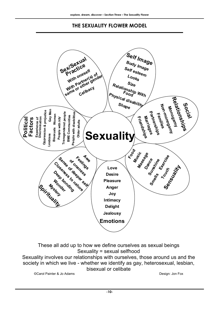#### **THE SEXUALITY FLOWER MODEL**



These all add up to how we define ourselves as sexual beings Sexuality = sexual selfhood Sexuality involves our relationships with ourselves, those around us and the society in which we live - whether we identify as gay, heterosexual, lesbian,

bisexual or celibate

©Carol Painter & Jo Adams Design: Jon Fox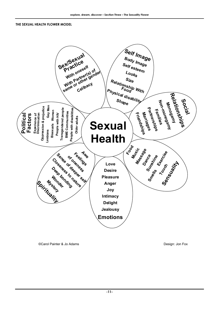#### **THE SEXUAL HEALTH FLOWER MODEL**



©Carol Painter & Jo Adams **Design:** Jon Fox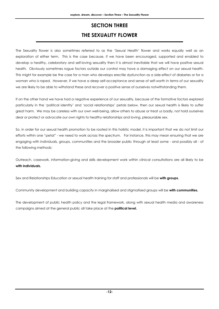#### **SECTION THREE THE SEXUALITY FLOWER**

The Sexuality flower is also sometimes referred to as the 'Sexual Health' flower and works equally well as an exploration of either term. This is the case because, if we have been encouraged, supported and enabled to develop a healthy, celebratory and self-loving sexuality then it is almost inevitable that we will have positive sexual health. Obviously sometimes rogue factors outside our control may have a damaging effect on our sexual health. This might for example be the case for a man who develops erectile dysfunction as a side-effect of diabetes or for a woman who is raped. However, if we have a deep self-acceptance and sense of self-worth in terms of our sexuality we are likely to be able to withstand these and recover a positive sense of ourselves notwithstanding them.

If on the other hand we have had a negative experience of our sexuality, because of the formative factors explored particularly in the 'political identity' and 'social relationships' petals below, then our sexual health is likely to suffer great harm. We may be careless with our own well-being, allow others to abuse or treat us badly, not hold ourselves dear or protect or advocate our own rights to healthy relationships and loving, pleasurable sex.

So, in order for our sexual health promotion to be rooted in this holistic model, it is important that we do not limit our efforts within one "petal" - we need to work across the spectrum. For instance, this may mean ensuring that we are engaging with individuals, groups, communities and the broader public through at least some - and possibly all - of the following methods:

Outreach, casework, information-giving and skills development work within clinical consultations are all likely to be **with individuals.** 

Sex and Relationships Education or sexual health training for staff and professionals will be **with groups**.

Community development and building capacity in marginalised and stigmatised groups will be **with communities.** 

The development of public health policy and the legal framework, along with sexual health media and awareness campaigns aimed at the general public all take place at the **political level.**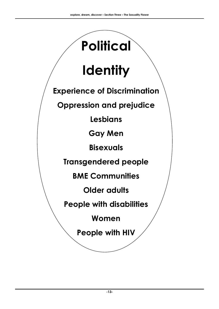## **Political**

## **Identity**

**Experience of Discrimination** 

**Oppression and prejudice** 

**Lesbians** 

**Gay Men** 

**Bisexuals** 

**Transgendered people** 

**BME Communities** 

**Older adults** 

**People with disabilities** 

**Women** 

**People with HIV**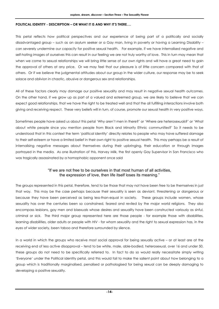#### **POLITICAL IDENTITY - DESCRIPTION – OR WHAT IT IS AND WHY IT'S THERE….**

This petal reflects how political perspectives and our experience of being part of a politically and socially disadvantaged group – such as an asylum seeker or a Gay man, living in poverty or having a Learning Disability – can severely undermine our capacity for positive sexual health. For example, if we have internalised negative and self-hating images of ourselves this can result in our feeling we are not truly worthy of love. This in turn may mean that when we come to sexual relationships we will bring little sense of our own rights and will have a great need to gain the approval of others at any price. Or we may feel that our pleasure is of little concern compared with that of others. Or if we believe the judgmental attitudes about our group in the wider culture, our response may be to seek solace and oblivion in chaotic, abusive or dangerous sex and relationships.

All of these factors clearly may damage our positive sexuality and may result in negative sexual health outcomes. On the other hand, if we grow up as part of a valued and esteemed group, we are likely to believe that we can expect good relationships, that we have the right to be treated well and that the all fulfilling interactions involve both giving and receiving respect. These very beliefs will in turn, of course, promote our sexual health in very positive ways.

Sometimes people have asked us about this petal 'Why aren't men in there?' or 'Where are heterosexuals?' or 'What about white people since you mention people from Black and Minority Ethnic communities?' So it needs to be understood that in this context the term 'political identity' directly relates to people who may have suffered damage to their self-esteem or have a limited belief in their own right to positive sexual health. This may perhaps be a result of internalising negative messages about themselves during their upbringing, their education or through images portrayed in the media. As one illustration of this, Harvey Milk, the first openly Gay Supervisor in San Francisco who was tragically assassinated by a homophobic opponent once said

#### "If we are not free to be ourselves in that most human of all activities, the expression of love, then life itself loses its meaning."

The groups represented in this petal, therefore, tend to be those that may not have been free to be themselves in just that way. This may be the case perhaps because their sexuality is seen as deviant, threatening or dangerous or because they have been perceived as being less-than-equal in society. These groups include women, whose sexuality has over the centuries been so constrained, feared and reviled by the major world religions. They also encompass lesbians, gay men and bisexuals whose desires and sexuality have been constructed variously as sinful, criminal or sick. The third major group represented here are those people - for example those with disabilities, learning disabilities, older adults or people with HIV - for whom sexuality and the right to sexual expression has, in the eyes of wider society, been taboo and therefore surrounded by silence.

In a world in which the groups who receive most social approval for being sexually active – or at least are at the receiving end of less active disapproval – tend to be white, male, able-bodied, heterosexual, over 16 and under 50, these groups do not need to be specifically referred to. In fact to do so would really necessitate simply writing 'Everyone' under the Political identity petal, and this would fail to make the salient point about how belonging to a group which is traditionally marginalised, penalised or pathologised for being sexual can be deeply damaging to developing a positive sexuality.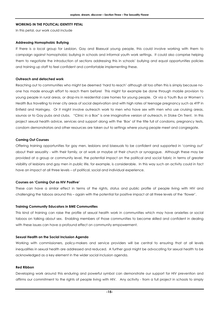#### **WORKING IN THE POLITICAL IDENTITY PETAL**

In this petal, our work could include

#### **Addressing Homophobic Bullying**

If there is a local group for Lesbian, Gay and Bisexual young people, this could involve working with them to campaign against homophobic bullying in schools and informal youth work settings. It could also comprise helping them to negotiate the introduction of sections addressing this in schools' bullying and equal opportunities policies and training up staff to feel confident and comfortable implementing these.

#### **Outreach and detached work**

Reaching out to communities who might be deemed 'hard to reach' although all too often this is simply because noone has made enough effort to reach them before! This might for example be done through mobile provision to young people in rural areas, or drop-ins in residential care homes for young people. Or via a Youth Bus or Women's Health Bus travelling to inner city areas of social deprivation and with high rates of teenage pregnancy such as 4YP in Enfield and Haringey. Or it might involve outreach work to men who have sex with men who use cruising areas, saunas or to Gay pubs and clubs. "Clinic in a Box" is one imaginative version of outreach, in Stoke On Trent. In this project sexual health advice, services and support along with the 'Box' of the title full of condoms, pregnancy tests, condom demonstrators and other resources are taken out to settings where young people meet and congregate.

#### **Coming Out Courses**

Offering training opportunities for gay men, lesbians and bisexuals to be confident and supported in 'coming out' about their sexuality - with their family, or at work or maybe at their church or synagogue. Although these may be provided at a group or community level, the potential impact on the political and social fabric in terms of greater visibility of lesbians and gay men in public life, for example, is considerable. In this way such an activity could in fact have an impact at all three levels – of political, social and individual experience.

#### **Courses on 'Coming Out as HIV Positive'**

These can have a similar effect in terms of the rights, status and public profile of people living with HIV and challenging the taboos around this – again with the potential for positive impact at all three levels of the 'flower'.

#### **Training Community Educators in BME Communities**

This kind of training can raise the profile of sexual health work in communities which may have anxieties or social taboos on talking about sex. Enabling members of those communities to become skilled and confident in dealing with these issues can have a profound effect on community empowerment.

#### **Sexual Health on the Social Inclusion Agenda**

Working with commissioners, policy-makers and service providers will be central to ensuring that at all levels inequalities in sexual health are addressed and reduced. A further goal might be advocating for sexual health to be acknowledged as a key element in the wider social inclusion agenda.

#### **Red Ribbon**

Developing work around this enduring and powerful symbol can demonstrate our support for HIV prevention and affirms our commitment to the rights of people living with HIV. Any activity - from a full project in schools to simply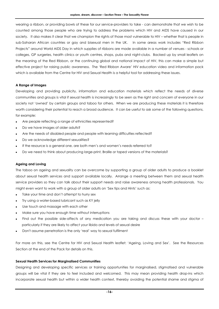wearing a ribbon, or providing bowls of these for our service-providers to take - can demonstrate that we wish to be counted among those people who are trying to address the problems which HIV and AIDS have caused in our society. It also makes it clear that we champion the rights of those most vulnerable to HIV – whether that is people in sub-Saharan African countries or gay and bisexual men in the UK. In some areas work includes "Red Ribbon Projects" around World AIDS Day in which supplies of ribbons are made available in a number of venues - schools or colleges, GP surgeries, health clinics or youth centres, shops, pubs and night-clubs. Backed up by small leaflets on the meaning of the Red Ribbon, or the continuing global and national impact of HIV, this can make a simple but effective project for raising public awareness. The 'Red Ribbon Aware' HIV education video and information pack which is available from the Centre for HIV and Sexual Health is a helpful tool for addressing these issues.

#### **A Range of Images**

Developing and providing publicity, information and education materials which reflect the needs of diverse communities and groups is vital if sexual health is increasingly to be seen as the right and concern of everyone in our society not 'owned' by certain groups and taboo for others. When we are producing these materials it is therefore worth considering their potential to reach a broad audience. It can be useful to ask some of the following questions, for example:

- Are people reflecting a range of ethnicities represented?
- Do we have images of older adults?
- Are the needs of disabled people and people with learning difficulties reflected?
- Do we acknowledge different sexualities?
- If the resource is a general one, are both men's and women's needs referred to?
- Do we need to think about producing large-print, Braille or taped versions of the materials?

#### **Ageing and Loving**

The taboo on ageing and sexuality can be overcome by supporting a group of older adults to produce a booklet about sexual health services and support available locally. Arrange a meeting between them and sexual health service providers so they can talk about their support needs and raise awareness among health professionals. You might even want to work with a group of older adults on 'Sex tips and Hints' such as:

- Take your time and don't attempt to hurry sex
- Try using a water-based lubricant such as KY jelly
- Use touch and massage with each other
- Make sure you have enough time without interruptions
- Find out the possible side-affects of any medication you are taking and discuss these with your doctor particularly if they are likely to affect your libido and levels of sexual desire
- Don't assume penetration is the only 'real' way to sexual fulfilment

For more on this, see the Centre for HIV and Sexual Health leaflet: 'Ageing, Loving and Sex'. See the Resources Section at the end of the Pack for details on this.

#### **Sexual Health Services for Marginalised Communities**

Designing and developing specific services or training opportunities for marginalised, stigmatised and vulnerable groups will be vital if they are to feel included and welcomed. This may mean providing health drop-ins which incorporate sexual health but within a wider health context, thereby avoiding the potential shame and stigma of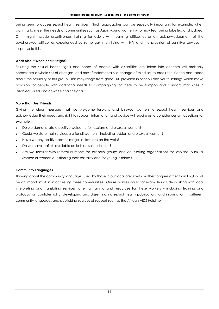being seen to access sexual health services. Such approaches can be especially important, for example, when wanting to meet the needs of communities such as Asian young women who may fear being labelled and judged. Or it might include assertiveness training for adults with learning difficulties or an acknowledgement of the psychosexual difficulties experienced by some gay men living with HIV and the provision of sensitive services in response to this.

#### **What About Wheelchair Height?**

Ensuring the sexual health rights and needs of people with disabilities are taken into concern will probably necessitate a whole set of changes, and most fundamentally a change of mind-set to break the silence and taboo about the sexuality of this group. This may range from good SRE provision in schools and youth settings which make provision for people with additional needs to campaigning for there to be tampon and condom machines in Disabled Toilets and at wheelchair heights.

#### **More Than Just Friends**

Giving the clear message that we welcome lesbians and bisexual women to sexual health services and acknowledge their needs and right to support, information and advice will require us to consider certain questions for example :

- Do we demonstrate a positive welcome for lesbians and bisexual women?
- Could we state that services are for all women including lesbian and bisexual women?
- Have we any positive poster images of lesbians on the walls?
- Do we have leaflets available on lesbian sexual health?
- Are we familiar with referral numbers for self-help groups and counselling organisations for lesbians, bisexual women or women questioning their sexuality and for young lesbians?

#### **Community Languages**

Thinking about the community languages used by those in our local areas with mother tongues other than English will be an important start in accessing these communities. Our responses could for example include working with local interpreting and translating services, offering training and resources for these workers – including training and protocols on confidentiality, developing and disseminating sexual health publications and information in different community languages and publicising sources of support such as the African AIDS Helpline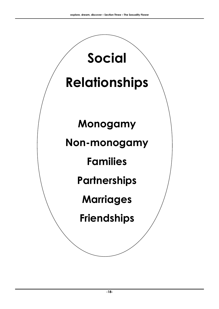## **Relationships**

**Social** 

## **Monogamy**

### **Non-monogamy**

## **Families**

## **Partnerships**

## **Marriages**

## **Friendships**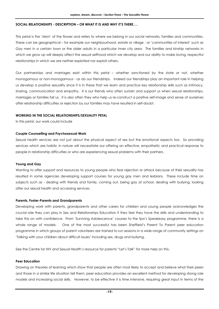#### **SOCIAL RELATIONSHIPS - DESCRIPTION – OR WHAT IT IS AND WHY IT'S THERE….**

This petal is the 'stem' of the flower and refers to where we belong in our social networks, families and communities. These can be geographical – for example our neighbourhood, estate or village - or 'communities of interest' such as Gay men in a certain town or the older adults in a particular inner city area. The families and kinship networks in which we grow up will deeply affect the sexual selfhood which we develop and our ability to make loving, respectful relationships in which we are neither exploited nor exploit others.

Our partnerships and marriages exist within this petal – whether sanctioned by the state or not, whether monogamous or non-monogamous - as do our friendships. Indeed our friendships play an important role in helping us develop a positive sexuality since it is in these that we learn and practice key relationship skills such as intimacy, sharing, communication and empathy. It is our friends who often sustain and support us when sexual relationships, marriages or families fail us. It is also often they who help us re-construct a positive self-image and sense of ourselves after relationship difficulties or rejection by our families may have resulted in self-doubt.

#### **WORKING IN THE SOCIAL RELATIONSHIPS/SEXUALITY PETAL**

In this petal, our work could include

#### **Couple Counselling and Psychosexual Work**

Sexual health services are not just about the physical aspect of sex but the emotional aspects too. So providing services which are holistic in nature will necessitate our offering an effective, empathetic and practical response to people in relationship difficulties or who are experiencing sexual problems with their partners.

#### **Young and Gay**

Wanting to offer support and resources to young people who fear rejection or attack because of their sexuality has resulted in some agencies developing support courses for young gay men and lesbians. These include time on subjects such as - dealing with friends and family, coming out, being gay at school, dealing with bullying, looking after our sexual health and accessing services.

#### **Parents, Foster-Parents and Grandparents**

Developing work with parents, grandparents and other carers for children and young people acknowledges the crucial role they can play in Sex and Relationships Education if they feel they have the skills and understanding to take this on with confidence. From 'Surviving Adolescence' courses to the fpa's Speakeasy programme, there is a whole range of models. One of the most successful has been Sheffield's Parent To Parent peer education programme in which groups of parent volunteers are trained to run sessions in a wide range of community settings on 'Talking with your children about difficult issues' including sex, drugs and bullying.

See the Centre for HIV and Sexual Health's resource for parents "Let's Talk" for more help on this.

#### **Peer Education**

Drawing on theories of learning which show that people are often most likely to accept and believe what their peers and those in a similar life situation tell them, peer education provides an excellent method for developing strong role models and increasing social skills. However, to be effective it is time intensive, requiring great input in terms of the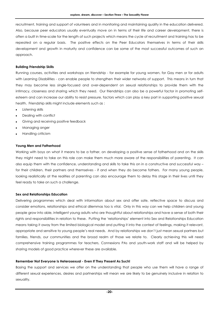recruitment, training and support of volunteers and in monitoring and maintaining quality in the education delivered. Also, because peer educators usually eventually move on in terms of their life and career development, there is often a built in time-scale for the length of such projects which means the cycle of recruitment and training has to be repeated on a regular basis. The positive effects on the Peer Educators themselves in terms of their skills development and growth in maturity and confidence can be some of the most successful outcomes of such an approach.

#### **Building Friendship Skills**

Running courses, activities and workshops on friendship - for example for young women, for Gay men or for adults with Learning Disabilities - can enable people to strengthen their wider networks of support. This means in turn that they may become less single-focused and over-dependent on sexual relationships to provide them with the intimacy, closeness and sharing which they need. Our friendships can also be a powerful factor in promoting selfesteem and can increase our ability to resist pressure, factors which can play a key part in supporting positive sexual health. Friendship skills might include elements such as :

- Listening skills
- Dealing with conflict
- Giving and receiving positive feedback
- Managing anger
- Handling criticism

#### **Young Men and Fatherhood**

Working with boys on what it means to be a father, on developing a positive sense of fatherhood and on the skills they might need to take on this role can make them much more aware of the responsibilities of parenting. It can also equip them with the confidence, understanding and skills to take this on in a constructive and successful way – for their children, their partners and themselves - if and when they do become fathers. For many young people, looking realistically at the realities of parenting can also encourage them to delay this stage in their lives until they feel ready to take on such a challenge.

#### **Sex and Relationships Education**

Delivering programmes which deal with information about sex and offer safe, reflective space to discuss and consider emotions, relationships and ethical dilemmas too is vital. Only in this way can we help children and young people grow into able, intelligent young adults who are thoughtful about relationships and have a sense of both their rights and responsibilities in relation to these. Putting the 'relationships' element into Sex and Relationships Education means taking it away from the limited biological model and putting it into the context of feelings, making it relevant, appropriate and sensitive to young people's real needs. And by relationships we don't just mean sexual partners but families, friends, our communities and the broad realm of those we relate to. Clearly achieving this will need comprehensive training programmes for teachers, Connexions PAs and youth-work staff and will be helped by sharing models of good practice wherever these are available.

#### **Remember Not Everyone Is Heterosexual - Even If They Present As Such!**

Basing the support and services we offer on the understanding that people who use them will have a range of different sexual experiences, desires and partnerships will mean we are likely to be genuinely inclusive in relation to sexuality.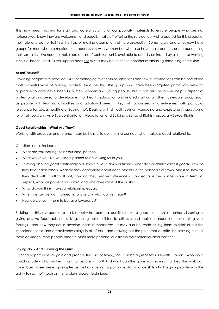This may mean training for staff and careful scrutiny of our publicity materials to ensure people who are not heterosexual know they are welcome - and equally that staff offering the service feel well-prepared for this aspect of their role and do not fall into the trap of making assumptions of heterosexuality. Some towns and cities now have groups for men who are married or in partnerships with women but who also have male partners or are questioning their sexuality. We need to make sure details of such support is available to and disseminated by all of those working in sexual health - and if such support does not exist, it may be helpful to consider establishing something of this kind.

#### **Assert Yourself**

Providing people with practical skills for managing relationships, emotions and sexual transactions can be one of the most powerful ways of building positive sexual health. The groups who have been targeted particularly with this approach to date have been Gay men, women and young people. But it can also be a very helpful aspect of professional and personal development for health, education and related staff or for other vulnerable groups such as people with learning difficulties and additional needs. Key skills addressed in assertiveness with particular relevance for sexual health are: Saying 'no', Dealing with difficult feelings, Managing and expressing Anger, Asking for what you want, Assertive confrontation, Negotiation and Building a sense of Rights – especially Sexual Rights.

#### **Good Relationships - What Are They?**

Working with groups or one-to-one, it can be helpful to ask them to consider what makes a good relationship.

Questions could include :

- What are you looking for in your ideal partner?
- What would you like your ideal partner to be looking for in you?
- Thinking about a good relationship you know in your family or friends, what do you think makes it good? How do they treat each other? What do they appreciate about each other? Do the partners ever row? And if so, how do they deal with conflict? If not, how do they resolve differences? How equal is the partnership – in terms of respect, who has power and control and who does most of the work?
- What do you think makes a relationship equal?
- When we say we want someone to love us what do we mean?
- How do we want them to behave towards us?

Building on this, ask people to think about what personal qualities make a good relationship - perhaps listening or giving positive feedback, not sulking, being able to listen to criticism and make changes, communicating your feelings - and how they could develop these in themselves. It may also be worth asking them to think about the importance looks and attractiveness plays in all of this – and drawing out the point that despite the pressing cultural focus on image, most people prioritise other more personal qualities in their potential ideal partner.

#### **Saying No - And Surviving The Guilt**

Offering opportunities to gain and practise the skills of saying 'no' can be a great sexual health support. Workshops could include - what makes it hard for us to say 'no'? And what can the gains from saying 'no' be? This work can cover basic assertiveness principles as well as offering opportunities to practice skills which equip people with the ability to say 'no' –such as the 'broken record' technique.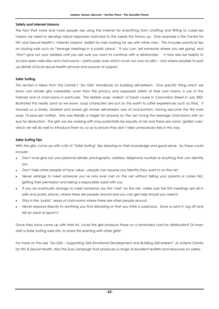#### **Safety and Internet Liaisons**

The fact that more and more people are using the Internet for everything from chatting and flirting to cyber-sex means we need to develop robust responses matched to the needs this throws up. One example is the Centre for HIV and Sexual Health's 'Internet Liaisons' leaflet for men looking for sex with other men. This includes practical tips on staying safe such as "Arrange meetings in a public place', 'If you can, tell someone where you are going' and 'Don't give out your address until you are sure you want to continue with a relationship'. It may also be helpful to access open web-sites and chat-rooms – particularly ones which cover our own locality – and where possible to post up details of local sexual health services and sources of support.

#### **Safer Surfing**

This section is taken from the Centre's 'Go Girls' Handbook on building self-esteem. One specific thing which we know can render girls vulnerable, even from the privacy and supposed safety of their own rooms, is use of the Internet and of chat-rooms in particular. The terrible soap 'ordeal' of Sarah Louise in Coronation Street in July 2001 illustrated this neatly (and as we know, soap characters are put on this earth to suffer experiences such as this!). It showed us a lonely, isolated and bored girl whose self-esteem was at rock-bottom, having become the first ever soap 13-year-old mother. She was literally a target for anyone on the net roving the teenage chat-rooms with an eye for abduction. The girls we are working with may potentially be equally at risk and there are some 'golden rules' which we will do well to introduce them to, so as to ensure they don't take unnecessary risks in this way.

#### **Safer Surfing Tips**

With the girls, come up with a list of "Safer Surfing" tips drawing on their knowledge and good sense. So these could include :

- Don't ever give out your personal details, photographs, address, telephone number or anything that can identify you
- Don't take other people at face value people can assume any identity they want to on the net
- Never arrange to meet someone you've only ever met on the net without telling your parents or carers first, getting their permission and taking a responsible adult with you
- If you do eventually arrange to meet someone you first 'met' on the net, make sure the first meetings are all in safe and public places, where there are people around and you can get help should you need it
- Stay in the 'public' areas of chat-rooms where there are other people around
- Never respond directly to anything you find disturbing or that you think is suspicious. Save or print it, log off and tell an adult or report it

Once they have come up with their list, could the girls produce these on a laminated card for distribution? Or even start a Safer Surfing web-site, to share this learning with other girls?

For more on this see 'Go Girls – Supporting Girls Emotional Development and Building Self-esteem' Jo Adams Centre for HIV & Sexual Health. Also the Suzy Lamplugh Trust produces a range of excellent leaflets and resources on safety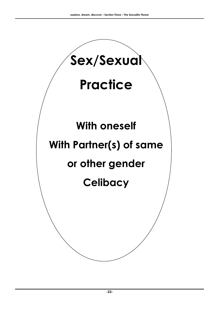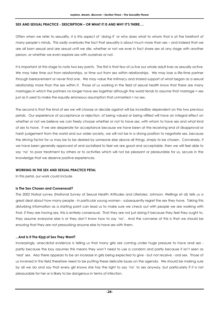#### **SEX AND SEXUAL PRACTICE - DESCRIPTION – OR WHAT IT IS AND WHY IT'S THERE….**

Often when we refer to sexuality, it is this aspect of 'doing it' or who does what to whom that is at the forefront of many people's minds. This sadly overlooks the fact that sexuality is about much more than sex – and indeed that we are all born sexual and are sexual until we die, whether or not we ever in fact share sex at any stage with another person, or whether we even explore sex with ourselves or not.

It is important at this stage to note two key points. The first is that few of us live our whole adult lives as sexually active. We may take time out from relationships, or time out from sex within relationships. We may lose a life-time partner through bereavement or never find one. We may value the intimacy and shared support of what began as a sexual relationship more than the sex within it. Those of us working in the field of sexual health know that there are many marriages in which the partners no longer have sex together although the world tends to assume that marriage = sex just as it used to make the equally erroneous assumption that unmarried = no sex.

The second is that the kind of sex we will choose or decide against will be incredibly dependent on the two previous petals. Our experience of acceptance or rejection, of being valued or being vilified will have an integral effect on whether or not we believe we can freely choose whether or not to have sex, with whom to have sex and what kind of sex to have. If we are desperate for acceptance because we have been at the receiving end of disapproval or harsh judgement from the world and our wider society, we will not be in a strong position to negotiate sex, because the driving factor for us may be to be desired by someone else above all things, simply to be chosen. Conversely, if we have been generally approved of and socialised to feel we are good and acceptable, then we will feel able to say 'no' to poor treatment by others or to activities which will not be pleasant or pleasurable for us, secure in the knowledge that we deserve positive experiences.

#### **WORKING IN THE SEX AND SEXUAL PRACTICE PETAL**

In this petal, our work could include

#### **Is The Sex Chosen and Consensual?**

The 2002 Natsal survey (National Survey of Sexual Health Attitudes and Lifestyles; Johnson, Wellings et al) tells us a great deal about how many people - in particular young women - subsequently regret the sex they have. Taking this disturbing information as a starting point can lead us to make sure we check out with people we are working with that, if they are having sex, this is entirely consensual. That they are not just doing it because they feel they ought to, they assume everyone else is or they don't know how to say 'no'. And the converse of this is that we should be ensuring that they are not pressurising anyone else to have sex with them.

#### **...And Is It The Kind of Sex They Want?**

Increasingly, anecdotal evidence is telling us that many girls are coming under huge pressure to have anal sex partly because the boy assumes this means they won't need to use a condom and partly because it isn't seen as 'real' sex. Also there appears to be an increase in girls being expected to give - but not receive - oral sex. Those of us involved in this field therefore need to be putting these delicate issues on the agenda. We should be making sure by all we do and say that every girl knows she has the right to say 'no' to sex anyway, but particularly if it is not pleasurable for her or is likely to be dangerous in terms of infection.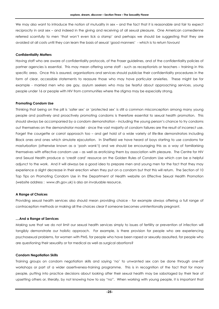We may also want to introduce the notion of mutuality in sex – and the fact that it is reasonable and fair to expect reciprocity in oral sex – and indeed in the giving and receiving of all sexual pleasure. One American comedienne referred scornfully to men 'that won't even lick a stamp' and perhaps we should be suggesting that they are avoided at all costs until they can learn the basis of sexual 'good manners' - which is to return favours!

#### **Confidentiality Matters**

Having staff who are aware of confidentiality protocols, of the Fraser guidelines, and of the confidentiality policies of partner agencies is essential. This may mean offering some staff - such as receptionists or teachers – training in this specific area. Once this is assured, organisations and services should publicise their confidentiality procedures in the form of clear, accessible statements to reassure those who may have particular anxieties. These might be for example - married men who are gay, asylum seekers who may be fearful about approaching services, young people under 16 or people with HIV from communities where the stigma may be especially strong.

#### **Promoting Condom Use**

Thinking that being on the pill is 'safer sex' or 'protected sex' is still a common misconception among many young people and positively and proactively promoting condoms is therefore essential to sexual health promotion. This should always be accompanied by a condom demonstration - including the young person's chance to try condoms out themselves on the demonstrator model - since the vast majority of condom failures are the result of incorrect use. Forget the courgette or carrot approach too – and get hold of a wide variety of life-like demonstrators including Black ones and ones which simulate ejaculation. In Sheffield we have heard of boys starting to use condoms for masturbation (otherwise known as a 'posh wank'!) and we should be encouraging this as a way of familiarising themselves with effective condom use – as well as eroticising them by association with pleasure. The Centre for HIV and Sexual Health produce a 'credit card' resource on the Golden Rules of Condom Use which can be a helpful adjunct to the work. And it will always be a good idea to prepare men and young men for the fact that they may experience a slight decrease in their erection when they put on a condom but that this will return. The Section of 10 Top Tips on Promoting Condom Use in the Department of Health website on Effective Sexual Health Promotion (website address : www.dh.gov.uk) is also an invaluable resource.

#### **A Range of Choices**

Providing sexual health services also should mean providing choice - for example always offering a full range of contraception methods or making all the choices clear if someone becomes unintentionally pregnant.

#### **....And a Range of Services**

Making sure that we do not limit our sexual health services simply to issues of fertility or prevention of infection will tangibly demonstrate our holistic approach. For example, is there provision for people who are experiencing psychosexual problems, for women with PMS, for people who have been raped or sexually assaulted, for people who are questioning their sexuality or for medical as well as surgical abortions?

#### **Condom Negotiation Skills**

Training groups on condom negotiation skills and saying 'no' to unwanted sex can be done through one-off workshops or part of a wider assertiveness-training programme. This is in recognition of the fact that for many people, putting into practice decisions about looking after their sexual health may be sabotaged by their fear of upsetting others or, literally, by not knowing how to say "no". When working with young people, it is important that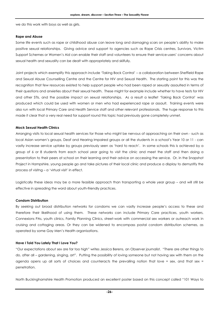we do this work with boys as well as girls.

#### **Rape and Abuse**

Some life events such as rape or childhood abuse can leave long and damaging scars on people's ability to make positive sexual relationships. Giving advice and support to agencies such as Rape Crisis centres, Survivors, Victim Support Schemes or Women's Aid can enable their staff and volunteers to ensure their service-users' concerns about sexual health and sexuality can be dealt with appropriately and skilfully.

Joint projects which exemplify this approach include 'Taking Back Control' – a collaboration between Sheffield Rape and Sexual Abuse Counselling Centre and the Centre for HIV and Sexual Health. The starting point for this was the recognition that few resources existed to help support people who had been raped or sexually assaulted in terms of their questions and anxieties about their sexual health. These might for example include whether to have tests for HIV and other STIs, and the possible impact on sexual relationships. As a result a leaflet 'Taking Back Control' was produced which could be used with women or men who had experienced rape or assault. Training events were also run with local Primary Care and Health Service staff and other relevant professionals. The huge response to this made it clear that a very real need for support round this topic had previously gone completely unmet.

#### **Mock Sexual Health Clinics**

Arranging visits to local sexual health services for those who might be nervous of approaching on their own - such as local Asian women's groups, Deaf and Hearing Impaired groups or all the students in a school's Year 10 or 11 - can vastly increase service uptake by groups previously seen as 'hard to reach'. In some schools this is achieved by a group of 6 or 8 students from each school year going to visit the clinic and meet the staff and then doing a presentation to their peers at school on their learning and their advice on accessing the service. Or, in the Snapshot Project in Hampshire, young people go and take pictures of their local clinic and produce a display to demystify the process of visitng – a 'virtual visit' in effect.

Logistically these ideas may be a more feasible approach than transporting a whole year group – and will still be effective in spreading the word about youth-friendly practices.

#### **Condom Distribution**

By seeking out broad distribution networks for condoms we can vastly increase people's access to these and therefore their likelihood of using them. These networks can include Primary Care practices, youth workers, Connexions PAs, youth clinics, Family Planning Clinics, street-work with commercial sex workers or outreach work in cruising and cottaging areas. Or they can be widened to encompass postal condom distribution schemes, as operated by some Gay Men's Health organisations.

#### **Have I Told You Lately That I Love You?**

"Our expectations about sex are far too high" writes Jessica Berens, an Observer journalist. "There are other things to do, after all – gardening, singing, art". Putting the possibility of loving someone but not having sex with them on the agenda opens up all sorts of choices and counteracts the prevailing notion that love = sex, and that sex = penetration.

North Buckinghamshire Health Promotion produced an excellent poster based on this concept called "101 Ways to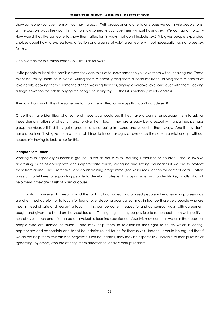show someone you love them without having sex". With groups or on a one-to-one basis we can invite people to list all the possible ways they can think of to show someone you love them without having sex. We can go on to ask - How would they like someone to show them affection in ways that don't include sex? This gives people expanded choices about how to express love, affection and a sense of valuing someone without necessarily having to use sex for this.

One exercise for this, taken from "Go Girls" is as follows :

Invite people to list all the possible ways they can think of to show someone you love them without having sex. These might be, taking them on a picnic, writing them a poem, giving them a head massage, buying them a packet of love-hearts, cooking them a romantic dinner, washing their car, singing a karaoke love song duet with them, leaving a single flower on their desk, buying their dog a squeaky toy…….the list is probably literally endless.

Then ask, How would they like someone to show them affection in ways that don't include sex?

Once they have identified what some of these ways could be, if they have a partner encourage them to ask for these demonstrations of affection, and to give them too. If they are already being sexual with a partner, perhaps group members will find they get a greater sense of being treasured and valued in these ways. And if they don't have a partner, it will give them a menu of things to try out as signs of love once they are in a relationship, without necessarily having to look to sex for this.

#### **Inappropriate Touch**

Working with especially vulnerable groups - such as adults with Learning Difficulties or children - should involve addressing issues of appropriate and inappropriate touch, saying no and setting boundaries if we are to protect them from abuse. The 'Protective Behaviours' training programme (see Resources Section for contact details) offers a useful model here for supporting people to develop strategies for staying safe and to identify key adults who will help them if they are at risk of harm or abuse.

It is important, however, to keep in mind the fact that damaged and abused people – the ones who professionals are often most careful not to touch for fear of over-stepping boundaries - may in fact be those very people who are most in need of safe and reassuring touch. If this can be done in respectful and consensual ways, with agreement sought and given – a hand on the shoulder, an affirming hug – it may be possible to re-connect them with positive, non-abusive touch and this can be an invaluable learning experience. Also this may come as water in the desert for people who are starved of touch – and may help them to re-establish their right to touch which is caring, appropriate and responsible and to set boundaries round touch for themselves. Indeed, it could be argued that if we do not help them re-learn and negotiate such boundaries, they may be especially vulnerable to manipulation or 'grooming' by others, who are offering them affection for entirely corrupt reasons.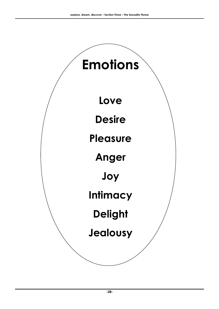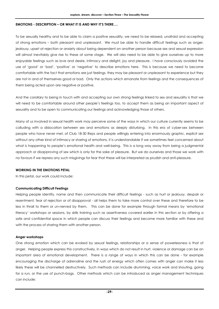#### **EMOTIONS - DESCRIPTION – OR WHAT IT IS AND WHY IT'S THERE….**

To be sexually healthy and to be able to claim a positive sexuality, we need to be relaxed, unafraid and accepting of strong emotions – both pleasant and unpleasant. We must be able to handle difficult feelings such as anger, jealousy, upset at rejection or anxiety about being dependent on another person because sex and sexual expression will almost inevitably give rise to these at some stage. We will also need to be able to give ourselves up to more enjoyable feelings such as love and desire, intimacy and delight, joy and pleasure. I have consciously avoided the use of 'good' or 'bad', 'positive' or 'negative' to describe emotions here. This is because we need to become comfortable with the fact that emotions are just feelings, they may be pleasant or unpleasant to experience but they are not in and of themselves good or bad. Only the actions which emanate from feelings and the consequences of them being acted upon are negative or positive.

And the corollary to being in touch with and accepting our own strong feelings linked to sex and sexuality is that we will need to be comfortable around other people's feelings too, to accept them as being an important aspect of sexuality and to be open to communicating our feelings and acknowledging those of others.

Many of us involved in sexual health work may perceive some of the ways in which our culture currently seems to be colluding with a dislocation between sex and emotions as deeply disturbing. In this era of cyber-sex between people who have never met, of Club 18-30 Reps and people willingly entering into enormously graphic, explicit sex without any other kind of intimacy or sharing of emotions, it is understandable if we sometimes feel concerned about what is happening to people's emotional health and well-being. This is a long way away from being a judgmental approach or disapproving of sex which is only for the sake of pleasure. But we do ourselves and those we work with no favours if we repress any such misgivings for fear that these will be interpreted as prudish and anti-pleasure.

#### **WORKING IN THE EMOTIONS PETAL**

In this petal, our work could include:

#### **Communicating Difficult Feelings**

Helping people identify, name and then communicate their difficult feelings - such as hurt or jealousy, despair or resentment, fear of rejection or of disapproval - all helps them to take more control over these and therefore to be less in thrall to them or un-nerved by them. This can be done for example through formal means by 'emotional literacy' workshops or sessions, by skills training such as assertiveness covered earlier in this section or by offering a safe and confidential space in which people can discuss their feelings and become more familiar with these and with the process of sharing them with another person.

#### **Anger workshops**

One strong emotion which can be evoked by sexual feelings, relationships or a sense of powerlessness is that of anger. Helping people express this constructively, in ways which do not result in hurt, violence or damage can be an important area of emotional development. There is a range of ways in which this can be done - for example encouraging the discharge of adrenaline and the rush of energy which often comes with anger can make it less likely these will be channelled destructively. Such methods can include drumming, voice work and shouting, going for a run, or the use of punch-bags. Other methods which can be introduced as anger management techniques can include: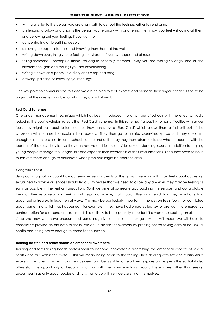- writing a letter to the person you are angry with to get out the feelings, either to send or not
- pretending a pillow or a chair is the person you're angry with and telling them how you feel shouting at them and bellowing out your feelings if you want to
- concentrating on breathing deeply
- screwing up paper into balls and throwing them hard at the wall
- writing down everything you're feeling in a stream of words, images and phrases
- telling someone perhaps a friend, colleague or family member why you are feeling so angry and all the different thoughts and feelings you are experiencing
- writing it down as a poem, in a diary or as a rap or a song
- drawing, painting or scrawling your feelings

One key point to communicate to those we are helping to feel, express and manage their anger is that it's fine to be angry, but they are responsible for what they do with it next.

#### **Red Card Schemes**

One anger management technique which has been introduced into a number of schools with the effect of vastly reducing the pupil exclusion rates is the 'Red Card' scheme. In this scheme, if a pupil who has difficulties with anger feels they might be about to lose control, they can show a 'Red Card' which allows them a fast exit out of the classroom with no need to explain their reasons. They then go to a safe, supervised space until they are calm enough to return to class. In some schools, at the end of the day they then return to discuss what happened with the teacher of the class they left so they can resolve and jointly consider any outstanding issues. In addition to helping young people manage their anger, this also expands their awareness of their own emotions, since they have to be in touch with these enough to anticipate when problems might be about to arise.

#### **Congratulations!**

Using our imagination about how our service-users or clients or the groups we work with may feel about accessing sexual health advice or services should lead us to realise that we need to dispel any anxieties they may be feeling as early as possible in the visit or transaction. So if we smile at someone approaching the service, and congratulate them on their responsibility in seeking out help and advice, that should offset any trepidation they may have had about being treated in judgmental ways. This may be particularly important if the person feels foolish or conflicted about something which has happened - for example if they have had unprotected sex or are wanting emergency contraception for a second or third time. It is also likely to be especially important if a woman is seeking an abortion, since she may well have encountered some negative anti-choice messages, which will mean we will have to consciously provide an antidote to these. We could do this for example by praising her for taking care of her sexual health and being brave enough to come to the service.

#### **Training for staff and professionals on emotional awareness**

Training and familiarising health professionals to become comfortable addressing the emotional aspects of sexual health also falls within this 'petal'. This will mean being open to the feelings that dealing with sex and relationships evoke in their clients, patients and service-users and being able to help them explore and express these. But it also offers staff the opportunity of becoming familiar with their own emotions around these issues rather than seeing sexual health as only about bodies and "bits", or to do with service users - not themselves.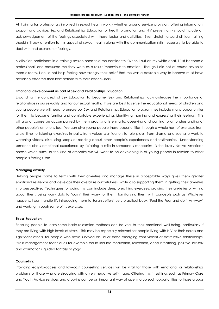All training for professionals involved in sexual health work - whether around service provision, offering information, support and advice, Sex and Relationships Education or health promotion and HIV prevention - should include an acknowledgement of the feelings associated with these topics and activities. Even straightforward clinical training should still pay attention to this aspect of sexual health along with the communication skills necessary to be able to deal with and express our feelings.

A clinician participant in a training session once told me confidently 'When I put on my white coat, I just become a professional' and reassured me they were as a result impervious to emotion. Though I did not of course say so to them directly, I could not help feeling how strongly their belief that this was a desirable way to behave must have adversely affected their transactions with their service-users.

#### **Emotional development as part of Sex and Relationships Education**

Expanding the concept of Sex Education to become 'Sex and Relationships' acknowledges the importance of relationships in our sexuality and for our sexual health. If we are best to serve the educational needs of children and young people we will need to ensure our Sex and Relationships Education programmes include many opportunities for them to become familiar and comfortable experiencing, identifying, naming and expressing their feelings. This will also of course be accompanied by them practising listening to, observing and coming to an understanding of other people's emotions too. We can give young people these opportunities through a whole host of exercises from circle time to listening exercises in pairs, from values clarification to role plays, from drama and scenario work to watching videos, discussing soaps or reading about other people's experiences and testimonies. Understanding someone else's emotional experience by 'Walking a mile in someone's moccasins' is the lovely Native American phrase which sums up the kind of empathy we will want to be developing in all young people in relation to other people's feelings, too.

#### **Managing anxiety**

Helping people come to terms with their anxieties and manage these in acceptable ways gives them greater emotional resilience and develops their overall resourcefulness, while also supporting them in getting their anxieties into perspective. Techniques for doing this can include deep breathing exercises, drawing their anxieties or writing about them, using worry dolls to 'carry' their worry for them, familiarising them with concepts such as 'Whatever happens, I can handle it', introducing them to Susan Jeffers' very practical book "Feel the Fear and do it Anyway" and working through some of its exercises.

#### **Stress Reduction**

Enabling people to learn some basic relaxation methods can be vital to their emotional well-being, particularly if they are living with high levels of stress. This may be especially relevant for people living with HIV or their carers and significant others, for people who have survived abuse or those emerging from violent or destructive relationships. Stress management techniques for example could include meditation, relaxation, deep breathing, positive self-talk and affirmations, guided fantasy or yoga.

#### **Counselling**

Providing easy-to-access and low-cost counselling services will be vital for those with emotional or relationships problems or those who are struggling with a very negative self-image. Offering this in settings such as Primary Care and Youth Advice services and drop-ins can be an important way of opening up such opportunities to those groups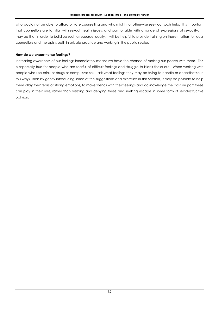who would not be able to afford private counselling and who might not otherwise seek out such help. It is important that counsellors are familiar with sexual health issues, and comfortable with a range of expressions of sexuality. It may be that in order to build up such a resource locally, it will be helpful to provide training on these matters for local counsellors and therapists both in private practice and working in the public sector.

#### **How do we anaesthetise feelings?**

Increasing awareness of our feelings immediately means we have the chance of making our peace with them. This is especially true for people who are fearful of difficult feelings and struggle to blank these out. When working with people who use drink or drugs or compulsive sex - ask what feelings they may be trying to handle or anaesthetise in this way? Then by gently introducing some of the suggestions and exercises in this Section, it may be possible to help them allay their fears of strong emotions, to make friends with their feelings and acknowledge the positive part these can play in their lives, rather than resisting and denying these and seeking escape in some form of self-destructive oblivion.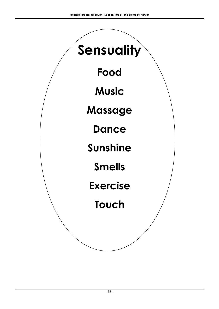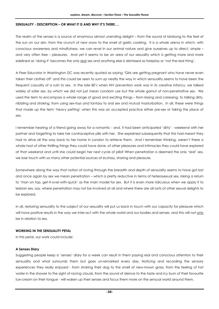#### **SENSUALITY - DESCRIPTION – OR WHAT IT IS AND WHY IT'S THERE….**

The realm of the senses is a source of enormous almost unending delight – from the sound of birdsong to the feel of the sun on our skin, from the crunch of new snow to the smell of garlic cooking. It is a whole arena in which, with conscious awareness and mindfulness, we can revel in our animal nature and give ourselves up to direct, simple – and very often free – pleasures. And yet it seems to be an area of our sexuality which is getting more and more sidelined as 'doing it' becomes the only real sex and anything else is dismissed as foreplay or 'not the real thing'.

A Peer Educator in Washington DC was recently quoted as saying 'Girls are getting pregnant who have never even taken their clothes off' and this could be seen to sum up neatly the way in which sensuality seems to have been the frequent casualty of a rush to sex. In the late 80's when HIV prevention work was in its creative infancy, we talked widely of safer sex, by which we did not just mean condom use but the whole gamut of non-penetrative sex. We used the term to encompass a whole range of good and exciting things – from kissing and caressing, to talking dirty, nibbling and stroking, from using sex-toys and fantasy to oral sex and mutual masturbation. In all, these were things that made up the term 'heavy petting' when this was an accepted practice either pre-sex or taking the place of sex.

I remember hearing of a friend going away for a romantic - and, it had been anticipated 'dirty' - weekend with her partner and forgetting to take her contraceptive pills with her. She explained subsequently that this had meant they had to drive all the way back to her home in London to retrieve them. And I remember thinking, weren't there a whole host of other thrilling things they could have done, of other pleasures and intimacies they could have explored at that weekend and until she could begin her next cycle of pills? When penetration is deemed the only 'real' sex, we lose touch with so many other potential sources of ecstasy, sharing and pleasure.

Somewhere along the way that notion of roving through the breadth and depth of sensuality seems to have got lost and once again by sex we mean penetration – which is pretty reductive in terms of heterosexual sex, risking a return to 'man on top, get-it-over-with-quick' as the main model for sex. But it is even more ridiculous when we apply it to lesbian sex, say, where penetration may not be involved at all and where there are all sorts of other sexual delights to be explored.

In all, restoring sensuality to the subject of our sexuality will put us back in touch with our capacity for pleasure which will have positive results in the way we inter-act with the whole world and our bodies and senses, and this will not only be in relation to sex.

#### **WORKING IN THE SENSUALITY PETAL**

In this petal, our work could include:

#### **A Senses Diary**

Suggesting people keep a 'senses' diary for a week can result in them paying real and conscious attention to their sensuality and what surrounds them but goes un-remarked every day. Noticing and recording the sensory experiences they really enjoyed - from stroking their dog to the smell of new-mown grass, from the feeling of hot water in the shower to the sight of racing clouds, from the sound of silence to the taste and icy burn of their favourite ice-cream on their tongue - will waken up their senses and focus them more on the sensual world around them.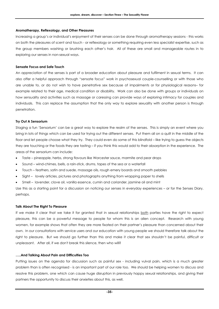#### **Aromatherapy, Reflexology, and Other Pleasures**

Increasing a group's or individual's enjoyment of their senses can be done through aromatherapy sessions - this works on both the pleasures of scent and touch - or reflexology or something requiring even less specialist expertise, such as the group members washing or brushing each other's hair. All of these are small and manageable routes in to exploring our senses in non-sexual ways.

#### **Sensate Focus and Safe Touch**

An appreciation of the senses is part of a broader education about pleasure and fulfilment in sexual terms. It can also offer a helpful approach through "sensate focus" work in psychosexual couple-counselling or with those who are unable to, or do not wish to have penetrative sex because of impairments or for physiological reasons– for example related to their age, medical condition or disability. Work can also be done with groups or individuals on how sensuality and activities such as massage or caressing can provide ways of exploring intimacy for couples and individuals. This can replace the assumption that the only way to explore sexuality with another person is through penetration.

#### **Try Out A Sensorium**

Staging a fun 'Sensorium' can be a great way to explore the realm of the senses. This is simply an event where you bring in lots of things which can be used for trying out the different senses. Put them all on a quilt in the middle of the floor and let people choose what they try. They could even do some of this blindfold – like trying to guess the objects they are touching or the foods they are tasting – if you think this would add to their absorption in the experience. The areas of the sensorium can include:

- Taste pineapple, herbs, strong flavours like Worcester sauce, marmite and pear drops
- Sound wind-chimes, bells, a rain-stick, drums, tapes of the sea or a waterfall
- Touch feathers, satin and suede, massage oils, rough emery boards and smooth pebbles
- Sight lovely articles, pictures and photographs anything from wrapping paper to shells
- Smell lavender, clove oil, vanilla essence, cumin and coriander, jasmine oil and mint

Use this as a starting point for a discussion on noticing our senses in everyday experiences – or for the Senses Diary, perhaps.

#### **Talk About The Right To Pleasure**

If we make it clear that we take it for granted that in sexual relationships both parties have the right to expect pleasure, this can be a powerful message to people for whom this is an alien concept. Research with young women, for example shows that often they are more fixated on their partner's pleasure than concerned about their own. In our consultations with service users and our education with young people we should therefore talk about the right to pleasure. But we should go further than this and make it clear that sex shouldn't be painful, difficult or unpleasant. After all, if we don't break this silence, then who will?

#### **…..And Talking About Pain and Difficulties Too**

Putting issues on the agenda for discussion such as painful sex - including vulval pain, which is a much greater problem than is often recognised - is an important part of our role too. We should be helping women to discuss and resolve this problem, one which can cause huge disruption in previously happy sexual relationships, and giving their partners the opportunity to discuss their anxieties about this, as well.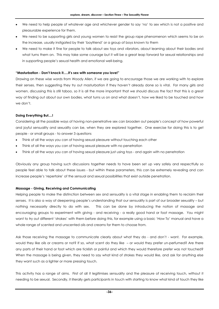- We need to help people of whatever age and whichever gender to say 'no' to sex which is not a positive and pleasurable experience for them.
- We need to be supporting girls and young women to resist the group rape phenomenon which seems to be on the increase, usually instigated by their 'boyfriend' or a group of boys known to them
- We need to make it fine for people to talk about sex toys and vibrators, about learning about their bodies and what turns them on. This may take some courage but it will be a great leap forward for sexual relationships and in supporting people's sexual health and emotional well-being.

# **"Masturbation - Don't knock it.....it's sex with someone you love!"**

Drawing on these wise words from Woody Allen, if we are going to encourage those we are working with to explore their senses, then suggesting they try out masturbation if they haven't already done so is vital. For many girls and women, discussing this is still taboo, so it is all the more important that we should discuss the fact that this is a great way of finding out about our own bodies, what turns us on and what doesn't, how we liked to be touched and how we don't.

# **Doing Everything But....!**

Considering all the possible ways of having non-penetrative sex can broaden out people's concept of how powerful and joyful sensuality and sexuality can be, when they are explored together. One exercise for doing this is to get people - or small groups - to answer 3 questions

- Think of all the ways you can of having sexual pleasure without touching each other
- Think of all the ways you can of having sexual pleasure with no penetration
- Think of all the ways you can of having sexual pleasure just using toys and again with no penetration

Obviously any group having such discussions together needs to have been set up very safely and respectfully so people feel able to talk about these issues - but within these parameters, this can be extremely revealing and can increase people's 'repertoire' of the sensual and sexual possibilities that exist outside penetration.

# **Massage - Giving, Receiving and Communicating**

Helping people to make the distinction between sex and sensuality is a vital stage in enabling them to reclaim their senses. It is also a way of deepening people's understanding that our sensuality is part of our broader sexuality – but nothing necessarily directly to do with sex. This can be done by introducing the notion of massage and encouraging groups to experiment with giving - and receiving - a really good hand or foot massage. You might want to try out different 'strokes' with them before doing this, for example using a basic 'How To' manual and have a whole range of scented and unscented oils and creams for them to choose from.

Ask those receiving the massage to communicate clearly about what they do - and don't - want. For example, would they like oils or creams or not? If so, what scent do they like – or would they prefer un-perfumed? Are there any parts of their hand or foot which are ticklish or painful and which they would therefore prefer was not touched? When the massage is being given, they need to say what kind of strokes they would like, and ask for anything else they want such as a lighter or more pressing touch.

This activity has a range of aims. First of all it legitimises sensuality and the pleasure of receiving touch, without it needing to be sexual. Secondly, it literally gets participants in touch with starting to know what kind of touch they like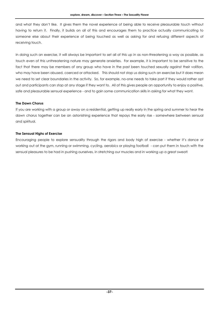and what they don't like. It gives them the novel experience of being able to receive pleasurable touch without having to return it. Finally, it builds on all of this and encourages them to practice actually communicating to someone else about their experience of being touched as well as asking for and refusing different aspects of receiving touch.

In doing such an exercise, it will always be important to set all of this up in as non-threatening a way as possible, as touch even of this unthreatening nature may generate anxieties. For example, it is important to be sensitive to the fact that there may be members of any group who have in the past been touched sexually against their volition, who may have been abused, coerced or attacked. This should not stop us doing such an exercise but it does mean we need to set clear boundaries in the activity. So, for example, no-one needs to take part if they would rather opt out and participants can stop at any stage if they want to. All of this gives people an opportunity to enjoy a positive, safe and pleasurable sensual experience - and to gain some communication skills in asking for what they want.

# **The Dawn Chorus**

If you are working with a group or away on a residential, getting up really early in the spring and summer to hear the dawn chorus together can be an astonishing experience that repays the early rise - somewhere between sensual and spiritual.

# **The Sensual Highs of Exercise**

Encouraging people to explore sensuality through the rigors and body high of exercise - whether it's dance or working out at the gym, running or swimming, cycling, aerobics or playing football - can put them in touch with the sensual pleasures to be had in pushing ourselves, in stretching our muscles and in working up a great sweat!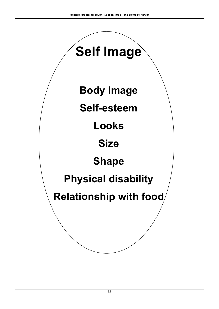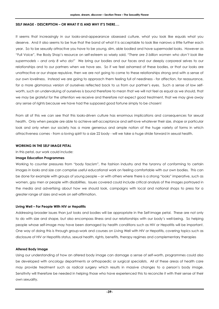# **SELF IMAGE - DESCRIPTION – OR WHAT IT IS AND WHY IT'S THERE….**

It seems that increasingly in our looks-and-appearance obsessed culture, what you look like equals what you deserve. And it also seems to be true that the band of what it is acceptable to look like narrows a little further each year. So to be sexually attractive you have to be young, slim, able bodied and have supermodel looks. However as "Full Voice", the Body Shop's resource on self-esteem so wisely said, *"There are 3 billion women who don't look like supermodels – and only 8 who do!"* We bring our bodies and our faces and our deeply corporeal selves to our relationships and to our partners when we have sex. So if we feel ashamed of these bodies, or that our looks are unattractive or our shape repulsive, then we are not going to come to these relationships strong and with a sense of our own loveliness. Instead we are going to approach them feeling full of neediness - for affection, for reassurance, for a more glamorous version of ourselves reflected back to us from our partner's eyes. Such a sense of low selfworth, such an undervaluing of ourselves is bound therefore to mean that we will not feel as equal as we should, that we may be grateful for the attention we receive and therefore not expect good treatment, that we may give away any sense of rights because we have had the supposed good fortune simply to be chosen!

From all of this we can see that this looks-driven culture has enormous implications and consequences for sexual health. Only when people are able to achieve self-acceptance and self-love whatever their size, shape or particular look and only when our society has a more generous and ample notion of the huge variety of forms in which attractiveness comes - from a loving spirit to a size 22 body - will we take a huge stride forward in sexual health.

# **WORKING IN THE SELF IMAGE PETAL**

In this petal, our work could include:

# **Image Education Programmes**

Working to counter pressures from "body fascism", the fashion industry and the tyranny of conforming to certain images in looks and size can comprise useful educational work on feeling comfortable with our own bodies. This can be done for example with groups of young people – or with others where there is a strong "looks" imperative, such as women, gay men or people with disabilities. Issues covered could include critical analysis of the images portrayed in the media and advertising about how we should look, campaigns with local and national shops to press for a greater range of sizes and work on self-affirmation.

# **Living Well – For People With HIV or Hepatitis**

Addressing broader issues than just looks and bodies will be appropriate in the Self-image petal. These are not only to do with size and shape, but also encompass illness and our relationships with our body's well-being. So helping people whose self-image may have been damaged by health conditions such as HIV or Hepatitis will be important. One way of doing this is through group-work and courses on Living Well with HIV or Hepatitis, covering topics such as disclosure of HIV or Hepatitis status, sexual health, rights, benefits, therapy regimes and complementary therapies

# **Altered Body Image**

Using our understanding of how an altered body image can damage a sense of self-worth, programmes could also be developed with oncology departments or orthopaedic or surgical specialists. All of these areas of health care may provide treatment such as radical surgery which results in massive changes to a person's body image. Sensitivity will therefore be needed in helping those who have experienced this to reconcile it with their sense of their own sexuality.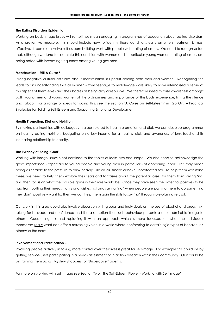# **The Eating Disorders Epidemic**

Working on body image issues will sometimes mean engaging in programmes of education about eating disorders. As a preventive measure, this should include how to identify these conditions early on when treatment is most effective. It can also involve self-esteem building work with people with eating disorders. We need to recognise too that, although we tend to associate this condition with women and in particular young women, eating disorders are being noted with increasing frequency among young gay men.

# **Menstruation - Still A Curse?**

Strong negative cultural attitudes about menstruation still persist among both men and women. Recognising this leads to an understanding that all women - from teenage to middle-age - are likely to have internalised a sense of this aspect of themselves and their bodies as being dirty or repulsive. We therefore need to raise awareness amongst both young men and young women of the ordinariness and importance of this body experience, lifting the silence and taboo. For a range of ideas for doing this, see the section 'A Curse on Self-Esteem' in 'Go Girls – Practical Strategies for Building Self-Esteem and Supporting Emotional Development.'

# **Health Promotion, Diet and Nutrition**

By making partnerships with colleagues in areas related to health promotion and diet, we can develop programmes on healthy eating, nutrition, budgeting on a low income for a healthy diet, and awareness of junk food and its increasing relationship to obesity.

# **The Tyranny of Being 'Cool'**

Working with image issues is not confined to the topics of looks, size and shape. We also need to acknowledge the great importance - especially to young people and young men in particular - of appearing 'cool'. This may mean being vulnerable to the pressure to drink heavily, use drugs, smoke or have unprotected sex. To help them withstand these, we need to help them explore their fears and fantasies about the potential losses for them from saying 'no' and then focus on what the possible gains in their lives would be. Once they have seen the potential positives to be had from putting their needs, rights and wishes first and saying "no" when people are pushing them to do something they don't positively want to, then we can help them gain the skills to say 'no' through role-playing refusal.

Our work in this area could also involve discussion with groups and individuals on the use of alcohol and drugs, risktaking for bravado and confidence and the assumption that such behaviour presents a cool, admirable image to others. Questioning this and replacing it with an approach which is more focussed on what the individuals themselves really want can offer a refreshing voice in a world where conforming to certain rigid types of behaviour is otherwise the norm.

# **Involvement and Participation –**

Involving people actively in taking more control over their lives is great for self-image. For example this could be by getting service-users participating in a needs assessment or in action research within their community. Or it could be by training them up as 'Mystery Shoppers' or 'Undercover' agents.

For more on working with self image see Section Two, 'The Self-Esteem Flower - Working with Self Image'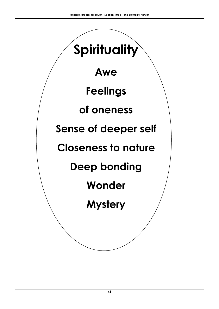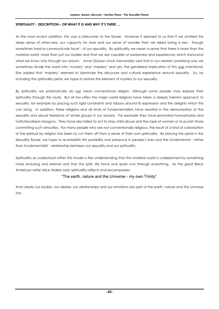# **SPIRITUALITY - DESCRIPTION – OR WHAT IT IS AND WHY IT'S THERE….**

As the most recent addition, this was a latecomer to the flower. However it seemed to us that if we omitted this deep sense of other-ness, our capacity for awe and our sense of wonder then we risked losing a key - though sometimes hard-to-communicate facet - of our sexuality. By spirituality we mean a sense that there is more than the material world, more than just our bodies and that we are capable of awareness and experiences which transcend what we know only through our reason. Anne Dickson once memorably said that in our western polarising way we sometimes divide the world into 'mystery' and 'mastery' and yes, the gendered implication of this was intentional. She added that 'mastery' seemed to dominate the discourse and cultural experience around sexuality. So, by including the spirituality petal, we hope to restore the element of mystery to our sexuality.

By spirituality we emphatically do not mean conventional religion, although some people may explore their spirituality through this route. But all too often the major world religions have taken a deeply harmful approach to sexuality, for example by placing such rigid constraints and taboos around its expression and the delights which this can bring. In addition, these religions and all kinds of fundamentalism have resulted in the demonisation of the sexuality and sexual freedoms of whole groups in our society. For example they have promoted homophobia and institutionalised misogyny. They have also failed to act to stop child abuse and the rape of women or to punish those committing such atrocities. For many people who are not conventionally religious, the result of a kind of colonisation of the spiritual by religion has been to cut them off from a sense of their own spirituality. By placing this petal in the Sexuality flower, we hope to re-establish this possibility and presence in people's lives and the fundamental - rather than fundamentalist - relationship between our sexuality and our spirituality.

Spirituality as understood within this model is the understanding that the material world is underpinned by something more enduring and eternal and that this spirit, life force and spark runs through everything. As the great Black American writer Alice Walker said, spirituality reflects and encompasses:

# "The earth, nature and the Universe - my own Trinity".

And clearly our bodies, our desires, our relationships and our emotions are part of the earth, nature and the Universe too.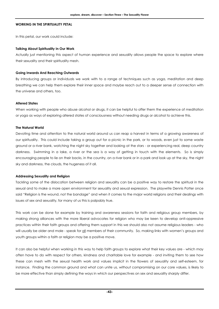# **WORKING IN THE SPIRITUALITY PETAL**

In this petal, our work could include:

# **Talking About Spirituality In Our Work**

Actually just mentioning this aspect of human experience and sexuality allows people the space to explore where their sexuality and their spirituality mesh.

# **Going Inwards And Reaching Outwards**

By introducing groups or individuals we work with to a range of techniques such as yoga, meditation and deep breathing we can help them explore their inner space and maybe reach out to a deeper sense of connection with the universe and others, too.

# **Altered States**

When working with people who abuse alcohol or drugs, it can be helpful to offer them the experience of meditation or yoga as ways of exploring altered states of consciousness without needing drugs or alcohol to achieve this.

# **The Natural World**

Devoting time and attention to the natural world around us can reap a harvest in terms of a growing awareness of our spirituality. This could include taking a group out for a picnic in the park, or to woods, even just to some waste ground or a river bank, watching the night sky together and looking at the stars - or experiencing real, deep country darkness. Swimming in a lake, a river or the sea is a way of getting in touch with the elements. So is simply encouraging people to lie on their backs, in the country, on a river bank or in a park and look up at the sky, the night sky and darkness, the clouds, the hugeness of it all.

# **Addressing Sexuality and Religion**

Tackling some of the dislocation between religion and sexuality can be a positive way to restore the spiritual in the sexual and to make a more open environment for sexuality and sexual expression. The playwrite Dennis Potter once said "Religion is the wound, not the bandage" and when it comes to the major world religions and their dealings with issues of sex and sexuality, for many of us this is palpably true.

This work can be done for example by training and awareness sessions for faith and religious group members, by making strong alliances with the more liberal advocates for religion who may be keen to develop anti-oppressive practices within their faith groups and offering them support in this we should also not assume religious leaders - who will usually be older and male - speak for all members of their community. So, making links with women's groups and youth groups within a faith or religion may be a positive move.

It can also be helpful when working in this way to help faith groups to explore what their key values are - which may often have to do with respect for others, kindness and charitable love for example - and inviting them to see how these can mesh with the sexual health work and values implicit in the flowers of sexuality and self-esteem, for instance. Finding the common ground and what can unite us, without compromising on our core values, is likely to be more effective than simply defining the ways in which our perspectives on sex and sexuality sharply differ.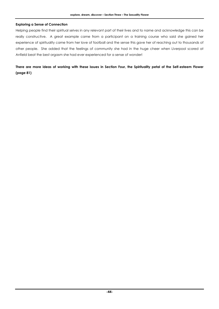# **Exploring a Sense of Connection**

Helping people find their spiritual selves in any relevant part of their lives and to name and acknowledge this can be really constructive. A great example came from a participant on a training course who said she gained her experience of spirituality came from her love of football and the sense this gave her of reaching out to thousands of other people. She added that the feelings of community she had in the huge cheer when Liverpool scored at Anfield beat the best orgasm she had ever experienced for a sense of wonder!

**There are more ideas of working with these issues in Section Four, the Spirituality petal of the Self-esteem Flower (page 81)**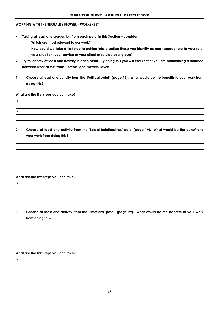# **WORKING WITH THE SEXUALITY FLOWER - WORKSHEET**

• **Taking at least one suggestion from each petal in this Section – consider** 

**Which are most relevant to our work?** 

- **How could we take a first step to putting into practice those you identify as most appropriate to your role, your situation, your service or your client or service-user group?**
- **Try to identify at least one activity in each petal. By doing this you will ensure that you are maintaining a balance between work at the 'roots', 'stems' and 'flowers' levels.**
- **1. Choose at least one activity from the 'Political petal' (page 15). What would be the benefits to your work from doing this?**

# **What are the first steps you can take?**

- **i)**
- **2. Choose at least one activity from the 'Social Relationships' petal (page 19). What would be the benefits to your work from doing this?**

# **What are the first steps you can take?**

**i)** 

**ii)** 

- **ii)**
- **3. Choose at least one activity from the 'Emotions' petal (page 29). What would be the benefits to your work from doing this?**

#### **What are the first steps you can take?**

**i)** 

**ii)**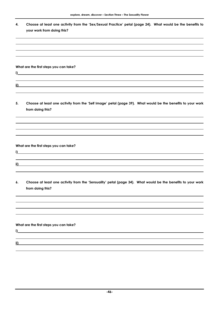| Choose at least one activity from the 'Sex/Sexual Practice' petal (page 24). What would be the benefits to |
|------------------------------------------------------------------------------------------------------------|
| your work from doing this?                                                                                 |

# **What are the first steps you can take?**

**ii)** 

**i)** 

**5. Choose at least one activity from the 'Self Image' petal (page 39). What would be the benefits to your work from doing this?** 

**What are the first steps you can take?** 

**i)** 

**ii)** 

**6. Choose at least one activity from the 'Sensuality' petal (page 34). What would be the benefits to your work from doing this?** 

**What are the first steps you can take?** 

**ii)** 

**i)**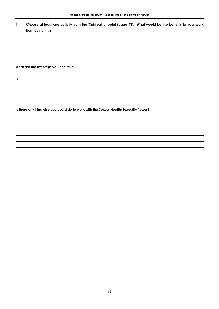**7. Choose at least one activity from the 'Spirituality' petal (page 43). What would be the benefits to your work from doing this?** 

**What are the first steps you can take?** 

**i)** 

**ii)** 

**Is there anything else you could do to work with the Sexual Health/Sexuality flower?**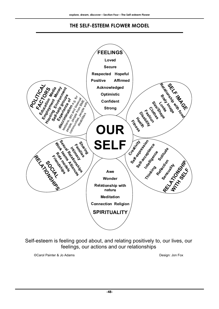# **THE SELF-ESTEEM FLOWER MODEL**



Self-esteem is feeling good about, and relating positively to, our lives, our feelings, our actions and our relationships

©Carol Painter & Jo Adams Design: Jon Fox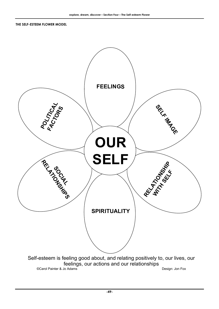**THE SELF-ESTEEM FLOWER MODEL** 

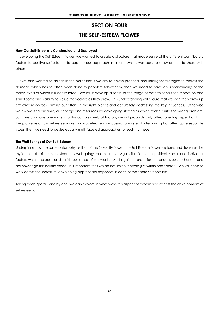# **SECTION FOUR THE SELF-ESTEEM FLOWER**

# **How Our Self-Esteem is Constructed and Destroyed**

In developing the Self-Esteem flower, we wanted to create a structure that made sense of the different contributory factors to positive self-esteem, to capture our approach in a form which was easy to draw and so to share with others.

But we also wanted to do this in the belief that if we are to devise practical and intelligent strategies to redress the damage which has so often been done to people's self-esteem, then we need to have an understanding of the many levels at which it is constructed. We must develop a sense of the range of determinants that impact on and sculpt someone's ability to value themselves as they grow. This understanding will ensure that we can then draw up effective responses, putting our efforts in the right places and accurately addressing the key influences. Otherwise we risk wasting our time, our energy and resources by developing strategies which tackle quite the wrong problem. So, if we only take one route into this complex web of factors, we will probably only affect one tiny aspect of it. If the problems of low self-esteem are multi-faceted, encompassing a range of intertwining but often quite separate issues, then we need to devise equally multi-faceted approaches to resolving these.

# **The Well Springs of Our Self-Esteem**

Underpinned by the same philosophy as that of the Sexuality flower, the Self-Esteem flower explores and illustrates the myriad facets of our self-esteem, its well-springs and sources. Again it reflects the political, social and individual factors which increase or diminish our sense of self-worth. And again, in order for our endeavours to honour and acknowledge this holistic model, it is important that we do not limit our efforts just within one "petal". We will need to work across the spectrum, developing appropriate responses in each of the "petals" if possible.

Taking each "petal" one by one, we can explore in what ways this aspect of experience affects the development of self-esteem.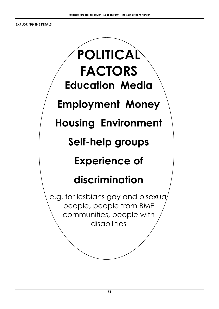**EXPLORING THE PETALS** 

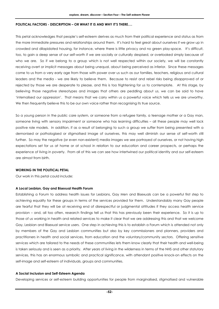# **POLITICAL FACTORS - DESCRIPTION – OR WHAT IT IS AND WHY IT'S THERE….**

This petal acknowledges that people's self-esteem derives as much from their political experience and status as from the more immediate pressures and relationships around them. It's hard to feel great about ourselves if we grow up in crowded and dilapidated housing, for instance, where there is little privacy and no green play-space. It's difficult, too, to gain a deep sense of our self-worth if we are socially or culturally despised, or overlooked simply because of who we are. So if we belong to a group which is not well respected within our society, we will be constantly receiving overt or implicit messages about being unequal, about being perceived as inferior. Since these messages come to us from a very early age from those with power over us such as our families, teachers, religious and cultural leaders and the media - we are likely to believe them. Because to resist and rebel risks being disapproved of or rejected by those we are desperate to please, and this is too frightening for us to contemplate. At this stage, by believing those negative stereotypes and images that others are peddling about us, we can be said to have 'internalised our oppression'. That means that we carry within us a powerful voice which tells us we are unworthy. We then frequently believe this to be our own voice rather than recognising its true source.

So a young person in the public care system, or someone from a refugee family, a teenage mother or a Gay man, someone living with sensory impairment or someone who has learning difficulties – all these people may well lack positive role models. In addition, if as a result of belonging to such a group we suffer from being presented with a demonised or pathologised or stigmatised image of ourselves, this may well diminish our sense of self-worth still further. So may the negative (or even non-existent) media images we see portrayed of ourselves, or not having high expectations set for us at home or at school in relation to our education and career prospects, or perhaps the experience of living in poverty. From all of this we can see how intertwined our political identity and our self-esteem are almost from birth.

# **WORKING IN THE POLITICAL PETAL**

Our work in this petal could include:

# **A Local Lesbian, Gay and Bisexual Health Forum**

Establishing a Forum to address health issues for Lesbians, Gay Men and Bisexuals can be a powerful first step to achieving equality for these groups in terms of the services provided for them. Understandably many Gay people are fearful that they will be at receiving end of disrespectful or judgmental attitudes if they access health service provision – and, all too often, research findings tell us that this has previously been their experience. So it is up to those of us working in health and related services to make it clear that we are addressing this and that we welcome Gay, Lesbian and Bisexual service users. One step in achieving this is to establish a Forum which is attended not only by members of the Gay and Lesbian communities but also by key commissioners and planners, providers and practitioners in health and social services, from education and the voluntary/community sectors. Offering sensitive services which are tailored to the needs of these communities lets them know clearly that their health and well-being is taken seriously and is seen as a priority. After years of living in the wilderness in terms of the NHS and other statutory services, this has an enormous symbolic and practical significance, with attendant positive knock-on effects on the self-image and self-esteem of individuals, groups and communities.

# **A Social Inclusion and Self-Esteem Agenda**

Developing services or self-esteem building opportunities for people from marginalised, stigmatised and vulnerable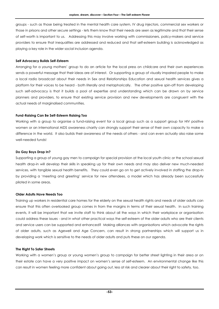groups - such as those being treated in the mental health care system, IV drug injectors, commercial sex workers or those in prisons and other secure settings - lets them know that their needs are seen as legitimate and that their sense of self-worth is important to us. Addressing this may involve working with commissioners, policy-makers and service providers to ensure that inequalities are addressed and reduced and that self-esteem building is acknowledged as playing a key role in the wider social inclusion agenda.

# **Self Advocacy Builds Self-Esteem**

Arranging for a young mothers' group to do an article for the local press on childcare and their own experiences sends a powerful message that their ideas are of interest. Or supporting a group of visually impaired people to make a local radio broadcast about their needs in Sex and Relationships Education and sexual health services gives a platform for their voices to be heard - both literally and metaphorically. The other positive spin-off from developing such self-advocacy is that it builds a pool of expertise and understanding which can be drawn on by service planners and providers, to ensure that existing service provision and new developments are congruent with the actual needs of marginalised communities.

# **Fund-Raising Can Be Self-Esteem Raising Too**

Working with a group to organise a fund-raising event for a local group such as a support group for HIV positive women or an international AIDS awareness charity can strongly support their sense of their own capacity to make a difference in the world. It also builds their awareness of the needs of others - and can even actually also raise some well-needed funds!

# **Do Gay Boys Drop In?**

Supporting a group of young gay men to campaign for special provision at the local youth clinic or the school sexual health drop-in will develop their skills in speaking up for their own needs and may also deliver new much-needed services, with tangible sexual health benefits. They could even go on to get actively involved in staffing the drop-in by providing a 'meeting and greeting' service for new attendees, a model which has already been successfully piloted in some areas.

# **Older Adults Have Needs Too**

Training up workers in residential care homes for the elderly on the sexual health rights and needs of older adults can ensure that this often overlooked group comes in from the margins in terms of their sexual health. In such training events, it will be important that we invite staff to think about all the ways in which their workplace or organisation could address these issues - and in what other practical ways the self-esteem of the older adults who are their clients and service users can be supported and enhanced? Making alliances with organisations which advocate the rights of older adults, such as Agewell and Age Concern, can result in strong partnerships which will support us in developing work which is sensitive to the needs of older adults and puts these on our agenda.

# **The Right To Safer Streets**

Working with a women's group or young women's group to campaign for better street lighting in their area or on their estate can have a very positive impact on women's sense of self-esteem. An environmental change like this can result in women feeling more confident about going out, less at risk and clearer about their right to safety, too.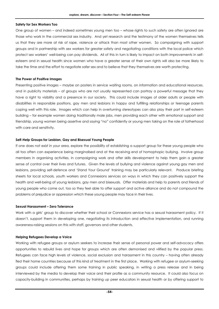#### **Safety for Sex Workers Too**

One group of women – and indeed sometimes young men too – whose rights to such safety are often ignored are those who work in the commercial sex industry. And yet research and the testimony of the women themselves tells us that they are more at risk of rape, violence or attack than most other women. So campaigning with support groups and in partnership with sex workers for greater safety and negotiating conditions with the local police which protect sex workers' well-being can pay dividends. All of this in turn is likely to impact on both improvements in selfesteem and in sexual health since women who have a greater sense of their own rights will also be more likely to take the time and the effort to negotiate safer sex and to believe that they themselves are worth protecting.

# **The Power of Positive Images**

Presenting positive images – maybe on posters in service waiting rooms, on information and educational resources, and in publicity materials – of groups who are not usually represented can portray a powerful message that they have a right to visibility and a presence in our society. This could include images of older adults or people with disabilities in responsible positions, gay men and lesbians in happy and fulfilling relationships or teenage parents coping well with this role. Images which can help in overturning stereotypes can also play their part in self-esteem building – for example women doing traditionally male jobs, men providing each other with emotional support and friendship, young women being assertive and saying "no" confidently or young men taking on the role of fatherhood with care and sensitivity.

# **Self-Help Groups for Lesbian, Gay and Bisexual Young People**

If one does not exist in your area, explore the possibility of establishing a support group for these young people who all too often can experience being marginalised and at the receiving end of homophopic bullying. Involve group members in organising activities, in campaigning work and offer skills development to help them gain a greater sense of control over their lives and futures. Given the levels of bullying and violence against young gay men and lesbians, providing self-defence and 'Stand Your Ground' training may be particularly relevant. Produce briefing sheets for local schools, youth workers and Connexions services on ways in which they can positively support the health and well-being of young lesbians, gay men and bisexuals. Offer materials and help to parents and friends of young people who come out, too so they feel able to offer support and active alliance and do not compound the problems of prejudice or oppression which these young people may face in their lives.

# **Sexual Harassment – Zero Tolerance**

Work with a girls' group to discover whether their school or Connexions service has a sexual harassment policy. If it doesn't, support them in developing one, negotiating its introduction and effective implementation, and running awareness-raising sessions on this with staff, governors and other students.

# **Helping Refugees Develop a Voice**

Working with refugee groups or asylum seekers to increase their sense of personal power and self-advocacy offers opportunities to rebuild lives and hope for groups which are often demonised and vilified by the popular press. Refugees can face high levels of violence, social exclusion and harassment in this country – having often already fled their home countries because of this kind of treatment in the first place. Working with refugee or asylum-seeking groups could include offering them some training in public speaking, in writing a press release and in being interviewed by the media to develop their voice and their profile as a community resource. It could also focus on capacity-building in communities, perhaps by training up peer educators in sexual health or by offering support to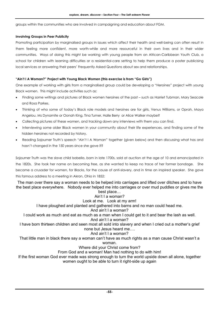groups within the communities who are involved in campaigning and education about FGM.

# **Involving Groups in Peer Publicity**

Promoting participation by marginalised groups in issues which affect their health and well-being can often result in them feeling more confident, more worth-while and more resourceful in their own lives and in their wider communities. Ways of doing this might be working with young people from an African-Caribbean Youth Club, a school for children with learning difficulties or a residential-care setting to help them produce a poster publicising local services or answering their peers' Frequently Asked Questions about sex and relationships.

# **"Ain't I A Woman?" Project with Young Black Women (this exercise is from "Go Girls")**

One example of working with girls from a marginalised group could be developing a "Heroines" project with young Black women. This might include activities such as:

- Finding some writings and pictures of Black women heroines of the past such as Harriet Tubman, Mary Seacole and Rosa Parkes.
- Thinking of who some of today's Black role models and heroines are for girls, Venus Williams, or Oprah, Maya Angelou, Ms Dynamite or Oonah King, Tina Turner, Halle Berry or Alice Walker maybe?
- Collecting pictures of these women, and tracking down any interviews with them you can find.
- Interviewing some older Black women in your community about their life experiences, and finding some of the hidden heroines not recorded by history.
- Reading Sojourner Truth's speech "Ain't I A Woman" together (given below) and then discussing what has and hasn't changed in the 150 years since she gave it?

Sojourner Truth was the slave child Isabella, born in late 1700s, sold at auction at the age of 10 and emancipated in the 1820s. She took her name on becoming free, as she wanted to keep no trace of her former bondage. She became a crusader for women, for Blacks, for the cause of anti-slavery, and in time an inspired speaker. She gave this famous address to a meeting in Akron, Ohio in 1852:

The man over there say a woman needs to be helped into carriages and lifted over ditches and to have the best place everywhere. Nobody ever helped me into carriages or over mud puddles or gives me the best place…

# Ain't I a woman?

# Look at me. Look at my arm!

I have ploughed and planted and gathered into barns and no man could head me.

# And ain't I a woman?

I could work as much and eat as much as a man when I could get to it and bear the lash as well. And ain't I a woman?

I have born thirteen children and seen most all sold into slavery and when I cried out a mother's grief none but Jesus heard me….

# And ain't I a woman?

That little man in black there say a woman can't have as much rights as a man cause Christ wasn't a woman.

Where did your Christ come from?

From God and a woman! Man had nothing to do with him!

If the first woman God ever made was strong enough to turn the world upside down all alone, together women ought to be able to turn it right-side up again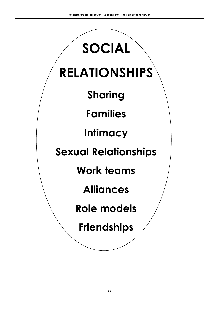# **RELATIONSHIPS**

**SOCIAL** 

**Sharing** 

**Families** 

**Intimacy** 

**Sexual Relationships** 

**Work teams** 

**Alliances** 

**Role models** 

**Friendships**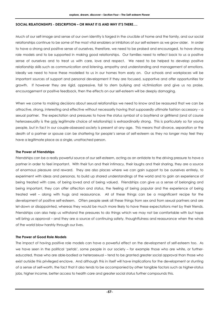# **SOCIAL RELATIONSHIPS - DESCRIPTION – OR WHAT IT IS AND WHY IT'S THERE….**

Much of our self-image and sense of our own identity is forged in the crucible of home and the family, and our social relationships continue to be some of the most vital enablers or inhibitors of our self-esteem as we grow older. In order to have a strong and positive sense of ourselves, therefore, we need to be praised and encouraged, to have strong role models and to be supported in making good relationships. Our families need to reflect back to us a positive sense of ourselves and to treat us with care, love and respect. We need to be helped to develop positive relationship skills such as communication and listening, empathy and understanding and management of emotions. Ideally we need to have these modelled to us in our homes from early on. Our schools and workplaces will be important sources of support and personal development if they are focused, supportive and offer opportunities for growth. If however they are rigid, oppressive, fail to stem bullying and victimisation and give us no praise, encouragement or positive feedback, then the effects on our self-esteem will be deeply damaging.

When we come to making decisions about sexual relationships we need to know and be reassured that we can be attractive, strong, interesting and effective without necessarily having that supposedly ultimate fashion accessory – a sexual partner. The expectation and pressures to have the status symbol of a boyfriend or girlfriend (and of course heterosexuality is the only legitimate choice of relationship) is extraordinarily strong. This is particularly so for young people, but in fact in our couple-obsessed society is present at any age. This means that divorce, separation or the death of a partner or spouse can be shattering for people's sense of self-esteem as they no longer may feel they have a legitimate place as a single, unattached person.

# **The Power of Friendships**

Friendships can be a really powerful source of our self-esteem, acting as an antidote to the driving pressure to have a partner in order to feel important. With their fun and their intimacy, their laughs and their sharing, they are a source of enormous pleasure and reward. They are also places where we can gain support to be ourselves entirely, to experiment with ideas and personas, to build up shared understandings of the world and to gain an experience of being treated with care, of being loved and of being valued. Friendships can give us a sense of belonging and being important, they can offer affection and status, the feeling of being popular and the experience of being treated well – along with hugs and reassurance. All of these things can be a magnificent recipe for the development of positive self-esteem. Often people seek all these things from sex and from sexual partners and are let-down or disappointed, whereas they would be much more likely to have these expectations met by their friends. Friendships can also help us withstand the pressures to do things which we may not be comfortable with but hope will bring us approval – and they are a source of continuing safety, thoughtfulness and reassurance when the winds of the world blow harshly through our lives.

# **The Power of Good Role Models**

The impact of having positive role models can have a powerful effect on the development of self-esteem too. As we have seen in the political 'petals', some people in our society – for example those who are white, or furthereducated, those who are able-bodied or heterosexual – tend to be granted greater social approval than those who exist outside this privileged enclave. And although this in itself will have implications for the development or stunting of a sense of self-worth, the fact that it also tends to be accompanied by other tangible factors such as higher-status jobs, higher income, better access to health care and greater social status further compounds this.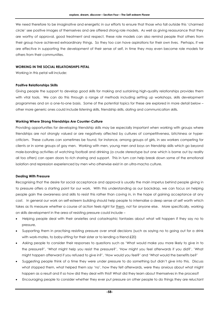We need therefore to be imaginative and energetic in our efforts to ensure that those who fall outside this 'charmed circle' see positive images of themselves and are offered strong role models. As well as giving reassurance that they are worthy of approval, good treatment and respect, these role models can also remind people that others from their group have achieved extraordinary things. So they too can have aspirations for their own lives. Perhaps, if we are effective in supporting the development of their sense of self, in time they may even become role models for others from their communities.

# **WORKING IN THE SOCIAL RELATIONSHIPS PETAL**

Working in this petal will include:

# **Positive Relationships Skills**

Giving people the support to develop good skills for making and sustaining high-quality relationships provides them with vital tools. We can do this through a range of methods including setting up workshops, skills development programmes and on a one-to-one basis. Some of the potential topics for these are explored in more detail below – other more generic ones could include listening skills, friendship skills, dating and communication skills.

# **Working Where Strong Friendships Are Counter-Culture**

Providing opportunities for developing friendship skills may be especially important when working with groups where friendships are not strongly valued or are negatively affected by cultures of competitiveness, bitchiness or hypercriticism. These cultures can sometimes be found, for instance, among groups of girls, in sex workers competing for clients or in some groups of gay men. Working with men, young men and boys on friendship skills which go beyond male-bonding activities of watching football and drinking (a crude stereotype but one which is borne out by reality all too often) can open doors to rich sharing and support. This in turn can help break down some of the emotional isolation and repression experienced by men who otherwise exist in an ultra-macho culture.

# **Dealing With Pressure**

Recognising that the desire for social acceptance and approval is usually the main impetus behind people giving in to pressure offers a starting point for our work. With this understanding as our backdrop, we can focus on helping people gain the awareness and skills to resist this rather than caving in, in the hope of gaining acceptance at any cost. In general our work on self-esteem building should help people to internalise a deep sense of self worth which takes as its measure whether a course of action feels right for them, not for anyone else. More specifically, working on skills development in the area of resisting pressure could include –

- Helping people deal with their anxieties and catastrophic fantasies about what will happen if they say no to pressure,
- Supporting them in practising resisting pressure over small decisions (such as saying no to going out for a drink with work-mates, to baby-sitting for their sister or to lending a friend £20)
- Asking people to consider their responses to questions such as 'What would make you more likely to give in to the pressure?', 'What might help you resist the pressure?', 'How might you feel afterwards if you did?', 'What might happen afterward if you refused to give in?', 'How would you feel?' and 'What would the benefits be?'
- Suggesting people think of a time they were under pressure to do something but didn't give into this. Discuss what stopped them, what helped them say 'no', how they felt afterwards, were they anxious about what might happen as a result and if so how did they deal with this? What did they learn about themselves in the process?
- Encouraging people to consider whether they ever put pressure on other people to do things they are reluctant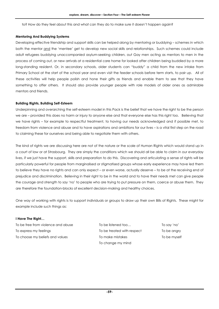to? How do they feel about this and what can they do to make sure it doesn't happen again?

# **Mentoring And Buddying Systems**

Developing effective friendship and support skills can be helped along by mentoring or buddying – schemes in which both the mentor and the 'mentee' get to develop new social skills and relationships. Such schemes could include adult refugees buddying unaccompanied asylum-seeking children, out Gay men acting as mentors to men in the process of coming out, or new arrivals at a residential care home for looked after children being buddied by a more long-standing resident. Or, in secondary schools, older students can "buddy" a child from the new intake from Primary School at the start of the school year and even visit the feeder schools before term starts, to pair up. All of these activities will help people polish and hone their gifts as friends and enable them to see that they have something to offer others. It should also provide younger people with role models of older ones as admirable mentors and friends.

# **Building Rights, Building Self-Esteem**

Underpinning and overarching the self-esteem model in this Pack is the belief that we have the right to be the person we are – provided this does no harm or injury to anyone else and that everyone else has this right too. Believing that we have rights – for example to respectful treatment, to having our needs acknowledged and if possible met, to freedom from violence and abuse and to have aspirations and ambitions for our lives – is a vital first step on the road to claiming these for ourselves and being able to negotiate them with others.

The kind of rights we are discussing here are not of the nature or the scale of Human Rights which would stand up in a court of law or at Strasbourg. They are simply the conditions which we should all be able to claim in our everyday lives, if we just have the support, skills and preparation to do this. Discovering and articulating a sense of rights will be particularly powerful for people from marginalised or stigmatised groups whose early experience may have led them to believe they have no rights and can only expect – or even worse, actually deserve – to be at the receiving end of prejudice and discrimination. Believing in their right to be in the world and to have their needs met can give people the courage and strength to say 'no' to people who are trying to put pressure on them, coerce or abuse them. They are therefore the foundation-blocks of excellent decision-making and healthy choices.

One way of working with rights is to support individuals or groups to draw up their own Bills of Rights. These might for example include such things as:

# **I Have The Right…**

To be free from violence and abuse To be listened too... To say 'no' To express my feelings To be treated with respect To be angry To choose my beliefs and values To make mistakes To be myself

To change my mind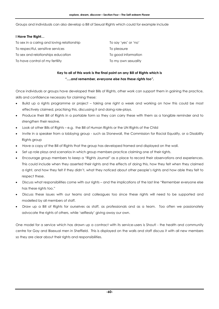Groups and individuals can also develop a Bill of Sexual Rights which could for example include

# **I Have The Right…**

| To sex in a caring and loving relationship | To say 'yes' or 'no' |
|--------------------------------------------|----------------------|
| To respect ful, sensitive services         | To pleasure          |
| To sex and relationships education         | To good information  |
| To have control of my fertility            | To my own sexuality  |

# **Key to all of this work is the final point on any Bill of Rights which is**  *"….and remember, everyone else has these rights too".*

Once individuals or groups have developed their Bills of Rights, other work can support them in gaining the practice, skills and confidence necessary for claiming these:

- Build up a rights programme or project taking one right a week and working on how this could be most effectively claimed, practising this, discussing it and doing role-plays.
- Produce their Bill of Rights in a portable form so they can carry these with them as a tangible reminder and to strengthen their resolve.
- Look at other Bills of Rights e.g. the Bill of Human Rights or the UN Rights of the Child
- Invite in a speaker from a lobbying group such as Stonewall, the Commission for Racial Equality, or a Disability Rights group
- Have a copy of the Bill of Rights that the group has developed framed and displayed on the wall.
- Set up role plays and scenarios in which group members practice claiming one of their rights.
- Encourage group members to keep a "Rights Journal" as a place to record their observations and experiences. This could include when they asserted their rights and the effects of doing this, how they felt when they claimed a right, and how they felt if they didn't, what they noticed about other people's rights and how able they felt to respect these.
- Discuss what responsibilities come with our rights and the implications of the last line "Remember everyone else has these rights too."
- Discuss these issues with our teams and colleagues too since these rights will need to be supported and modelled by all members of staff.
- Draw up a Bill of Rights for ourselves as staff, as professionals and as a team. Too often we passionately advocate the rights of others, while 'selflessly' giving away our own.

One model for a service which has drawn up a contract with its service-users is Shout! - the health and community centre for Gay and Bisexual men in Sheffield. This is displayed on the walls and staff discuss it with all new members so they are clear about their rights and responsibilities.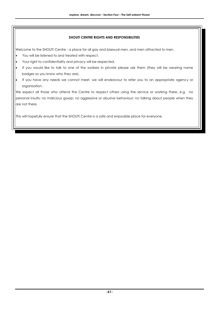# **SHOUT! CENTRE RIGHTS AND RESPONSIBILITIES**

Welcome to the SHOUT! Centre - a place for all gay and bisexual men, and men attracted to men.

- You will be listened to and treated with respect.
- Your right to confidentiality and privacy will be respected.
- If you would like to talk to one of the workers in private please ask them (they will be wearing name badges so you know who they are).
- If you have any needs we cannot meet, we will endeavour to refer you to an appropriate agency or organisation.

We expect all those who attend the Centre to respect others using the service or working there, e.g. no personal insults; no malicious gossip; no aggressive or abusive behaviour; no talking about people when they are not there.

This will hopefully ensure that the SHOUT! Centre is a safe and enjoyable place for everyone.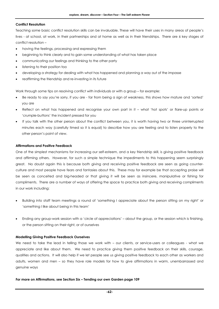# **Conflict Resolution**

Teaching some basic conflict resolution skills can be invaluable. These will have their uses in many areas of people's lives - at school, at work, in their partnerships and at home as well as in their friendships. There are 6 key stages of conflict resolution –

- having the feelings, processing and expressing them
- beginning to think clearly and to gain some understanding of what has taken place
- communicating our feelings and thinking to the other party
- listening to their position too
- developing a strategy for dealing with what has happened and planning a way out of the impasse
- reaffirming the friendship and re-investing in its future

Work through some tips on resolving conflict with individuals or with a group – for example:

- Be ready to say you're sorry, if you are far from being a sign of weakness, this shows how mature and 'sorted' you are
- Reflect on what has happened and recognise your own part in it what 'hot spots' or flare-up points or 'crumple-buttons' the incident pressed for you
- If you talk with the other person about the conflict between you, it is worth having two or three uninterrupted minutes each way (carefully timed so it is equal) to describe how you are feeling and to listen properly to the other person's point of view.

# **Affirmations and Positive Feedback**

One of the simplest mechanisms for increasing our self-esteem, and a key friendship skill, is giving positive feedback and affirming others. However, for such a simple technique the impediments to this happening seem surprisingly great. No doubt again this is because both giving and receiving positive feedback are seen as going counterculture and most people have fears and fantasies about this. These may for example be that accepting praise will be seen as conceited and big-headed or that giving it will be seen as insincere, manipulative or fishing for compliments. There are a number of ways of offering the space to practice both giving and receiving compliments in our work including:

- Building into staff team meetings a round of 'something I appreciate about the person sitting on my right' or 'something I like about being in this team'
- Ending any group-work session with a 'circle of appreciations' about the group, or the session which is finishing, or the person sitting on their right, or of ourselves

# **Modelling Giving Positive Feedback Ourselves**

We need to take the lead in telling those we work with – our clients, or service-users or colleagues - what we appreciate and like about them. We need to practice giving them positive feedback on their skills, courage, qualities and actions. It will also help if we let people see us giving positive feedback to each other as workers and adults, women and men – so they have role models for how to give affirmations in warm, unembarrassed and genuine ways

# **For more on Affirmations, see Section Six – Tending our own Garden page 109**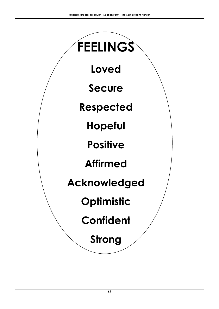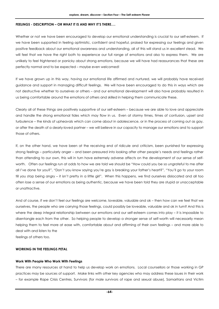# **FEELINGS - DESCRIPTION – OR WHAT IT IS AND WHY IT'S THERE….**

Whether or not we have been encouraged to develop our emotional understanding is crucial to our self-esteem. If we have been supported in feeling optimistic, confident and hopeful, praised for expressing our feelings and given positive feedback about our emotional awareness and understanding, all of this will stand us in excellent stead. We will feel that we have the right both to experience our full range of emotions and also to express them. We are unlikely to feel frightened or panicky about strong emotions, because we will have had reassurances that these are perfectly normal and to be expected – maybe even welcomed!

If we have grown up in this way, having our emotional life affirmed and nurtured, we will probably have received guidance and support in managing difficult feelings. We will have been encouraged to do this in ways which are not destructive whether to ourselves or others – and our emotional development will also have probably resulted in us being comfortable around the emotions of others and skilled in helping them communicate these.

Clearly all of these things are positively supportive of our self-esteem – because we are able to love and appreciate and handle the strong emotional tides which may flow in us. Even at stormy times, times of confusion, upset and turbulence – the kinds of upheavals which can come about in adolescence, or in the process of coming out as gay, or after the death of a dearly-loved partner – we will believe in our capacity to manage our emotions and to support those of others.

If, on the other hand, we have been at the receiving end of ridicule and criticism, been punished for expressing strong feelings – particularly anger – and been pressured into looking after other people's needs and feelings rather than attending to our own, this will in turn have extremely adverse affects on the development of our sense of selfworth. Often our feelings run at odds to how we are told we should be "How could you be so ungrateful to me after all I've done for you?", "Don't you know saying you're gay is breaking your father's heart?", "You'll go to your room till you stop being angry – it isn't pretty in a little girl". When this happens, we find ourselves dislocated and all too often lose a sense of our emotions as being authentic, because we have been told they are stupid or unacceptable or unattractive.

And of course, if we don't feel our feelings are welcome, loveable, valuable and ok – then how can we feel that we ourselves, the people who are carrying those feelings, could possibly be loveable, valuable and ok in turn? And this is where the deep integral relationship between our emotions and our self-esteem comes into play – it is impossible to disentangle each from the other. So helping people to develop a stronger sense of self-worth will necessarily mean helping them to feel more at ease with, comfortable about and affirming of their own feelings – and more able to deal with and listen to the

feelings of others too.

# **WORKING IN THE FEELINGS PETAL**

# **Work With People Who Work With Feelings**

There are many resources at hand to help us develop work on emotions. Local counsellors or those working in GP practices may be sources of support. Make links with other key agencies who may address these issues in their work – for example Rape Crisis Centres, Survivors (for male survivors of rape and sexual abuse), Samaritans and Victim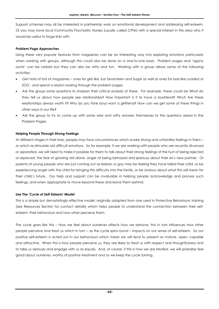Support schemes may all be interested in partnership work on emotional development and addressing self-esteem. Or you may have local Community Psychiatric Nurses (usually called CPNs) with a special interest in this area who it would be useful to forge links with.

# **Problem Page Approaches**

Using these very popular features from magazines can be an interesting way into exploring emotions particularly when working with groups, although this could also be done on a one-to-one basis. Problem pages and 'agony aunts' can be rubbish but they can also be witty and fun. Working with a group allows some of the following activities:

- Get hold of lots of magazines ones for girls like Just Seventeen and Sugar as well as ones for lads like Loaded or ZOO - and spend a session looking through the problem pages.
- Ask the group some questions to sharpen their critical analysis of these. For example, these could be What do they tell us about how people see relationships? How important is it to have a boyfriend? Why? Are these relationships always worth it? Why do you think boys want a girlfriend? How can we get some of these things in other ways in our life?
- Ask the group to try to come up with some wise and witty answers themselves to the questions asked in the Problem Pages.

# **Helping People Through Strong Feelings**

At different stages in their lives, people may face circumstances which evoke strong and unfamiliar feelings in them – or which re-stimulate old difficult emotions. So for example, if we are working with people who are recently divorced or separated, we will need to make it possible for them to talk about their strong feelings of the hurt of being rejected or replaced, the fear of growing old alone, anger at being betrayed and jealousy about their ex's new partner. Or parents of young people who are just coming out as lesbian or gay may be feeling they have failed their child, or be experiencing anger with the child for bringing this difficulty into the family, or be anxious about what this will mean for their child's future. Our help and support can be invaluable in helping people acknowledge and process such feelings, and when appropriate to move beyond these and leave them behind.

# **Use The 'Cycle of Self-Esteem' Model**

This is a simple but devastatingly effective model, originally adapted from one used in Protective Behaviours training (see Resources Section for contact details) which helps people to understand the connection between their selfesteem, their behaviours and how other perceive them.

The cycle goes like this – How we feel about ourselves affects how we behave, this in turn influences how other people perceive and treat us which in turn – as the cycle spins round – impacts on our sense of self-esteem. So our positive self-esteem is acted out in our behaviours which mean we will tend to present as mature, open, capable and attractive. When this is how people perceive us, they are likely to treat us with respect and thoughtfulness and to take us seriously and engage with us as equals. And, of course, if this is how we are treated, we will probably feel good about ourselves, worthy of positive treatment and so we keep the cycle turning.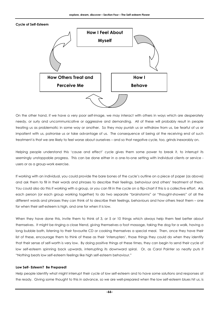# **Cycle of Self-Esteem**



On the other hand, if we have a very poor self-image, we may interact with others in ways which are desperately needy, or surly and uncommunicative or aggressive and demanding. All of these will probably result in people treating us as problematic in some way or another. So they may punish us or withdraw from us, be fearful of us or impatient with us, patronise us or take advantage of us. The consequence of being at the receiving end of such treatment is that we are likely to feel worse about ourselves – and so that negative cycle, too, grinds inexorably on.

Helping people understand this 'cause and effect' cycle gives them some power to break it, to interrupt its seemingly unstoppable progress. This can be done either in a one-to-one setting with individual clients or service users or as a group-work exercise.

If working with an individual, you could provide the bare bones of the cycle's outline on a piece of paper (as above) and ask them to fill in their words and phrases to describe their feelings, behaviour and others' treatment of them. You could also do this if working with a group, or you can fill in the cycle on a flip-chart if this is a collective effort. Ask each person (or each group working together) to do two separate "brainstorms" or "thought-showers" of all the different words and phrases they can think of to describe their feelings, behaviours and how others treat them – one for when their self-esteem is high, and one for when it is low.

When they have done this, invite them to think of 3, or 5 or 10 things which always help them feel better about themselves. It might be ringing a close friend, giving themselves a foot massage, taking the dog for a walk, having a long bubble bath, listening to their favourite CD or cooking themselves a special meal. Then, once they have their list of these, encourage them to think of these as their 'interrupters', those things they could do when they identify that their sense of self-worth is very low. By doing positive things at these times, they can begin to send their cycle of low self-esteem spinning back upwards, interrupting its downward spiral. Or, as Carol Painter so neatly puts it "Nothing beats low self-esteem feelings like high self-esteem behaviour."

# **Low Self- Esteem? Be Prepared!**

Help people identify what might interrupt their cycle of low self-esteem and to have some solutions and responses at the ready. Giving some thought to this in advance, so we are well-prepared when the low self-esteem blues hit us, is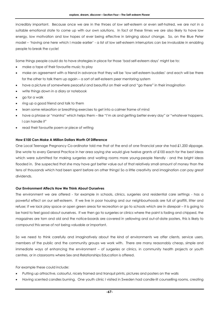incredibly important. Because once we are in the throes of low self-esteem or even self-hatred, we are not in a suitable emotional state to come up with our own solutions. In fact at these times we are also likely to have low energy, low motivation and low hopes of ever being effective in bringing about change. So, on the Blue Peter model – 'having one here which I made earlier' - a list of low self-esteem interruptors can be invaluable in enabling people to break the cycle!

Some things people could do to have strategies in place for those 'bad self-esteem days' might be to:

- make a tape of their favourite music to play
- make an agreement with a friend in advance that they will be 'low self-esteem buddies' and each will be there for the other to talk them up again – a sort of self-esteem peer mentoring system
- have a picture of somewhere peaceful and beautiful on their wall and "go there" in their imagination
- write things down in a diary or notebook
- go for a walk
- ring up a good friend and talk to them
- learn some relaxation or breathing exercises to get into a calmer frame of mind
- have a phrase or "mantra" which helps them like "I'm ok and getting better every day" or "whatever happens, I can handle it"
- read their favourite poem or piece of writing

# **How £100 Can Make A Million Dollars Worth Of Difference**

One Local Teenage Pregnancy Co-ordinator told me that at the end of one financial year she had £1,200 slippage. She wrote to every General Practice in her area saying she would give twelve grants of £100 each for the best ideas which were submitted for making surgeries and waiting rooms more young-people friendly - and the bright ideas flooded in. She suspected that she may have got better value out of that relatively small amount of money than the tens of thousands which had been spent before on other things! So a little creativity and imagination can pay great dividends.

# **Our Environment Affects How We Think About Ourselves**

The environment we are offered - for example in schools, clinics, surgeries and residential care settings - has a powerful effect on our self-esteem. If we live in poor housing and our neighbourhoods are full of graffiti, litter and refuse; if we lack play space or open green areas for recreation or go to schools which are in disrepair – it is going to be hard to feel good about ourselves. If we then go to surgeries or clinics where the paint is fading and chipped, the magazines are torn and old and the notice-boards are covered in yellowing and out-of-date posters, this is likely to compound this sense of not being valuable or important.

So we need to think carefully and imaginatively about the kind of environments we offer clients, service users, members of the public and the community groups we work with. There are many reasonably cheap, simple and immediate ways of enhancing the environment – of surgeries or clinics, in community health projects or youth centres, or in classrooms where Sex and Relationships Education is offered.

For example these could include:

- Putting up attractive, colourful, nicely framed and tranquil prints, pictures and posters on the walls
- Having scented candles burning. One youth clinic I visited in Sweden had candle-lit counselling rooms, creating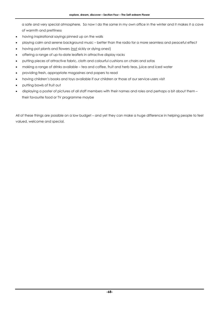a safe and very special atmosphere. So now I do the same in my own office in the winter and it makes it a cave of warmth and prettiness

- having inspirational sayings pinned up on the walls
- playing calm and serene background music better than the radio for a more seamless and peaceful effect
- having pot plants and flowers (not sickly or dying ones!)
- offering a range of up-to-date leaflets in attractive display racks
- putting pieces of attractive fabric, cloth and colourful cushions on chairs and sofas
- making a range of drinks available tea and coffee, fruit and herb teas, juice and iced water
- providing fresh, appropriate magazines and papers to read
- having children's books and toys available if our children or those of our service-users visit
- putting bowls of fruit out
- displaying a poster of pictures of all staff members with their names and roles and perhaps a bit about them their favourite food or TV programme maybe

All of these things are possible on a low budget – and yet they can make a huge difference in helping people to feel valued, welcome and special.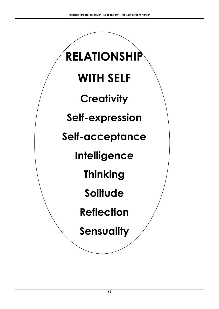# **RELATIONSHIP WITH SELF Creativity Self-expression Self-acceptance Intelligence Thinking Solitude Reflection**

**Sensuality**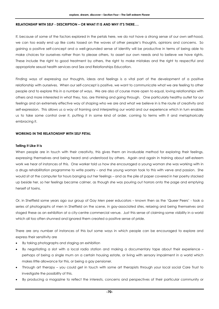# **RELATIONSHIP WITH SELF - DESCRIPTION – OR WHAT IT IS AND WHY IT'S THERE….**

If, because of some of the factors explored in the petals here, we do not have a strong sense of our own self-hood, we can too easily end up like corks tossed on the waves of other people's thoughts, opinions and concerns. So gaining a positive self-concept and a well-grounded sense of identity will be productive in terms of being able to make choices for ourselves rather than to please others, to assert our own needs and to believe we have rights. These include the right to good treatment by others, the right to make mistakes and the right to respectful and appropriate sexual health services and Sex and Relationships Education.

Finding ways of expressing our thoughts, ideas and feelings is a vital part of the development of a positive relationship with ourselves. When our self-concept is positive, we want to communicate what we are feeling to other people and to explore this in a number of ways. We are also of course more open to equal, loving relationships with others and more interested in what they, too, are thinking and going through. One particularly healthy outlet for our feelings and an extremely effective way of shaping who we are and what we believe in is the route of creativity and self-expression. This allows us a way of framing and interpreting our world and our experience which in turn enables us to take some control over it, putting it in some kind of order, coming to terms with it and metaphorically embracing it.

# **WORKING IN THE RELATIONSHIP WITH SELF PETAL**

# **Telling It Like It Is**

When people are in touch with their creativity, this gives them an invaluable method for exploring their feelings, expressing themselves and being heard and understood by others. Again and again in training about self-esteem work we hear of instances of this. One worker told us how she encouraged a young woman she was working with in a drugs rehabilitation programme to write poetry – and the young woman took to this with verve and passion. She would sit at the computer for hours banging out her feelings – and as the pile of paper covered in her poetry stacked up beside her, so her feelings became calmer, as though she was pouring out horrors onto the page and emptying herself of toxins.

Or, in Sheffield some years ago our group of Gay Men peer educators – known then as the 'Queer Peers' - took a series of photographs of men in Sheffield on the scene, in gay-associated sites, relaxing and being themselves and staged these as an exhibition at a city-centre commercial venue. Just this sense of claiming some visibility in a world which all too often shunned and ignored them created a positive sense of pride.

There are any number of instances of this but some ways in which people can be encouraged to explore and express their sensitivity are

- By taking photographs and staging an exhibition
- By negotiating a slot with a local radio station and making a documentary tape about their experience perhaps of being a single mum on a certain housing estate, or living with sensory impairment in a world which makes little allowance for this, or being a gay pensioner.
- Through art therapy you could get in touch with some art therapists through your local social Care Trust to investigate the possibility of this.
- By producing a magazine to reflect the interests, concerns and perspectives of their particular community or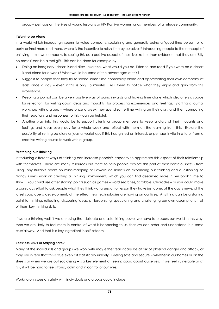group – perhaps on the lives of young lesbians or HIV Positive women or as members of a refugee community.

# **I Want to be Alone**

In a world which increasingly seems to value company, socialising and generally being a 'good-time person' or a party animal more and more, where is the incentive to relish time by ourselves? Introducing people to the concept of enjoying their own company, to seeing this as a positive aspect of their lives rather than evidence that they are 'Billy no-mates' can be a real gift. This can be done for example by

- Doing an imaginary 'desert island discs' exercise, what would you do, listen to and read if you were on a desert island alone for a week? What would be some of the advantages of this?
- Suggest to people that they try to spend some time consciously alone and appreciating their own company at least once a day – even if this is only 15 minutes. Ask them to notice what they enjoy and gain from this experience.
- Keeping a journal can be a very positive way of going inwards and having time alone which also offers a space for reflection, for writing down ideas and thoughts, for processing experiences and feelings. Starting a journal workshop with a group – where once a week they spend some time writing on their own, and then comparing their reactions and responses to this – can be helpful.
- Another way into this would be to support clients or group members to keep a diary of their thoughts and feelings and ideas every day for a whole week and reflect with them on the learning from this. Explore the possibility of setting up diary or journal workshops if this has ignited an interest, or perhaps invite in a tutor from a creative writing course to work with a group.

# **Stretching our Thinking**

Introducing different ways of thinking can increase people's capacity to appreciate this aspect of their relationship with themselves. There are many resources out there to help people explore this part of their consciousness - from using Tony Buzan's books on mind-mapping or Edward de Bono's on expanding our thinking and questioning, to Nancy Kline's work on creating a Thinking Environment, which you can find described more in her book 'Time to Think'. You could use other starting points such as games – word searches, Scrabble, Charades – or you could make a conscious effort to ask people what they think – of a session or lesson they have just done, of the day's news, of the latest soap opera development, of the effect new technologies are having on our lives. Anything can be a starting point to thinking, reflecting, discussing ideas, philosophising, speculating and challenging our own assumptions – all of them key thinking skills.

If we are thinking well, if we are using that delicate and astonishing power we have to process our world in this way, then we are likely to feel more in control of what is happening to us, that we can order and understand it in some crucial way. And that is a key ingredient in self-esteem.

# **Reckless Risks or Staying Safe?**

Many of the individuals and groups we work with may either realistically be at risk of physical danger and attack, or may live in fear that this is true even if it statistically unlikely. Feeling safe and secure – whether in our homes or on the streets or when we are out socialising – is a key element of feeling good about ourselves. If we feel vulnerable or at risk, it will be hard to feel strong, calm and in control of our lives.

Working on issues of safety with individuals and groups could include: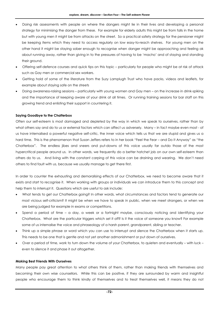- Doing risk assessments with people on where the dangers might lie in their lives and developing a personal strategy for minimising the danger from these. For example for elderly adults this might be from falls in the home but with young men it might be from attacks on the street. So a practical safety strategy for the pensioner might be keeping items which they need to access regularly on low easy-to-reach shelves. For young men on the other hand it might be staying sober enough to recognise when danger might be approaching and feeling ok about running away, rather than giving in to the pressures of having to be 'macho' and of staying and standing their ground.
- Offering self-defence courses and quick tips on this topic particularly for people who might be at risk of attack such as Gay men or commercial sex workers.
- Getting hold of some of the literature from the Suzy Lamplugh Trust who have packs, videos and leaflets, for example about staying safe on the streets
- Doing awareness-raising sessions particularly with young women and Gay men on the increase in drink-spiking and the importance of keeping aware of your drink at all times. Or running training sessions for bar staff on this growing trend and enlisting their support in countering it.

#### **Saying Goodbye to the Chatterbox**

Often our self-esteem is most damaged and depleted by the way in which we speak to ourselves, rather than by what others say and do to us or external factors which can affect us adversely. Many – in fact maybe even most - of us have internalised a powerful negative self-critic, the inner voice which tells us that we are stupid and gives us a hard time. This is the phenomenon that Susan Jeffers refers to in her book "Feel the Fear – and Do It Anyway" as "the Chatterbox". The endless jibes and sneers and put-downs of this voice usually far outdo those of the most hypercritical people around us. In other words, we frequently do a better hatchet job on our own self-esteem than others do to us. And living with the constant carping of this voice can be draining and wearing. We don't need others to find fault with us, because we usually manage to get there first.

In order to counter the exhausting and demoralising effects of our Chatterbox, we need to become aware that it exists and start to recognise it. When working with groups or individuals we can introduce them to this concept and help them to interrupt it. Questions which are useful to ask include:

- What tends to get our Chatterbox going? In other words, what circumstances and factors tend to generate our most vicious self-criticism? It might be when we have to speak in public, when we meet strangers, or when we are being judged for example in exams or competitions.
- Spend a period of time a day, a week or a fortnight maybe, consciously noticing and identifying your Chatterbox. What are the particular triggers which set it off? Is it the voice of someone you know? For example some of us internalise the voice and phraseology of a harsh parent, grandparent, sibling or teacher.
- Think up a simple phrase or word which you can use to interrupt and silence the Chatterbox when it starts up. This needs to be one that is gentle and not yet another admonishment or put down of ourselves.
- Over a period of time, work to turn down the volume of your Chatterbox, to quieten and eventually with luck even to silence it and phase it out altogether.

#### **Making Best Friends With Ourselves**

Many people pay great attention to what others think of them, rather than making friends with themselves and becoming their own wise counsellors. While this can be positive, if they are surrounded by warm and insightful people who encourage them to think kindly of themselves and to treat themselves well, it means they do not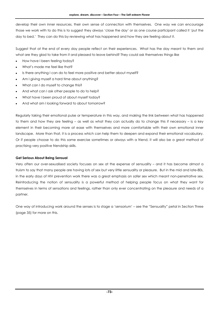develop their own inner resources, their own sense of connection with themselves. One way we can encourage those we work with to do this is to suggest they always 'close the day' or as one course participant called it 'put the day to bed.' They can do this by reviewing what has happened and how they are feeling about it.

Suggest that at the end of every day people reflect on their experiences. What has the day meant to them and what are they glad to take from it and pleased to leave behind? They could ask themselves things like

- How have I been feeling today?
- What's made me feel like that?
- Is there anything I can do to feel more positive and better about myself?
- Am I giving myself a hard time about anything?
- What can I do myself to change this?
- And what can I ask other people to do to help?
- What have I been proud of about myself today?
- And what am I looking forward to about tomorrow?

Regularly taking their emotional pulse or temperature in this way, and making the link between what has happened to them and how they are feeling – as well as what they can actually do to change this if necessary – is a key element in their becoming more at ease with themselves and more comfortable with their own emotional inner landscape. More than that, it is a process which can help them to deepen and expand their emotional vocabulary. Or if people choose to do this same exercise sometimes or always with a friend, it will also be a great method of practising very positive friendship skills.

#### **Get Serious About Being Sensual**

Very often our over-sexualised society focuses on sex at the expense of sensuality – and it has become almost a truism to say that many people are having lots of sex but very little sensuality or pleasure. But in the mid and late-80s, in the early days of HIV prevention work there was a great emphasis on safer sex which meant non-penetrative sex. Reintroducing the notion of sensuality is a powerful method of helping people focus on what they want for themselves in terms of sensations and feelings, rather than only ever concentrating on the pleasure and needs of a partner.

One way of introducing work around the senses is to stage a 'sensorium' – see the "Sensuality" petal in Section Three (page 35) for more on this.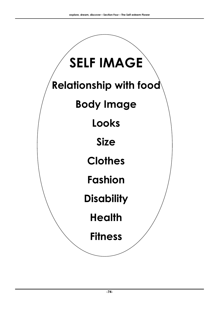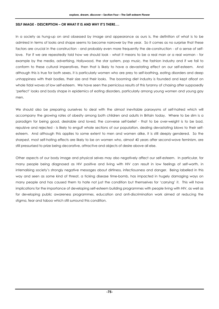#### **SELF IMAGE - DESCRIPTION – OR WHAT IT IS AND WHY IT'S THERE….**

In a society as hung-up on and obsessed by image and appearance as ours is, the definition of what is to be admired in terms of looks and shape seems to become narrower by the year. So it comes as no surprise that these factors are crucial in the construction - and probably even more frequently the de-construction - of a sense of selflove. For if we are repeatedly told how we should look - what it means to be a real man or a real woman - for example by the media, advertising, Hollywood, the star system, pop music, the fashion industry and if we fail to conform to these cultural imperatives, then that is likely to have a devastating effect on our self-esteem. And although this is true for both sexes, it is particularly women who are prey to self-loathing, eating disorders and deep unhappiness with their bodies, their size and their looks. The booming diet industry is founded and kept afloat on whole tidal waves of low self-esteem. We have seen the pernicious results of this tyranny of chasing after supposedly 'perfect' looks and body shape in epidemics of eating disorders, particularly among young women and young gay men.

We should also be preparing ourselves to deal with the almost inevitable paroxysms of self-hatred which will accompany the growing rates of obesity among both children and adults in Britain today. Where to be slim is a paradigm for being good, desirable and loved, the converse self-belief - that to be over-weight is to be bad, repulsive and rejected - is likely to engulf whole sections of our population, dealing devastating blows to their selfesteem. And although this applies to some extent to men and women alike, it is still deeply gendered. So the sharpest, most self-hating effects are likely to be on women who, almost 40 years after second-wave feminism, are still pressurised to prize being decorative, attractive and objects of desire above all else.

Other aspects of our body image and physical selves may also negatively affect our self-esteem. In particular, for many people being diagnosed as HIV positive and living with HIV can result in low feelings of self-worth, in internalising society's strongly negative messages about dirtiness, infectiousness and danger. Being labelled in this way and seen as some kind of threat, a ticking disease time-bomb, has impacted in hugely damaging ways on many people and has caused them to hate not just the condition but themselves for 'carrying' it. This will have implications for the importance of developing self-esteem building programmes with people living with HIV, as well as for developing public awareness programmes, education and anti-discrimination work aimed at reducing the stigma, fear and taboo which still surround this condition.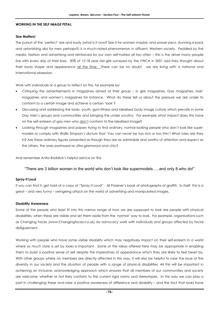#### **WORKING IN THE SELF IMAGE PETAL:**

#### **Size Matters!**

The pursuit of the 'perfect' size and body (what is it now? Size 0 for women maybe, and power-pecs, stunning 6-pack and astonishing abs for men perhaps?) is a much-noted phenomenon in affluent, Western society. Peddled by the media, fashion and advertising and reinforced by our own self-hatred all too often – this is the driver many people live with every day of their lives. 30% of 12-18 year old girls surveyed by the YWCA in 2001 said they thought about their body shape and appearance all the time. There can be no doubt, we are living with a national and international obsession.

Work with individuals or a group to reflect on this, for example by:

- Critiquing the advertisements in magazines aimed at their group in girls magazines, Gay magazines, lads' magazines and women's magazines for instance. What do these tell us about the pressure we are under to conform to a certain image and achieve a certain 'look'?
- Discussing and addressing the looks, youth, gym-fitness and idealised body image culture which prevails in some Gay men's groups and communities and bringing this under scrutiny. For example what impact does this have on the self-esteem of gay men who don't conform to the idealised image?
- Looking through magazines and papers trying to find ordinary, normal looking people who don't look like supermodels or comply with Wallis Simpson's dictum that 'You can never be too rich or too thin'! What roles are they in? Are these ordinary figures presented as though they are as admirable and worthy of attention and respect as the others, the ones portrayed as ultra-glamorous and chic?

And remember Anita Roddick's helpful advice on this

#### "There are 3 billion women in the world who don't look like supermodels…..and only 8 who do!"

#### **Spray it Loud**

If you can find it, get hold of a copy of "Spray It Loud" - Jill Posener's book of photographs of graffiti. In itself, this is a great – and very funny – swingeing attack on the world of advertising and manipulated images.

#### **Disability Awareness**

Some of the people who least fit into this narrow range of how we are supposed to look are people with physical disabilities, when these are visible and set them aside from the 'normal' way to look. For example, organisations such as Changing Faces (www.Changingfaces.co.uk) do advocacy work with individuals and groups affected by facial disfigurement.

Working with people who have some visible disability which may negatively impact on their self-esteem in a world where so much store is set by looks is important. Some of the ideas offered here may be appropriate in enabling them to build a positive sense of self despite the imperatives of appearance which they are likely to feel beset by. With other groups where no members are directly affected in this way, it will also be helpful to raise the issue of the diversity in our society and the situation of people with a range of physical disabilities. All this will be important in achieving an inclusive, acknowledging approach which ensures that all members of our communities and society are welcome, whether or not they conform to the current rigid norms and stereotypes. In this way we can play a part in challenging these and raise a positive awareness of difference and disability – and the fact that looks have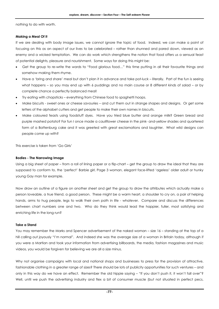nothing to do with worth.

#### **Making a Meal Of It**

If we are dealing with body image issues, we cannot ignore the topic of food. Indeed, we can make a point of focusing on this as an aspect of our lives to be celebrated – rather than shunned and pared down, viewed as an enemy and a wicked temptation. We can do work which strengthens the notion that food offers us a sensual feast of potential delights, pleasure and nourishment. Some ways for doing this might be:

- Get the group to re-write the words to "Food glorious food…" this time putting in all their favourite things and somehow making them rhyme.
- Have a 'bring and share' meal but don't plan it in advance and take pot-luck literally. Part of the fun is seeing what happens – so you may end up with 6 puddings and no main course or 8 different kinds of salad – or by complete chance a perfectly balanced meal!
- Try eating with chopsticks everything from Chinese food to spaghetti hoops.
- Make biscuits sweet ones or cheese savouries and cut them out in strange shapes and designs. Or get some letters of the alphabet cutters and get people to make their own names in biscuits.
- Make coloured feasts using foodstuff dyes. Have you tried blue butter and orange milk? Green bread and purple mashed potato? For fun I once made a cauliflower cheese in the pink- and-yellow shades and quartered form of a Battenburg cake and it was greeted with great exclamations and laughter. What wild designs can people come up with?

This exercise is taken from 'Go Girls'

#### **Bodies - The Narrowing Image**

Using a big sheet of paper – from a roll of lining paper or a flip-chart – get the group to draw the ideal that they are supposed to conform to, the 'perfect' Barbie girl, Page 3 woman, elegant face-lifted 'ageless' older adult or hunky young Gay man for example.

Now draw an outline of a figure on another sheet and get the group to draw the attributes which actually make a person loveable, a true friend, a good person. These might be a warm heart, a shoulder to cry on, a pair of helping hands, arms to hug people, legs to walk their own path in life - whatever. Compare and discuss the differences between chart numbers one and two. Who do they think would lead the happier, fuller, most satisfying and enriching life in the long run?

#### **Take a Stand**

You may remember the Marks and Spencer advertisement of the naked woman – size 16 – standing at the top of a hill calling out joyously "I'm normal". And indeed she was the average size of a woman in Britain today, although if you were a Martian and took your information from advertising billboards, the media, fashion magazines and music videos, you would be forgiven for believing we are all a size minus.

Why not organise campaigns with local and national shops and businesses to press for the provision of attractive, fashionable clothing in a greater range of sizes? There should be lots of publicity opportunities for such ventures – and only in this way do we have an effect. Remember the old hippie saying – "If you don't push it, it won't fall over"? Well, until we push the advertising industry and flex a bit of consumer muscle (but not situated in perfect pecs,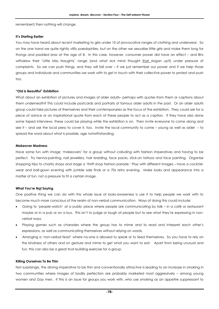remember!) then nothing will change.

#### **It's Starting Earlier**

You may have heard about recent marketing to girls under 10 of provocative ranges of clothing and underwear. So on the one hand we quite rightly vilify paedophiles, but on the other we sexualise little girls and make them long for thongs and padded bras at the age of 8. In this case, however, consumer power did have an effect – and Bhs withdrew their 'Little Miss Naughty' range (and what sick mind thought that slogan up?) under pressure of complaints. So we can push things, and they will fall over – if we just remember our power and if we help those groups and individuals and communities we work with to get in touch with their collective power to protest and push too.

#### **"Old is Beautiful" Exhibition**

What about an exhibition of pictures and images of older adults– perhaps with quotes from them or captions about them underneath? This could include postcards and portraits of famous older adults in the past. Or an older adults group could take pictures of themselves and their contemporaries as the focus of the exhibition. They could ask for a piece of advice or an inspirational quote from each of these people to act as a caption. If they have also done some taped interviews, these could be playing while the exhibition is on. Then invite everyone to come along and see it – and ask the local press to cover it, too. Invite the local community to come – young as well as older – to spread the word about what is possible, age notwithstanding.

#### **Makeover Madness**

Have some fun with image 'makeovers' for a group without colluding with fashion imperatives and having to be perfect. Try henna-painting, nail jewellery, hair braiding, face packs, stick-on tattoos and face painting. Organise shopping trips to charity shops and stage a 'thrift shop fashion parade.' Play with different images – have a cocktailwear and ball-gown evening with jumble sale finds or a 70s retro evening. Make looks and appearance into a matter of fun, not a pressure to fit a certain image.

#### **What You're Not Saying**

One positive thing we can do with this whole issue of looks-awareness is use it to help people we work with to become much more conscious of the realm of non-verbal communication. Ways of doing this could include:

- Going to 'people-watch' at a public place where people are communicating by talk in a café or restaurant maybe or in a pub or on a bus. This isn't to judge or laugh at people but to see what they're expressing in nonverbal ways.
- Playing games such as charades where the group has to mime and to read and interpret each other's expressions, as well as communicating themselves without relying on words.
- Arranging a 'non-verbal feast' where no-one is allowed to speak or to feed themselves. So you have to rely on the kindness of others and on gesture and mime to get what you want to eat. Apart from being unusual and fun, this can also be a great trust-building exercise for a group.

#### **Killing Ourselves To Be Thin**

Not surprisingly, the driving imperative to be thin and conventionally attractive is leading to an increase in smoking in two communities where images of bodily perfection are probably marketed most aggressively – among young women and Gay men. If this is an issue for groups you work with, who use smoking as an appetite suppressant to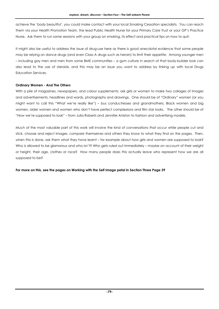achieve the 'body beautiful', you could make contact with your local Smoking Cessation specialists. You can reach them via your Health Promotion Team, the lead Public Health Nurse for your Primary Care Trust or your GP's Practice Nurse. Ask them to run some sessions with your group on smoking, its effect and practical tips on how to quit.

It might also be useful to address the issue of drug-use here as there is good anecdotal evidence that some people may be relying on dance drugs (and even Class A drugs such as heroin) to limit their appetite. Among younger men – including gay men and men from some BME communities – a gym culture in search of that body-builder look can also lead to the use of steroids, and this may be an issue you want to address by linking up with local Drugs Education Services.

#### **Ordinary Women - And The Others**

With a pile of magazines, newspapers, and colour supplements, ask girls or women to make two collages of images and advertisements, headlines and words, photographs and drawings. One should be of "Ordinary" women (or you might want to call this "What we're really like") – bus conductresses and grandmothers, Black women and big women, older women and women who don't have perfect complexions and film star looks. The other should be of "How we're supposed to look" – from Julia Roberts and Jennifer Aniston to fashion and advertising models.

Much of the most valuable part of this work will involve the kind of conversations that occur while people cut and stick, choose and reject images, compare themselves and others they know to what they find on the pages. Then, when this is done, ask them what they have learnt – for example about how girls and women are supposed to look? Who is allowed to be glamorous and who isn't? Who gets ruled out immediately – maybe on account of their weight or height, their age, clothes or race? How many people does this actually leave who represent how we are all supposed to be?

**For more on this, see the pages on Working with the Self Image petal in Section Three Page 39**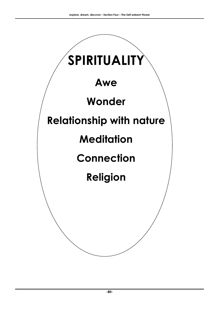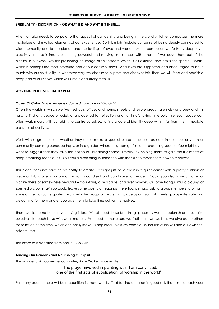#### **SPIRITUALITY - DESCRIPTION – OR WHAT IT IS AND WHY IT'S THERE….**

Attention also needs to be paid to that aspect of our identity and being in the world which encompasses the more mysterious and mystical elements of our experience. So this might include our sense of being deeply connected to wider humanity and to the planet, and the feelings of awe and wonder which can be drawn forth by deep love, creativity, intense intimacy or sharing powerful and moving experiences with others. If we leave these out of the picture in our work, we risk presenting an image of self-esteem which is all external and omits the special "spark" which is perhaps the most profound part of our consciousness. And if we are supported and encouraged to be in touch with our spirituality, in whatever way we choose to express and discover this, then we will feed and nourish a deep part of our selves which will sustain and strengthen us.

#### **WORKING IN THE SPIRITUALITY PETAL**

#### **Oases Of Calm** *(This exercise is adapted from one in "Go Girls")*

Often the worlds in which we live – schools, offices and home, streets and leisure areas – are noisy and busy and it is hard to find any peace or quiet, or a place just for reflection and "chilling", taking time out. Yet such space can often work magic with our ability to centre ourselves, to find a core of identity deep within, far from the immediate pressures of our lives.

Work with a group to see whether they could make a special place – inside or outside, in a school or youth or community centre grounds perhaps, or in a garden where they can go for some breathing space. You might even want to suggest that they take the notion of "breathing space" literally, by helping them to gain the rudiments of deep breathing techniques. You could even bring in someone with the skills to teach them how to meditate.

This place does not have to be costly to create. It might just be a chair in a quiet corner with a pretty cushion or piece of fabric over it, or a room which is candle-lit and conducive to peace. Could you also have a poster or picture there of somewhere beautiful – mountains, a seascape or a river maybe? Or some tranquil music playing or scented oils burning? You could leave some poetry or readings there too, perhaps asking group members to bring in some of their favourite quotes. Work with the group to create this "place apart" so that it feels appropriate, safe and welcoming for them and encourage them to take time out for themselves.

There would be no harm in your using it too. We all need these breathing spaces as well, to replenish and revitalise ourselves, to touch base with what matters. We need to make sure we "refill our own well" as we give out to others for so much of the time, which can easily leave us depleted unless we consciously nourish ourselves and our own selfesteem, too.

This exercise is adapted from one in ''Go Girls''

#### **Tending Our Gardens and Nourishing Our Spirit**

The wonderful African-American writer, Alice Walker once wrote,

"The prayer involved in planting was, I am convinced, one of the first acts of supplication, of worship in the world".

For many people there will be recognition in these words. That feeling of hands in good soil, the miracle each year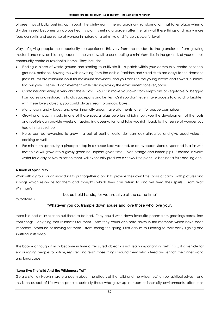of green tips of bulbs pushing up through the wintry earth, the extraordinary transformation that takes place when a dry dusty seed becomes a vigorous healthy plant, smelling a garden after the rain – all these things and many more feed our spirits and our sense of wonder in nature at a primitive and fiercely powerful level.

Ways of giving people the opportunity to experience this vary from the modest to the grandiose - from growing mustard and cress on blotting paper on the window sill to constructing a mini-Versailles in the grounds of your school, community centre or residential home. They include:

- Finding a piece of waste ground and starting to cultivate it a patch within your community centre or school grounds, perhaps. Sowing this with anything from the edible (radishes and salad stuffs are easy) to the dramatic (nasturtiums are minimum input for maximum showiness, and you can use the young leaves and flowers in salads, too) will give a sense of achievement while also improving the environment for everybody.
- Container gardening is very chic these days. You can make your own from empty tins of vegetable oil begged from cafes and restaurants to old saucepans and kettles. Or if you don't even have access to a yard to brighten with these lovely objects, you could always resort to window boxes.
- Many towns and villages, and even inner-city areas, have allotments to rent for peppercorn prices.
- Growing a hyacinth bulb in one of those special glass bulb jars which shows you the development of the roots and rootlets can provide weeks of fascinating observation and take you right back to that sense of wonder you had at infants school.
- Herbs can be rewarding to grow a pot of basil or coriander can look attractive and give good value in cooking as well.
- For minimum space, try a pineapple top in a saucer kept watered, or an avocado stone suspended in a jar with toothpicks will grow into a glossy green houseplant given time. Even orange and lemon pips, if soaked in warm water for a day or two to soften them, will eventually produce a showy little plant – albeit not a-fruit-bearing one.

#### **A Book of Spirituality**

Work with a group or an individual to put together a book to provide their own little 'oasis of calm', with pictures and sayings which resonate for them and thoughts which they can return to and will feed their spirits. From Walt Whitman's

to Voltaire's

#### "Let us hold hands, for we are alive at the same time"

#### "Whatever you do, trample down abuse and love those who love you",

there is a host of inspiration out there to be had. They could write down favourite poems from greetings cards, lines from songs – anything that resonates for them. And they could also note down in this moments which have been important, profound or moving for them – from seeing the spring's first catkins to listening to their baby sighing and snuffling in its sleep.

This book – although it may become in time a treasured object - is not really important in itself. It is just a vehicle for encouraging people to notice, register and relish those things around them which feed and enrich their inner world and landscape.

#### **"Long Live The Wild And The Wilderness Yet"**

Gerard Manley Hopkins wrote a poem about the effects of the 'wild and the wilderness' on our spiritual selves – and this is an aspect of life which people, certainly those who grow up in urban or inner-city environments, often lack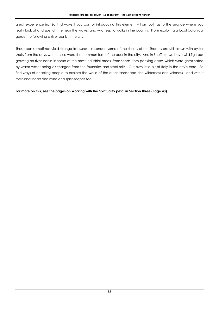great experience in. So find ways if you can of introducing this element – from outings to the seaside where you really look at and spend time near the waves and wildness, to walks in the country. From exploring a local botanical garden to following a river bank in the city.

These can sometimes yield strange treasures. In London some of the shores of the Thames are still strewn with oyster shells from the days when these were the common fare of the poor in the city. And in Sheffield we have wild fig trees growing on river banks in some of the most industrial areas, from seeds from packing cases which were germinated by warm water being discharged from the foundries and steel mills. Our own little bit of Italy in the city's core. So find ways of enabling people to explore the world of the outer landscape, the wilderness and wildness - and with it their inner heart and mind and spirit-scapes too.

#### **For more on this, see the pages on Working with the Spirituality petal in Section Three (Page 43)**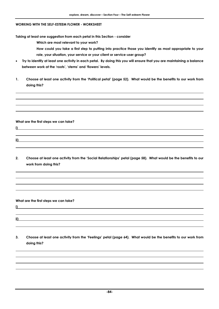#### **WORKING WITH THE SELF-ESTEEM FLOWER - WORKSHEET**

**Taking at least one suggestion from each petal in this Section - consider** 

**Which are most relevant to your work?** 

- **How could you take a first step to putting into practice those you identify as most appropriate to your role, your situation, your service or your client or service-user group?**
- **Try to identify at least one activity in each petal. By doing this you will ensure that you are maintaining a balance between work at the 'roots', 'stems' and 'flowers' levels.**
- **1. Choose at least one activity from the 'Political petal' (page 52). What would be the benefits to our work from doing this?**

**What are the first steps we can take?** 

**ii)** 

**i)** 

**2. Choose at least one activity from the 'Social Relationships' petal (page 58). What would be the benefits to our work from doing this?** 

**What are the first steps we can take?** 

**i)** 

**ii)** 

**3. Choose at least one activity from the 'Feelings' petal (page 64). What would be the benefits to our work from doing this?**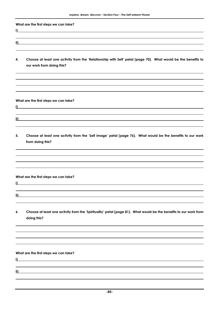**What are the first steps we can take?** 

- **ii)**
- **4. Choose at least one activity from the 'Relationship with Self' petal (page 70). What would be the benefits to our work from doing this?**

**What are the first steps we can take?** 

**i)** 

**i)** 

**ii)** 

**5. Choose at least one activity from the 'Self Image' petal (page 76). What would be the benefits to our work from doing this?** 

**What are the first steps we can take?** 

**i)** 

**ii)** 

**6. Choose at least one activity from the 'Spirituality' petal (page 81). What would be the benefits to our work from doing this?** 

**What are the first steps we can take?** 

**i)** 

**ii)**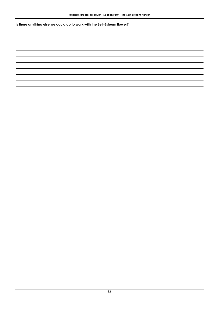**Is there anything else we could do to work with the Self-Esteem flower?**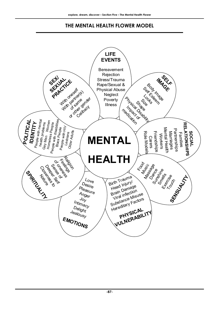### **THE MENTAL HEALTH FLOWER MODEL**

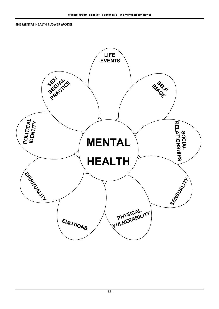#### **THE MENTAL HEALTH FLOWER MODEL**

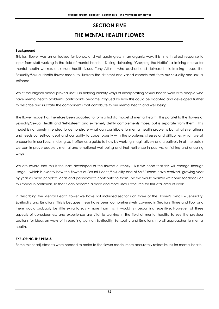### **SECTION FIVE THE MENTAL HEALTH FLOWER**

#### **Background**

This last flower was an un-looked for bonus, and yet again grew in an organic way, this time in direct response to input from staff working in the field of mental health. During delivering "Grasping the Nettle", a training course for mental health workers on sexual health issues, Tony Atkin – who devised and delivered this training - used the Sexuality/Sexual Health flower model to illustrate the different and varied aspects that form our sexuality and sexual selfhood.

Whilst the original model proved useful in helping identify ways of incorporating sexual health work with people who have mental health problems, participants became intrigued by how this could be adapted and developed further to describe and illustrate the components that contribute to our mental health and well being.

The flower model has therefore been adapted to form a holistic model of mental health. It is parallel to the flowers of Sexuality/Sexual Health and Self-Esteem and extremely deftly complements those, but is separate from them. This model is not purely intended to demonstrate what can contribute to mental health problems but what strengthens and feeds our self-concept and our ability to cope robustly with the problems, stresses and difficulties which we all encounter in our lives. In doing so, it offers us a guide to how by working imaginatively and creatively in all the petals we can improve people's mental and emotional well being and their resilience in positive, enriching and enabling ways.

We are aware that this is the least developed of the flowers currently. But we hope that this will change through usage – which is exactly how the flowers of Sexual Health/Sexuality and of Self-Esteem have evolved, growing year by year as more people's ideas and perspectives contribute to them. So we would warmly welcome feedback on this model in particular, so that it can become a more and more useful resource for this vital area of work.

In describing the Mental Health flower we have not included sections on three of the Flower's petals – Sensuality, Spirituality and Emotions. This is because these have been comprehensively covered in Sections Three and Four and there would probably be little extra to say – more than this, it would risk becoming repetitive. However, all three aspects of consciousness and experience are vital to working in the field of mental health. So see the previous sections for ideas on ways of integrating work on Spirituality, Sensuality and Emotions into all approaches to mental health.

#### **EXPLORING THE PETALS**

Some minor adjustments were needed to make to the flower model more accurately reflect issues for mental health.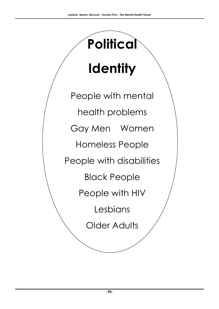# **Identity**

**Political** 

People with mental health problems Gay Men Women Homeless People People with disabilities Black People People with HIV Lesbians Older Adults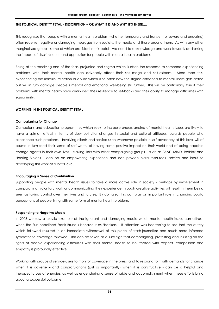#### **THE POLITICAL IDENTITY PETAL - DESCRIPTION – OR WHAT IT IS AND WHY IT'S THERE….**

This recognises that people with a mental health problem (whether temporary and transient or severe and enduring) often receive negative or damaging messages from society, the media and those around them. As with any other marginalised group - some of which are listed in this petal - we need to acknowledge and work towards addressing the impact of discrimination and oppression for people with mental health problems.

Being at the receiving end of the fear, prejudice and stigma which is often the response to someone experiencing problems with their mental health can adversely affect their self-image and self-esteem. More than this, experiencing the ridicule, rejection or abuse which is so often how the stigma attached to mental illness gets acted out will in turn damage people's mental and emotional well-being still further. This will be particularly true if their problems with mental health have diminished their resilience to set-backs and their ability to manage difficulties with equanimity.

#### **WORKING IN THE POLITICAL IDENTITY PETAL**

#### **Campaigning for Change**

Campaigns and education programmes which seek to increase understanding of mental health issues are likely to have a spin-off effect in terms of slow but vital changes in social and cultural attitudes towards people who experience such problems. Involving clients and service-users whenever possible in self-advocacy at this level will of course in turn feed their sense of self-worth, of having some positive impact on their world and of being capable change agents in their own lives. Making links with other campaigning groups – such as SANE, MIND, Rethink and Hearing Voices – can be an empowering experience and can provide extra resources, advice and input to developing this work at a local level.

#### **Encouraging a Sense of Contribution**

Supporting people with mental health issues to take a more active role in society - perhaps by involvement in campaigning, voluntary work or communicating their experience through creative activities will result in them being seen as taking control over their lives and futures. By doing so, this can play an important role in changing public perceptions of people living with some form of mental health problem.

#### **Responding to Negative Media**

In 2003 we saw a classic example of the ignorant and damaging media which mental health issues can attract when the Sun headlined Frank Bruno's behaviour as 'bonkers'. It attention was heartening to see that the outcry which followed resulted in an immediate withdrawal of this piece of trash-journalism and much more informed sympathetic coverage followed. This can be taken as a sure sign that campaigning, protesting and insisting on the rights of people experiencing difficulties with their mental health to be treated with respect, compassion and empathy is profoundly effective.

Working with groups of service-users to monitor coverage in the press, and to respond to it with demands for change when it is adverse – and congratulations (just as importantly) when it is constructive - can be a helpful and therapeutic use of energies, as well as engendering a sense of pride and accomplishment when these efforts bring about a successful outcome.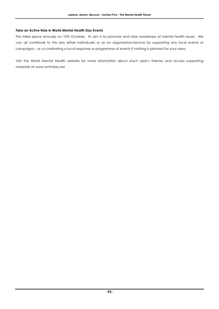#### **Take an Active Role in World Mental Health Day Events**

This takes place annually on 10th October. Its aim is to promote and raise awareness of mental health issues. We can all contribute to this day either individually or as an organisation/service by supporting any local events or campaigns – or co-ordinating a local response or programme of events if nothing is planned for your area.

Visit the World Mental Health website for more information about each year's themes and access supporting materials at www.wmhday.net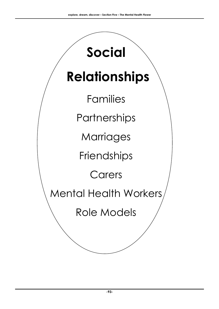# **Relationships**

**Social** 

Families

**Partnerships** 

**Marriages** 

**Friendships** 

Carers

Mental Health Workers

Role Models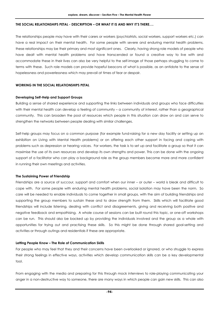#### **THE SOCIAL RELATIONSHIPS PETAL - DESCRIPTION – OR WHAT IT IS AND WHY IT'S THERE….**

The relationships people may have with their carers or workers (psychiatrists, social workers, support workers etc.) can have a real impact on their mental health. For some people with severe and enduring mental health problems, these relationships may be their primary and most significant ones. Clearly, having strong role models of people who have dealt with mental health problems and have transcended or found a creative way to live with and accommodate these in their lives can also be very helpful to the self-image of those perhaps struggling to come to terms with these. Such role models can provide hopeful beacons of what is possible, as an antidote to the sense of hopelessness and powerlessness which may prevail at times of fear or despair.

#### **WORKING IN THE SOCIAL RELATIONSHIPS PETAL**

#### **Developing Self-Help and Support Groups**

Building a sense of shared experience and supporting the links between individuals and groups who face difficulties with their mental health can develop a feeling of community – a community of interest, rather than a geographical community. This can broaden the pool of resources which people in this situation can draw on and can serve to strengthen the networks between people dealing with similar challenges.

Self-help groups may focus on a common purpose (for example fund-raising for a new day facility or setting up an exhibition on Living with Mental Health problems) or on offering each other support in facing and coping with problems such as depression or hearing voices. For workers, the task is to set up and facilitate a group so that it can maximise the use of its own resources and develop its own strengths and power. This can be done with the ongoing support of a facilitator who can play a background role as the group members become more and more confident in running their own meetings and activities.

#### **The Sustaining Power of Friendship**

Friendships are a source of succour, support and comfort when our inner – or outer – world is bleak and difficult to cope with. For some people with enduring mental health problems, social isolation may have been the norm. So care will be needed to enable individuals to come together in small groups, with the aim of building friendships and supporting the group members to sustain these and to draw strength from them. Skills which will facilitate good friendships will include listening, dealing with conflict and disagreements, giving and receiving both positive and negative feedback and empathising. A whole course of sessions can be built round this topic, or one-off workshops can be run. This should also be backed up by providing the individuals involved and the group as a whole with opportunities for trying out and practising these skills. So this might be done through shared goal-setting and activities or through outings and residentials if these are appropriate.

#### **Letting People Know – The Role of Communication Skills**

For people who may feel that they and their concerns have been overlooked or ignored, or who struggle to express their strong feelings in effective ways, activities which develop communication skills can be a key developmental tool.

From engaging with the media and preparing for this through mock interviews to role-playing communicating your anger in a non-destructive way to someone, there are many ways in which people can gain new skills. This can also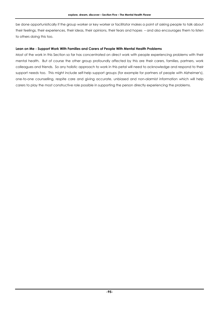be done opportunistically if the group worker or key worker or facilitator makes a point of asking people to talk about their feelings, their experiences, their ideas, their opinions, their fears and hopes – and also encourages them to listen to others doing this too.

#### **Lean on Me - Support Work With Families and Carers of People With Mental Health Problems**

Most of the work in this Section so far has concentrated on direct work with people experiencing problems with their mental health. But of course the other group profoundly affected by this are their carers, families, partners, work colleagues and friends. So any holistic approach to work in this petal will need to acknowledge and respond to their support needs too. This might include self-help support groups (for example for partners of people with Alzheimer's), one-to-one counselling, respite care and giving accurate, unbiased and non-alarmist information which will help carers to play the most constructive role possible in supporting the person directly experiencing the problems.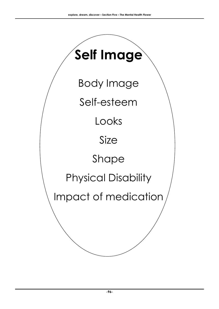# **Self Image**

Body Image

Self-esteem

Looks

Size

Shape

## Physical Disability

Impact of medication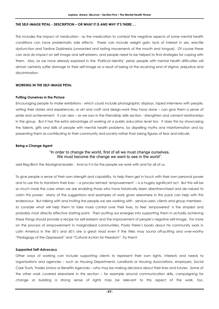#### **THE SELF-IMAGE PETAL - DESCRIPTION – OR WHAT IT IS AND WHY IT'S THERE….**

This includes the impact of medication - as the medication to combat the negative aspects of some mental health conditions can have problematic side effects. These can include weight gain, lack of interest in sex, erectile dysfunction and Tardive Dyskinesia (unwanted and lasting movements of the mouth and tongue). Of course these can and do impact on self image and self-esteem, and people need to be helped to find strategies for coping with them. Also, as we have already explored in the 'Political Identity' petal, people with mental health difficulties will almost certainly suffer damage to their self-image as a result of being at the receiving end of stigma, prejudice and discrimination.

#### **WORKING IN THE SELF-IMAGE PETAL**

#### **Putting Ourselves in the Picture**

Encouraging people to make exhibitions - which could include photographic displays, taped interviews with people, writing their stories and experiences, or art and craft and design-work they have done – can give them a sense of pride and achievement. It can also – as we saw in the Friendship skills section - strengthen and cement relationships in the group. But it has the extra advantage of working at a public education level too. It does this by showcasing the talents, gifts and skills of people with mental health problems, by dispelling myths and misinformation and by presenting them as contributing to their community and society rather than being figures of fear and ridicule.

#### **Being a Change Agent**

#### "In order to change the world, first of all we must change ourselves, We must become the change we want to see in the world".

said Reg Birch the Aboriginal leader. And so it is for the people we work with and for all of us.

To give people a sense of their own strength and capability, to help them get in touch with their own personal power and to use this to transform their lives – a process termed 'empowerment' – is a hugely significant act. But this will be so much more the case when we are enabling those who have historically been disenfranchised and de-valued to claim this power. Many of the suggestions and examples of work given elsewhere in this pack can help with this endeavour. But talking with and inviting the people we are working with - service-users, clients and group members to consider what will help them to take more control over their lives, to feel 'empowered' is the simplest and probably most directly effective starting point. Then putting our energies into supporting them in actually achieving these things should provide a recipe for self-esteem and the improvement of people's negative self-image. For more on the process of empowerment in marginalised communities, Paolo Freire's books about his community work in Latin America in the 50's and 60's are a great read even if the titles may sound off-putting and over-worthy "Pedagogy of the Oppressed" and "Cultural Action for Freedom". Try them!

#### **Supported Self-Advocacy**

Other ways of working can include supporting clients to represent their own rights, interests and needs to organisations and agencies – such as Housing Departments, Landlords or Housing Associations, employers, Social Care Trusts, Trades Unions or Benefits Agencies – who may be making decisions about their lives and futures. Some of the other work covered elsewhere in this section – for example around communication skills, campaigning for change or building a strong sense of rights may be relevant to this aspect of the work, too.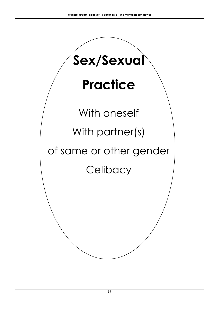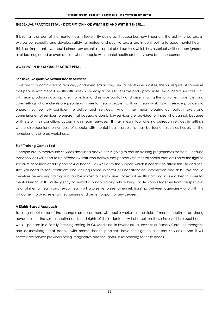#### **THE SEXUAL PRACTICE PETAL - DESCRIPTION – OR WHAT IT IS AND WHY IT'S THERE….**

This remains as part of the mental health flower. By doing so, it recognises how important the ability to be sexual, express our sexuality and develop satisfying, mutual and positive sexual are in contributing to good mental health. This is an important – we could almost say essential - aspect of all our lives which has historically either been ignored, avoided, neglected or even denied where people with mental health problems have been concerned.

#### **WORKING IN THE SEXUAL PRACTICE PETAL**

#### **Sensitive, Responsive Sexual Health Services**

If we are truly committed to reducing, and even eradicating sexual health inequalities, this will require us to ensure that people with mental health difficulties have easy access to sensitive and appropriate sexual health services. This will mean producing appropriate information and service publicity and disseminating this to workers, agencies and care settings whose clients are people with mental health problems. It will mean working with service providers to ensure they feel fully confident to deliver such services. And it may mean pressing our policy-makers and commissioners of services to ensure that adequate domiciliary services are provided for those who cannot, because of illness or their condition, access mainstream services. It may mean, too, offering outreach services in settings where disproportionate numbers of people with mental health problems may be found – such as hostels for the homeless or sheltered workshops.

#### **Staff Training Comes First**

If people are to receive the services described above, this is going to require training programmes for staff. Because these services will need to be offered by staff who believe that people with mental health problems have the right to sexual relationships and to good sexual health – as well as to the support which is needed to attain this. In addition, staff will need to feel confident and well-equipped in terms of understanding, information and skills. We should therefore be ensuring training is available in mental health issues for sexual health staff and in sexual health issues for mental health staff. Multi-agency or multi-disciplinary training which brings professionals together from the specialist fields of mental health and sexual health will also serve to strengthen relationships between agencies – and with this will come improved referral mechanisms and better support for service-users.

#### **A Rights-Based Approach**

To bring about some of the changes proposed here will require workers in the field of mental health to be strong advocates for the sexual health needs and rights of their clients. It will also call on those involved in sexual health work – perhaps in a Family Planning setting, in GU Medicine, in Psychosexual services or Primary Care – to recognise and acknowledge that people with mental health problems have the right to excellent services. And it will necessitate service providers being imaginative and thoughtful in responding to these needs.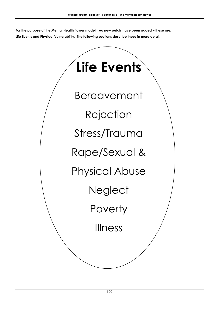**For the purpose of the Mental Health flower model, two new petals have been added – these are; Life Events and Physical Vulnerability. The following sections describe these in more detail.** 

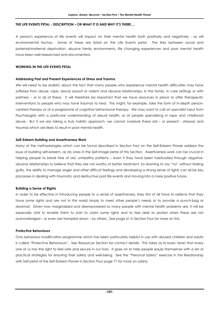#### **THE LIFE EVENTS PETAL - DESCRIPTION – OR WHAT IT IS AND WHY IT'S THERE….**

A person's experience of life events will impact on their mental health both positively and negatively - as will environmental factors. Some of these are listed on the Life Events petal. The links between social and paternal/maternal deprivation, abusive family environments, life changing experiences and poor mental health have been well researched and documented.

#### **WORKING IN THE LIFE EVENTS PETAL**

#### **Addressing Past and Present Experiences of Stress and Trauma**

We will need to be realistic about the fact that many people who experience mental health difficulties may have suffered from abuse, rape, sexual assault or violent and abusive relationships, in the family, in care settings or with partners – or in all of these. It will therefore be important that we have resources in place to offer therapeutic interventions to people who may have traumas to heal. This might, for example, take the form of in-depth personcentred therapy or of a programme of cognitive behavioural therapy. We may want to call on specialist input from Psychologists with a particular understanding of sexual health, or of people specialising in rape and childhood abuse. But if we are taking a truly holistic approach, we cannot overlook these old – or present - stressors and traumas which are likely to result in poor mental health.

#### **Self-Esteem Building and Assertiveness Work**

Many of the methodologies which can be found described in Section Four on the Self-Esteem Flower address the issue of building self-esteem, as do ones in the Self-Image petal of this Section. Assertiveness work can be crucial in helping people to break free of old, unhealthy patterns – even if they have been habituated through negative, abusive relationships to believe that they are not worthy of better treatment. So learning to say "no" without feeling guilty, the ability to manage anger and other difficult feelings and developing a strong sense of rights can all be key processes in dealing with traumatic and destructive past life events and moving into a more positive future.

#### **Building a Sense of Rights**

In order to be effective in introducing people to a sense of assertiveness, they first of all have to believe that they have some rights and are not in this world simply to meet other people's needs or to provide a punch-bag or doormat. Given how marginalised and disempowered so many people with mental health problems are, it will be especially vital to enable them to start to claim some rights and to feel able to protest when these are not acknowledged – or even are trampled down – by others. See page 61 in Section Four for more on this.

#### **Protective Behaviours**

One behaviour modification programme which has been particularly helpful in use with abused children and adults is called "Protective Behaviours". See Resources Section for contact details. This takes as its basic tenet that every one of us has the right to feel safe and secure in our lives. It goes on to help people equip themselves with a set of practical strategies for ensuring their safety and well-being. See the "Personal Safety" exercise in the Relationship with Self petal of the Self-Esteem Flower in Section Four page 71 for more on safety.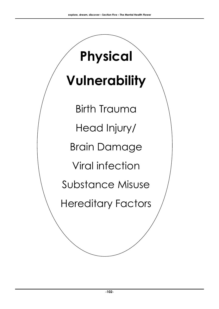# **Vulnerability**

**Physical** 

Birth Trauma Head Injury/ Brain Damage Viral infection Substance Misuse Hereditary Factors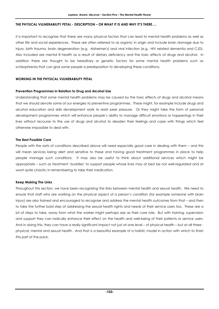#### **THE PHYSICAL VULNERABILITY PETAL - DESCRIPTION – OR WHAT IT IS AND WHY IT'S THERE….**

It is important to recognise that there are many physical factors that can lead to mental health problems as well as other life and social experiences. These are often referred to as organic in origin and include brain damage due to injury, birth trauma, brain degeneration (e.g. Alzheimer's) and viral infection (e.g. HIV related dementia and CJD). Also included are mental ill health as a result of dietary deficiency and the toxic effects of drugs and alcohol. In addition there are thought to be hereditary or genetic factors for some mental health problems such as schizophrenia that can give some people a predisposition to developing these conditions.

#### **WORKING IN THE PHYSICAL VULNERABILITY PETAL**

#### **Prevention Programmes in Relation to Drug and Alcohol Use**

Understanding that some mental health problems may be caused by the toxic effects of drugs and alcohol means that we should devote some of our energies to preventive programmes. These might, for example include drugs and alcohol education and skills development work to resist peer pressure. Or they might take the form of personal development programmes which will enhance people's ability to manage difficult emotions or happenings in their lives without recourse to the use of drugs and alcohol to deaden their feelings and cope with things which feel otherwise impossible to deal with.

#### **The Best Possible Care**

People with the sorts of conditions described above will need especially good care in dealing with them – and this will mean services being alert and sensitive to these and having good treatment programmes in place to help people manage such conditions. It may also be useful to think about additional services which might be appropriate – such as treatment 'buddies' to support people whose lives may at best be not well-regulated and at worst quite chaotic in remembering to take their medication.

#### **Keep Making The Links**

Throughout this section, we have been recognising the links between mental health and sexual health. We need to ensure that staff who are working on the physical aspect of a person's condition (for example someone with brain injury) are also trained and encouraged to recognise and address the mental health outcomes from that – and then to take the further bold step of addressing the sexual health rights and needs of their service users too. These are a lot of steps to take, away from what the worker might perhaps see as their core role. But with training, supervision and support they can radically enhance their effect on the health and well-being of their patients or service users. And in doing this, they can have a really significant impact not just at one level – of physical health – but at all three physical, mental and sexual health. And that is a beautiful example of a holistic model in action with which to finish this part of the pack.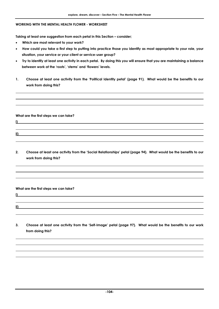#### **WORKING WITH THE MENTAL HEALTH FLOWER - WORKSHEET**

**Taking at least one suggestion from each petal in this Section – consider;** 

- **Which are most relevant to your work?**
- **How could you take a first step to putting into practice those you identify as most appropriate to your role, your situation, your service or your client or service-user group?**
- **Try to identify at least one activity in each petal. By doing this you will ensure that you are maintaining a balance between work at the 'roots', 'stems' and 'flowers' levels.**
- **1. Choose at least one activity from the 'Political Identity petal' (page 91). What would be the benefits to our work from doing this?**

**What are the first steps we can take?** 

**i)** 

- **ii)**
- **2. Choose at least one activity from the 'Social Relationships' petal (page 94). What would be the benefits to our work from doing this?**

**What are the first steps we can take?** 

**ii)** 

**i)** 

**3. Choose at least one activity from the 'Self-Image' petal (page 97). What would be the benefits to our work from doing this?**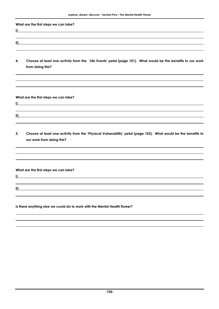**What are the first steps we can take?** 

- **i) ii)**
- **4. Choose at least one activity from the 'Life Events' petal (page 101). What would be the benefits to our work from doing this?**

**What are the first steps we can take?** 

**ii)** 

- **i)**
- **5. Choose at least one activity from the 'Physical Vulnerability' petal (page 103). What would be the benefits to our work from doing this?**

**What are the first steps we can take?** 

**i)** 

**ii)** 

**Is there anything else we could do to work with the Mental Health flower?**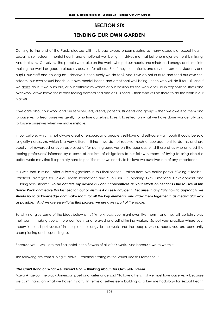### **SECTION SIX TENDING OUR OWN GARDEN**

Coming to the end of the Pack, pleased with its broad sweep encompassing so many aspects of sexual health, sexuality, self-esteem, mental health and emotional well-being – it strikes me that just one major element is missing. And that is us. Ourselves. The people who take on the work, who put our hearts and minds and energy and time into making the world as good a place as possible for others. But if they – our clients and service-users, our students and pupils, our staff and colleagues - deserve it, then surely we do too? And if we do not nurture and tend our own selfesteem, our own sexual health, our own mental health and emotional well-being – then who will do it for us? And if we don't do it, if we burn out, or our enthusiasm wanes or our passion for the work dries up in response to stress and over-work, or we leave these roles feeling demoralised and disillusioned - then who will be there to do the work in our place?

If we care about our work, and our service-users, clients, patients, students and groups – then we owe it to them and to ourselves to treat ourselves gently, to nurture ourselves, to rest, to reflect on what we have done wonderfully and to forgive ourselves when we make mistakes.

In our culture, which is not always great at encouraging people's self-love and self-care – although it could be said to glorify narcissism, which is a very different thing – we do not receive much encouragement to do this and are usually not rewarded or even approved of for putting ourselves on the agenda. And those of us who entered the 'caring professions' informed by a sense of altruism, of obligations to our fellow humans, of trying to bring about a better world may find it especially hard to prioritise our own needs, to believe we ourselves are of any importance.

It is with that in mind I offer a few suggestions in this final section – taken from two earlier packs "Doing It Toolkit – Practical Strategies for Sexual Health Promotion" and "Go Girls – Supporting Girls' Emotional Development and Building Self-Esteem". *To be candid, my advice is - don't concentrate all your efforts on Sections One to Five of this Flower Pack and leave this last Section out or dismiss it as self-indulgent. Because in any truly holistic approach, we should try to acknowledge and make room for all the key elements, and draw them together in as meaningful way as possible. And we are essential in that picture, we are a key part of the whole.* 

So why not give some of the ideas below a try? Who knows, you might even like them – and they will certainly play their part in making you a more confident and relaxed and self-affirming worker. So put your practice where your theory is – and put yourself in the picture alongside the work and the people whose needs you are constantly championing and responding to.

Because you – we – are the final petal in the flowers of all of this work. And because we're worth it!

The following are from 'Doing It Toolkit – Practical Strategies for Sexual Health Promotion' :

#### **"We Can't Hand on What We Haven't Got" – Thinking About Our Own Self-Esteem**

Maya Angelou, the Black American poet and writer once said "To love others, first we must love ourselves – because we can't hand on what we haven't got". In terms of self-esteem building as a key methodology for Sexual Health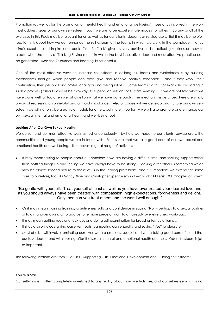Promotion (as well as for the promotion of mental health and emotional well-being) those of us involved in the work must address issues of our own self-esteem too, if we are to be excellent role models for others. So any or all of the exercises in this Pack may be relevant for us as well as for our clients, students or service-users. But it may be helpful, too, to think about how we can enhance the self-esteem of the teams in which we work, in the workplace. Nancy Kline's excellent and inspirational book "Time To Think" gives us very positive and practical guidelines on how to create what she terms a "Thinking Environment" in which the best innovative ideas and most effective practice can be generated. (See the Resources and Reading list for details).

One of the most effective ways to increase self-esteem in colleagues, teams and workplaces is by building mechanisms through which people can both give and receive positive feedback – about their work, their contribution, their personal and professional gifts and their qualities. Some teams do this, for example, by adding in such a process (it should always be two-way) to supervision sessions or to staff meetings. If we are not told what we have done well, all too often we will dwell on what we have done badly. The mechanisms described here are simply a way of redressing an unhelpful and artificial imbalance. Also of course – if we develop and nurture our own selfesteem we will not only be great role models for others, but more importantly we will also promote and enhance our own sexual, mental and emotional health and well-being too!

#### **Looking After Our Own Sexual Health.**

We do some of our most effective work almost unconsciously – by how we model to our clients, service users, the communities and young people we are in touch with. So it is vital that we take good care of our own sexual and emotional health and well-being. That covers a great range of activites:

It may mean talking to people about our emotions if we are having a difficult time, and seeking support rather than bottling things up and feeling we have always have to be strong. Looking after others is something which may be almost second nature to those of us in the 'caring professions' and it is important we extend this same care to ourselves, too. As Nancy Kline and Christopher Spence say in their book "At Least 100 Principles of Love":

#### "Be gentle with yourself. Treat yourself at least as well as you have ever treated your dearest love and as you should always have been treated; with compassion, high expectations, forgiveness and delight. Only then can you treat others and the world well enough."

- Or it may mean gaining training, assertiveness skills and confidence in saying "No" perhaps to a sexual partner or to a manager asking us to add yet one more piece of work to an already over-stretched work-load.
- It may mean getting regular check-ups and doing self-examination for breast or testicular lumps.
- It should also include giving ourselves treats, pampering our sensuality and saying "Yes" to pleasure!
- Most of all, it will involve reminding ourselves we are precious, special and worth taking good care of and that our task doesn't end with looking after the sexual, mental and emotional health of others. Our self-esteem is just as important.

The following sections are from "Go Girls – Supporting Girls' Emotional Development and Building Self-esteem"

#### **You're a Star**

Our self-image is often completely un-related to any reality about how we truly are, and our self-esteem, if it is not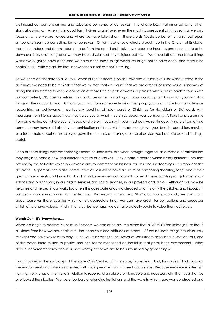well-nourished, can undermine and sabotage our sense of our selves. The chatterbox, that inner self-critic, often starts attacking us. When it is in good form it gives us grief over even the most inconsequential things so that we only focus on where we are flawed and where we have fallen short. Those words "could do better" on a school report all too often sum up our estimation of ourselves. Or for those of us originally brought up in the Church of England, those horrendous and doom-laden phrases from the creed probably never cease to haunt us and continue to echo down our lives, even long after we may have disclaimed any religious beliefs. "We have left undone those things which we ought to have done and we have done those things which we ought not to have done, and there is no health in us". With a start like that, no wonder our self-esteem is lacking!

So we need an antidote to all of this. When our self-esteem is on skid row and our self-love sunk without trace in the doldrums, we need to be reminded that we matter, that we count, that we are after all of some value. One way of doing this is by starting to keep a collection of those little objects or words or phrases which put us back in touch with our competent, OK, positive selves. This could be done by starting an album or scrap-book in which you can stick things as they occur to you. A thank you card from someone leaving the group you run, a note from a colleague recognising an achievement, particularly touching birthday cards or Christmas (or Hanukkah or Eid) cards with messages from friends about how they value you or what they enjoy about your company. A ticket or programme from an evening out where you felt good and were in touch with your most positive self-image. A note of something someone may have said about your contribution or talents which made you glow – your boss in supervision, maybe, or a team-mate about some help you gave them, or a client taking a piece of advice you had offered and finding it useful.

Each of these things may not seem significant on their own, but when brought together as a mosaic of affirmations they begin to paint a new and different picture of ourselves. They create a portrait which is very different from that offered by the self-critic which only ever seems to comment on laziness, failures and shortcomings – it simply doesn't do praise. Apparently the Masai communities of East Africa have a culture of composing 'boasting song' about their great achievements and triumphs. And I firmly believe we could do with some of these boasting songs today, in our schools and youth work, in our health services and social services, in our projects and clinics. Although we may be heroines and heroes in our work, too often this goes quite unacknowledged and it is only the glitches and hiccups in our performance which are commented on. By keeping a "You're a Star" album or scrapbook, we can claim about ourselves those qualities which others appreciate in us, we can take credit for our actions and successes which others have valued. And in that way, just perhaps, we can also actually begin to value them ourselves.

#### **Watch Out – It's Everywhere….**

When we begin to address issues of self-esteem we can often assume either that all of this is 'an inside job' or that it all stems from how we are dealt with, the behaviour and attitudes of others. Of course both things are absolutely relevant and have key roles to play. But if you think back to the Flower of Self-Esteem described in Section Four, one of the petals there relates to politics and one factor mentioned on the list in that petal is the environment. What does our environment say about us, how worthy or not we are to be surrounded by good things?

I was involved in the early days of the Rape Crisis Centre, as it then was, in Sheffield. And, for my sins, I look back on the environment and milieu we created with a degree of embarrassment and shame. Because we were so intent on righting the wrongs of the world in relation to rape (and an absolutely laudable and necessary aim that was) that we overlooked the niceties. We were too busy challenging institutions and the ways in which rape was constructed and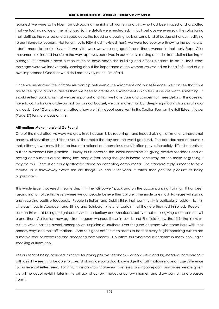reported, we were so hell-bent on advocating the rights of women and girls who had been raped and assaulted that we took no notice of the minutiae. So the details were neglected. In fact perhaps we even saw the sofas losing their stuffing, the scarred and chipped cups, the faded and peeling walls as some kind of badge of honour, testifying to our intense seriousness. Not for us trips to IKEA (had it existed then), we were too busy overthrowing the patriarchy. I don't mean to be dismissive – it was vital work we were engaged in and those women in that early Rape Crisis movement did indeed transform the way rape was perceived in our society, moving attitudes from victim-blaming to outrage. But would it have hurt so much to have made the building and offices pleasant to be in, too? What messages were we inadvertently sending about the importance of the women we worked on behalf of – and of our own importance? One that we didn't matter very much, I'm afraid.

Once we understand the intimate relationship between our environment and our self-image, we can see that if we are to feel good about ourselves then we need to create an environment which tells us we are worth something. It should reflect back to us that we are important and that we have care and concern for these details. This does not have to cost a fortune or devour half our annual budget, we can make small but deeply significant changes at no or low cost. See "Our environment affects how we think about ourselves" in the Section Four on the Self-Esteem flower (Page 67) for more ideas on this.

## **Affirmations Make the World Go Round**

One of the most effective ways we grow in self-esteem is by receiving – and indeed giving – affirmations, those small phrases, observations and 'thank-you's' that make the day and the world go round. The paradox here of course is that, although we know this to be true at a rational and conscious level, it often proves incredibly difficult actually to put this awareness into practice. Usually this is because the social constraints on giving positive feedback and on paying compliments are so strong that people fear being thought insincere or smarmy, on the make or gushing if they do this. There is an equally effective taboo on accepting compliments. The standard reply is meant to be a rebuttal or a throwaway "What this old thing? I've had it for years…" rather than genuine pleasure at being appreciated.

This whole issue is covered in some depth in the 'Girlpower' pack and on the accompanying training. It has been fascinating to notice that everywhere we go, people believe their culture is the single one most ill-at-ease with giving and receiving positive feedback. People in Belfast and Dublin think their community is particularly resistant to this, whereas those in Aberdeen and Stirling and Edinburgh know for certain that they are the most inhibited. People in London think that being up-tight comes with the territory and Americans believe that to risk giving a compliment will brand them Californian new-age tree-huggers whereas those in Leeds and Sheffield know that it is the Yorkshire culture which has the overall monopoly on suspicion of southern silver-tongued charmers who come here with their poncey ways and their affirmations… And so it goes on! The truth seems to be that every English-speaking culture has a morbid fear of expressing and accepting compliments. Doubtless this syndrome is endemic in many non-English speaking cultures, too.

Yet our fear of being branded insincere for giving positive feedback – or conceited and big-headed for receiving it with delight – seems to be able to co-exist alongside our actual knowledge that affirmations make a huge difference to our levels of self-esteem. For in truth we do know that even if we reject and 'pooh-pooh' any praise we are given, we will no doubt revisit it later in the privacy of our own heads or our own homes, and draw comfort and pleasure from it.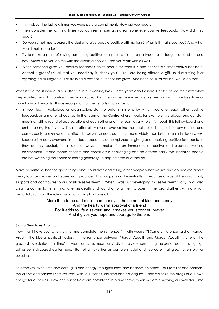- Think about the last few times you were paid a compliment. How did you react?
- Then consider the last few times you can remember giving someone else positive feedback. How did they react?
- Do you sometimes suppress the desire to give people positive affirmations? What is it that stops you? And what would make it easier?
- Try to make a point of saying something positive to a peer, a friend, a partner or a colleague at least once a day. Make sure you do this with the clients or service-users you work with as well.
- When someone gives you positive feedback, try to hear it for what it is and not see a sinister motive behind it. Accept it gracefully, all that you need say is "thank you". You are being offered a gift, so disclaiming it or rejecting it is as ungracious as trashing a present in front of the giver. And none of us, of course, would do that.

What is true for us individually is also true in our working lives. Some years ago General Electric asked their staff what they wanted most to transform their workplace. And the answer overwhelmingly given was not more free time or more financial rewards. It was recognition for their efforts and success.

• In your team, workplace or organisation, start to build in systems by which you offer each other positive feedback as a matter of course. In the team at the Centre where I work, for example, we always end our staff meetings with a round of appreciations of each other or of the team as a whole. Although this felt awkward and embarrassing the first few times – after all we were overturning the habits of a lifetime, it is now routine and comes easily to everyone. Its effect, however, spreads out much more widely than just this ten minutes a week. Because it means everyone in the team becomes accomplished at giving and receiving positive feedback, so they do this regularly in all sorts of ways. It makes for an immensely supportive and pleasant working environment. It also means criticism and constructive challenging can be offered easily too, because people are not watching their back or feeling generally un-appreciated or attacked.

Make no mistake, hearing good things about ourselves and telling other people what we like and appreciate about them, too, gets easier and easier with practice. This happens until eventually it becomes a way of life which daily supports and contributes to our positive self-esteem. When I was first developing this self-esteem work, I was also clearing out my father's things after his death and found among them a poem in my grandfather's writing which beautifully sums up the role affirmations can play for us all.

## More than fame and more than money is the comment kind and sunny And the hearty warm approval of a friend For it adds to life a savour, and it makes you stronger, braver And it gives you hope and courage to the end

#### **Start a New Love Affair…..**

Now that I have your attention, let me complete the sentence "….with yourself"! Some critic once said of Margot Asquith the Liberal political hostess – "the romance between Margot Asquith and Margot Asquith is one of the greatest love stories of all time". It was, I am sure, meant unkindly, amply demonstrating the penalties for having high self-esteem discussed earlier here. But let us take her as our role model and replicate that great love story for ourselves.

So often we lavish time and care, gifts and energy, thoughtfulness and kindness on others – our families and partners, the clients and service-users we work with, our friends, children and colleagues. Then we take the dregs of our own energy for ourselves. How can our self-esteem possibly flourish and thrive, when we are emptying our well daily into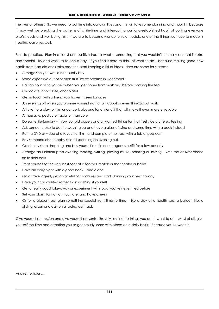the lives of others? So we need to put time into our own lives and this will take some planning and thought, because it may well be breaking the patterns of a life-time and interrupting our long-established habit of putting everyone else's needs and well-being first. If we are to become wonderful role models, one of the things we have to model is treating ourselves well.

Start to practice. Plan in at least one positive treat a week – something that you wouldn't normally do, that is extra and special. Try and work up to one a day. If you find it hard to think of what to do – because making good new habits from bad old ones take practice, start keeping a list of ideas. Here are some for starters :

- A magazine you would not usually buy
- Some expensive out-of-season fruit like raspberries in December
- Half an hour all to yourself when you get home from work and before cooking the tea
- Chocolate, chocolate, chocolate!
- Get in touch with a friend you haven't seen for ages
- An evening off when you promise yourself not to talk about or even think about work
- A ticket to a play, or film or concert, plus one for a friend if that will make it even more enjoyable
- A massage, pedicure, facial or manicure
- Do some life-laundry throw out old papers and unwanted things for that fresh, de-cluttered feeling
- Ask someone else to do the washing up and have a glass of wine and some time with a book instead
- Rent a DVD or video of a favourite film and complete the treat with a tub of pop-corn
- Pay someone else to baby-sit and spending an evening out
- Go charity shop shopping and buy yourself a chic or outrageous outfit for a few pounds
- Arrange an uninterrupted evening reading, writing, playing music, painting or sewing with the answer-phone on to field calls
- Treat yourself to the very best seat at a football match or the theatre or ballet
- Have an early night with a good book and alone
- Go a travel agent, get an armful of brochures and start planning your next holiday
- Have your car valeted rather than washing it yourself
- Get a really good take-away or experiment with food you've never tried before
- Set your alarm for half an hour later and have a lie-in
- Or for a bigger treat plan something special from time to time like a day at a health spa, a balloon trip, a gliding lesson or a day on a racing-car track

Give yourself permission and give yourself presents. Bravely say 'no' to things you don't want to do. Most of all, give yourself the time and attention you so generously share with others on a daily basis. Because you're worth it.

#### And remember ….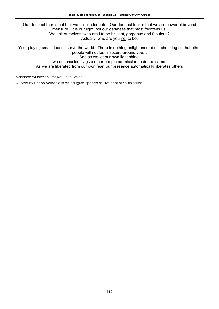Our deepest fear is not that we are inadequate. Our deepest fear is that we are powerful beyond measure. It is our light, not our darkness that most frightens us. We ask ourselves, who am I to be brilliant, gorgeous and fabulous? Actually, who are you not to be.

Your playing small doesn't serve the world. There is nothing enlightened about shrinking so that other people will not feel insecure around you… And as we let our own light shine,

we unconsciously give other people permission to do the same.

As we are liberated from our own fear, our presence automatically liberates others

Marianne Williamson – "A Return to Love"

Quoted by Nelson Mandela in his inaugural speech as President of South Africa.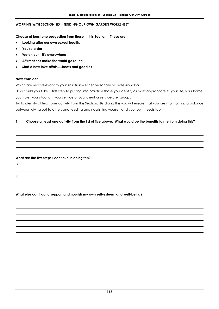## **WORKING WITH SECTION SIX - TENDING OUR OWN GARDEN WORKSHEET**

**Choose at least one suggestion from those in this Section. These are** 

- **Looking after our own sexual health.**
- **You're a star**
- **Watch out it's everywhere**
- **Affirmations make the world go round**
- **Start a new love affair…..treats and goodies**

#### **Now consider**

Which are most relevant to your situation – either personally or professionally?

How could you take a first step to putting into practice those you identify as most appropriate to your life, your home, your role, your situation, your service or your client or service-user group?

Try to identify at least one activity from this Section. By doing this you will ensure that you are maintaining a balance between giving out to others and feeding and nourishing yourself and your own needs too.

#### **1. Choose at least one activity from the list of five above. What would be the benefits to me from doing this?**

#### **What are the first steps I can take in doing this?**

**i)** 

**ii)** 

**What else can I do to support and nourish my own self-esteem and well-being?**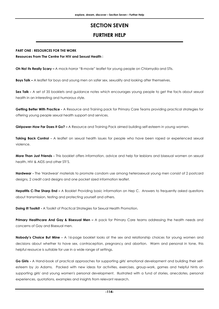# **SECTION SEVEN FURTHER HELP**

## **PART ONE : RESOURCES FOR THE WORK**

#### **Resources From The Centre For HIV and Sexual Health :**

**Oh No! Its Really Scary –** A mock-horror "B-movie" leaflet for young people on Chlamydia and STIs.

**Boys Talk –** A leaflet for boys and young men on safer sex, sexuality and looking after themselves.

**Sex Talk -** A set of 35 booklets and guidance notes which encourages young people to get the facts about sexual health in an interesting and humorous style.

**Getting Better With Practice -** A Resource and Training pack for Primary Care Teams providing practical strategies for offering young people sexual health support and services.

**Girlpower-How Far Does It Go? –** A Resource and Training Pack aimed building self-esteem in young women.

**Taking Back Control -** A leaflet on sexual health issues for people who have been raped or experienced sexual violence.

**More Than Just Friends -** This booklet offers information, advice and help for lesbians and bisexual women on sexual health, HIV & AIDS and other STI'S.

**Hardwear -** The 'Hardwear' materials to promote condom use among heterosexual young men consist of 2 postcard designs, 2 credit card designs and one pocket sized information leaflet.

**Hepatitis C-The Sharp End –** A Booklet Providing basic information on Hep C. Answers to frequently asked questions about transmission, testing and protecting yourself and others.

**Doing it! Toolkit -** A Toolkit of Practical Strategies for Sexual Health Promotion.

**Primary Healthcare And Gay & Bisexual Men –** A pack for Primary Care teams addressing the health needs and concerns of Gay and Bisexual men.

**Nobody's Choice But Mine -** A 16-page booklet looks at the sex and relationship choices for young women and decisions about whether to have sex, contraception, pregnancy and abortion. Warm and personal in tone, this helpful resource is suitable for use in a wide range of settings.

**Go Girls -** A Hand-book of practical approaches for supporting girls' emotional development and building their selfesteem by Jo Adams. Packed with new ideas for activities, exercises, group-work, games and helpful hints on supporting girls' and young women's personal development. Illustrated with a fund of stories, anecdotes, personal experiences, quotations, examples and insights from relevant research.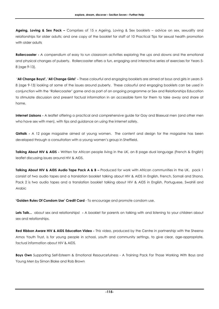**Ageing, Loving & Sex Pack –** Comprises of 15 x Ageing, Loving & Sex booklets – advice on sex, sexuality and relationships for older adults; and one copy of the booklet for staff of 10 Practical Tips for sexual health promotion with older adults

**Rollercoaster -** A compendium of easy to run classroom activities exploring the ups and downs and the emotional and physical changes of puberty. Rollercoaster offers a fun, engaging and interactive series of exercises for Years 5- 8 (age 9-13).

 **'All Change Boys!', 'All Change Girls!' -** These colourful and engaging booklets are aimed at boys and girls in years 5- 8 (age 9-13) looking at some of the issues around puberty. These colourful and engaging booklets can be used in conjunction with the 'Rollercoaster' game and as part of an ongoing programme or Sex and Relationships Education to stimulate discussion and present factual information in an accessible form for them to take away and share at home.

**Internet Liaisons -** A leaflet offering a practical and comprehensive guide for Gay and Bisexual men (and other men who have sex with men), with tips and guidance on using the internet safely.

**Girltalk** - A 12 page magazine aimed at young women. The content and design for the magazine has been developed through a consultation with a young women's group in Sheffield.

**Talking About HIV & AIDS -** Written for African people living in the UK, an 8 page dual language (French & English) leaflet discussing issues around HIV & AIDS.

**Talking About HIV & AIDS Audio Tape Pack A & B -** Produced for work with African communities in the UK, pack 1 consist of two audio tapes and a translation booklet talking about HIV & AIDS in English, French, Somali and Shona. Pack 2 is two audio tapes and a translation booklet talking about HIV & AIDS in English, Portuguese, Swahili and Arabic

**'Golden Rules Of Condom Use' Credit Card** - To encourage and promote condom use.

**Lets Talk...** about sex and relationships! **-** A booklet for parents on talking with and listening to your children about sex and relationships.

**Red Ribbon Aware HIV & AIDS Education Video -** This video, produced by the Centre in partnership with the Sheena Amos Youth Trust, is for young people in school, youth and community settings, to give clear, age-appropriate, factual information about HIV & AIDS.

**Boys Own** Supporting Self-Esteem & Emotional Resourcefulness - A Training Pack For Those Working With Boys and Young Men by Simon Blake and Rob Brown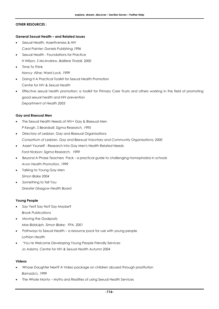#### **OTHER RESOURCES :**

#### **General Sexual Health – and Related Issues**

- Sexual Health, Assertiveness & HIV *Carol Painter; Daniels Publishing,1996*
- Sexual Health Foundations for Practice *H Wilson, S McAndrew, Bailliere Tindall, 2000*
- Time To Think *Nancy Kline; Ward Lock, 1999*
- Doing It A Practical Toolkit for Sexual Health Promotion *Centre for HIV & Sexual Health*
- Effective sexual health promotion: a toolkit for Primary Care Trusts and others working in the field of promoting good sexual health and HIV prevention *Department of Health 2003*

#### **Gay and Bisexual Men**

- The Sexual Health Needs of HIV+ Gay & Bisexual Men *P Keogh, S Beardsall; Sigma Research, 1995*
- Directory of Lesbian, Gay and Bisexual Organisations *Consortium of Lesbian, Gay and Bisexual Voluntary and Community Organisations; 2000*
- Assert Yourself Research into Gay Men's Health Related Needs *Ford Hickson; Sigma Research, 1999*
- Beyond A Phase Teachers Pack a practical guide to challenging homophobia in schools *Avon Health Promotion, 1999*
- Talking to Young Gay Men *Simon Blake 2004*
- Something to Tell You *Greater Glasgow Health Board*

#### **Young People**

- Say Yes? Say No? Say Maybe? *Brook Publications*
- Moving the Goalposts *Max Biddulph, Simon Blake; FPA, 2001*
- Pathways to Sexual Health a resource pack for use with young people *Lothian Health*
- 'You're Welcome Developing Young People Friendly Services *Jo Adams, Centre for HIV & Sexual Health Autumn 2004*

#### **Videos**

- Whose Daughter Next? A Video package on children abused through prostitution *Barnado's, 1999*
- The Whole Monty Myths and Realities of using Sexual Health Services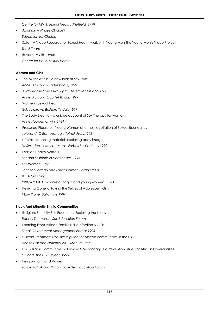*Centre for HIV & Sexual Health, Sheffield, 1999* 

- Abortion Whose Choice? *Education for Choice*
- Safe A Video Resource for Sexual Health work with Young Men The Young Men's Video Project *The B Team*
- Beyond My Backyard *Centre for HIV & Sexual Health*

#### **Women and Girls**

- The Mirror Within a new look at Sexuality *Anne Dickson; Quartet Books, 1997*
- A Woman in Your Own Right Assertiveness and You *Anne Dickson; Quartet Books, 1999*
- Women's Sexual Health *Gilly Andrews; Bailliere Tindall, 1997*
- The Body Electric a unique account of Sex Therapy for women *Anne Hooper; Unwin, 1984*
- Pressured Pleasure Young Women and the Negotiation of Sexual Boundaries *J Holland, C Ramazanoglu Tufnell Press,1992*
- Lifesize teaching materials exploring body image *Liz Swinden, Lesley de Meza; Forbes Publications,1999*
- Lesbian Health Matters *London Lesbians in Healthcare, 1995*
- For Women Only *Jennifer Berman and Laura Berman Virago 2001*
- It's A Girl Thing YWCA 2001 A manifesto for girls and young women 2001
- Reviving Ophelia Saving the Selves of Adolescent Girls *Mary Pipher Ballantine 1994*

## **Black And Minority Ethnic Communities**

- Religion, Ethnicity Sex Education: Exploring the Issues *Rachel Thompson; Sex Education Forum*
- Learning From African Families: HIV Infection & AIDs *Local Government Management Board; 1995*
- Current Treatments for HIV: a guide for African communities in the UK *Health First and National AIDS Manual; 1998*
- HIV & Black Communities 2: Primary & Secondary HIV Prevention Issues for African Communities *C Bhatt The HIV Project, 1995*
- Religion Faith and Values *Zarine Katrak and Simon Blake Sex Education Forum*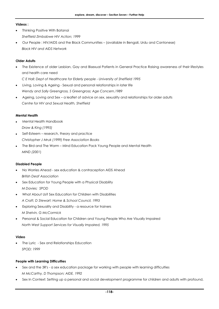#### **Videos :**

- Thinking Positive With Batanai *Sheffield Zimbabwe HIV Action; 1999*
- Our People : HIV/AIDS and the Black Communities (available in Bengali, Urdu and Cantonese) *Black HIV and AIDS Network*

## **Older Adults**

- The Existence of older Lesbian, Gay and Bisexual Patients in General Practice Raising awareness of their lifestyles and health care need
	- *C E Hall; Dept of Healthcare for Elderly people University of Sheffield 1995*
- Living, Loving & Ageing Sexual and personal relationships in later life *Wendy and Sally Greengross, S Greengross; Age Concern,1989*
- Ageing, Loving and Sex a leaflet of advice on sex, sexuality and relationships for older adults *Centre for HIV and Sexual Health, Sheffield*

#### **Mental Health**

- Mental Health Handbook
	- *Draw & King (1995)*
- Self-Esteem research, theory and practice *Christopher J Mruk (1999) Free Association Books*
- The Bird and The Worm Mind Education Pack Young People and Mental Health *MIND (2001*)

#### **Disabled People**

- No Worries Ahead sex education & contraception AIDS Ahead *British Deaf Association*
- Sex Education for Young People with a Physical Disability *M Davies; SPOD*
- What About Us? Sex Education for Children with Disabilities *A Craft, D Stewart; Home & School Council, 1993*
- Exploring Sexuality and Disability a resource for trainers *M Shelvin, G McCormick*
- Personal & Social Education for Children and Young People Who Are Visually Impaired *North West Support Services for Visually Impaired, 1995*

#### **Video**

• The Lyric - Sex and Relationships Education *SPOD; 1999*

#### **People with Learning Difficulties**

- Sex and the 3R's a sex education package for working with people with learning difficulties *M McCarthy, D Thompson; AIDE, 1992*
- Sex In Context: Setting up a personal and social development programme for children and adults with profound,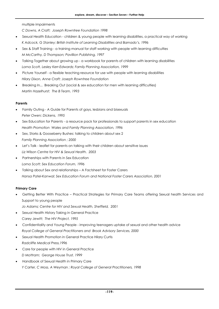multiple impairments

*C Downs, A Craft; Joseph Rowntree Foundation 1998*

- Sexual Health Education children & young people with learning disabilities, a practical way of working *K Adcock, G Stanley; British Institute of Learning Disabilities and Barnado's, 1996*
- Sex & Staff Training a training manual for staff working with people with learning difficulties *M McCarthy, D Thompson; Pavillion Publishing, 1997*
- Talking Together about growing up a workbook for parents of children with learning disabilities *Lorna Scott, Lesley Kerr-Edwards; Family Planning Association, 1999*
- Picture Yourself a flexible teaching resource for use with people with learning disabilities *Hilary Dixon, Anne Craft; Joseph Rowntree Foundation*
- Breaking In... Breaking Out (social & sex education for men with learning difficulties) *Martin Hazelhurst; The B Team, 1993*

## **Parents**

- Family Outing A Guide for Parents of gays, lesbians and bisexuals *Peter Owen; Dickens, 1995*
- Sex Education for Parents a resource pack for professionals to support parents in sex education *Health Promotion Wales and Family Planning Association, 1996*
- Sex, Storks & Gooseberry Bushes: talking to children about sex 2 *Family Planning Association ; 2000*
- Let's Talk leaflet for parents on talking with their children about sensitive issues *Liz Wilson Centre for HIV & Sexual Health. 2003*
- Partnerships with Parents in Sex Education *Lorna Scott; Sex Education Forum, 1996*
- Talking about Sex and relationships A Factsheet for Foster Carers *Hansa Patel-Kanwal; Sex Education Forum and National Foster Carers Association, 2001*

#### **Primary Care**

- Getting Better With Practice Practical Strategies for Primary Care Teams offering Sexual health Services and Support to young people
	- *Jo Adams; Centre for HIV and Sexual Health, Sheffield, 2001*
- Sexual Health History Taking in General Practice *Carey Jewitt; The HIV Project, 1995*
- Confidentiality and Young People improving teenagers uptake of sexual and other health advice *Royal College of General Practitioners and Brook Advisory Services, 2000*
- Sexual Health Promotion in General Practice Hilary Curtis *Radcliffe Medical Press,1996*
- Care for people with HIV in General Practice *D Mottram; George House Trust, 1999*
- Handbook of Sexual Health in Primary Care *Y Carter, C Moss, A Weyman ; Royal College of General Practitioners, 1998*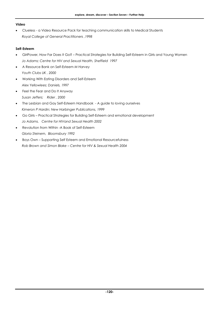## **Video**

• Clueless - a Video Resource Pack for teaching communication skills to Medical Students *Royal College of General Practitioners ,1998* 

## **Self-Esteem**

- GirlPower, How Far Does It Go? Practical Strategies for Building Self-Esteem in Girls and Young Women *Jo Adams; Centre for HIV and Sexual Health, Sheffield 1997*
- A Resource Bank on Self-Esteem *M Harvey Youth Clubs UK , 2000*
- Working With Eating Disorders and Self-Esteem *Alex Yellowlees; Daniels, 1997*
- Feel the Fear and Do It Anyway *Susan Jeffers; Rider , 2000*
- The Lesbian and Gay Self-Esteem Handbook A guide to loving ourselves *Kimeron P Hardin; New Harbinger Publications, 1999*
- Go Girls Practical Strategies for Building Self-Esteem and emotional development *Jo Adams. Centre for HIVand Sexual Health 2002*
- Revolution from Within -A Book of Self-Esteem *Gloria Steinem, Bloomsbury 1992*
- Boys Own Supporting Self Esteem and Emotional Resourcefulness *Rob Brown and Simon Blake – Centre for HIV & Sexual Health 2004*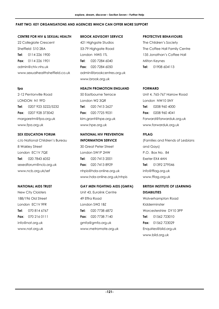#### **PART TWO: KEY ORGANISATIONS AND AGENCIES WHICH CAN OFFER MORE SUPPORT**

#### **CENTRE FOR HIV & SEXUAL HEALTH**

22 Collegiate Crescent Sheffield S10 2BA **Tel**: 0114 226 1900 **Fax**: 0114 226 1901 admin@chiv.nhs.uk www.sexualhealthsheffield.co.uk

#### **fpa**

2-12 Pentonville Road LONDON N1 9FD **Tel**: 0207 923 5222/5232 **Fax**: 0207 928 373042 margaretm@fpa.org.uk www.fpa.org.uk

## **SEX EDUCATION FORUM**

c/o National Children's Bureau 8 Wakley Street London EC1V 7QE **Tel**: 020 7843 6052 sexedforum@ncb.org.uk www.ncb.org.uk/sef

#### **NATIONAL AIDS TRUST**

New City Cloisters 188/196 Old Street London EC1V 9FR **Tel**: 070 814 6767 **Fax**: 070 216 0111 info@nat.org.uk www.nat.org.uk

#### **BROOK ADVISORY SERVICE**

421 Highgate Studios 53-79 Highgate Road London NW5 1TL **Tel**: 020 7284 6040 **Fax**: 020 7284 6050 admin@brookcentres.org.uk www.brook.org.uk

#### **HEALTH PROMOTION ENGLAND**

50 Eastbourne Terrace London W2 3QR **Tel**: 020 7413 2627 **Fax**: 020 7725 9031 kim.grant@hpe.org.uk www.hpe.org.uk

## **NATIONAL HIV PREVENTION INFORMATION SERVICE**

30 Great Peter Street London SW1P 2HW **Tel**: 020 7413 2001 **Fax**: 020 7413 8929 nhpis@hda-online.org.uk www.hda-online.org.uk/nhpis

#### **GAY MEN FIGHTING AIDS (GMFA)**

Unit 43, Eurolink Centre 49 Effra Road London SW2 1BZ **Tel:** 020 7738 6872 **Fax**: 020 7738 7140 gmfa@gmfa.org.uk www.metromate.org.uk

#### **PROTECTIVE BEHAVIOURS**

The Children's Society The Coffee Hall Family Centre 135 Jonathan's Coffee Hall Milton Keynes **Tel**: 01908 604113

#### **FORWARD**

Unit 4, 765-767 Harrow Road London NW10 5NY **Tel**: 0208 960 4000 **Fax**: 0208 960 4041 Forward@forwarduk.org.uk www.forwarduk.org.uk

## **FFLAG**

(Families and Friends of Lesbians and Gays) P.O. Box No. 84 Exeter EX4 4AN **Tel**: 01392 279546 info@fflag.org.uk www.fflag.org.uk

## **BRITISH INSTITUTE OF LEARNING DISABILITIES**

Wolverhampton Road Kidderminster Worcestershire DY10 3PP **Tel**: 01562 723010 **Fax**: 01562 723029 Enquiries@bild.org.uk www.bild.org.uk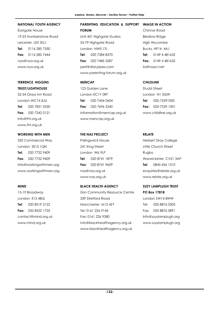#### **NATIONAL YOUTH AGENCY**

Eastgate House 19-23 Humberstone Road Leicester LE5 3GJ **Tel**: 0116 285 7350 **Fax**: 0116 285 7444 nya@nya.org.uk www.nya.org.uk

## **TERRENCE HIGGINS TRUST/LIGHTHOUSE**

52-54 Grays Inn Road London WC1X 8JU **Tel**: 020 7831 0330 **Fax**: 020 7242 0121 Info@tht.org.uk www.tht.org.uk

## **WORKING WITH MEN**

320 Commercial Way London SE15 1QN **Tel**: 020 7732 9409 **Fax**: 020 7732 9409 Info@workingwithmen.org www.workingwithmen.org

#### **MIND**

15-19 Broadway London E15 4BQ **Tel**: 020 8519 2122 **Fax:** 020 8522 1725 contact@mind.org.uk www,mind.org.uk

#### **PARENTING EDUCATION & SUPPORT FORUM IMAGE IN ACTION**

- Unit 431 Highgate Studios 53-79 Highgate Road London NW5 1TL **Tel**: 020 7284 8370 **Fax**: 020 7485 3587 pesf@dial.pipex.com www.parenting-forum.org.uk
- **MENCAP**
- 123 Golden Lane London EC1Y 0RT **Tel**: 020 7454 0454 **Fax**: 020 7696 5540 information@mencap.org.uk www.mencap.org.uk

## **THE NAZ PROJECT**

Palingswick House 241 King Street London W6 9LP **Tel**: 020 8741 1879 **Fax**: 020 8741 9609 naz@naz.org.uk www.naz.org.uk

#### **BLACK HEALTH AGENCY**

Zion Community Resource Centre 339 Stretford Road Manchester M15 4ZY Tel: 0161 226 9145 Fax: 0161 226 9380 info@blackhealthagency.org.uk www.blackhealthagency.org.uk

## Chinnor Road Bledlow Ridge High Wycombe Bucks, HP14 4AJ **Tel**: 0149 4 481632 **Fax**: 0149 4 481632 iia@nascr.net

## **CHILDLINE**

Studd Street London N1 0QW **Tel**: 020-72391000 **Fax**: 020-7239 1001 www.childline.org.uk

## **RELATE**

Herbert Gray College Little Church Street Rugby Warwickshire CV21 3AP **Tel**: 0845 456 1310 enquiries@relate.org.uk www.relate.org.uk

## **SUZY LAMPLUGH TRUST PO Box 17818**

London SW14 8WW Tel: 020 8876 0305 Fax: 020 8876 0891 Info@suzylamplugh.org www.suzylamplugh.org